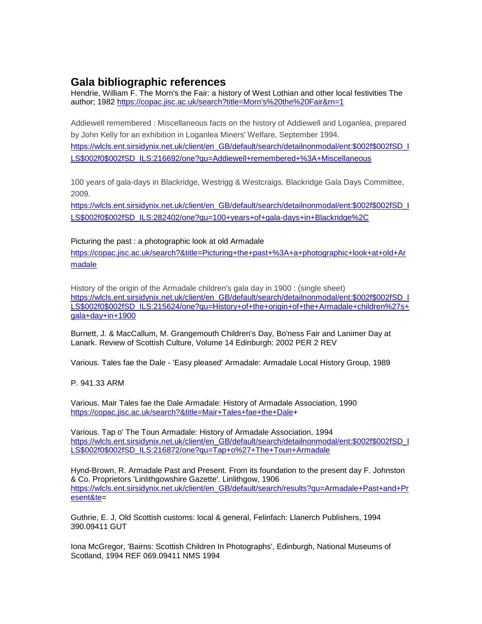# **Gala bibliographic references**

Hendrie, William F. The Morn's the Fair: a history of West Lothian and other local festivities The author; 1982 [https://copac.jisc.ac.uk/search?title=Morn's%20the%20Fair&rn=1](https://copac.jisc.ac.uk/search?title=Morn)

Addiewell remembered : Miscellaneous facts on the history of Addiewell and Loganlea, prepared by John Kelly for an exhibition in Loganlea Miners' Welfare, September 1994. [https://wlcls.ent.sirsidynix.net.uk/client/en\\_GB/default/search/detailnonmodal/ent:\\$002f\\$002fSD\\_I](https://wlcls.ent.sirsidynix.net.uk/client/en_GB/default/search/detailnonmodal/ent:$002f$002fSD_ILS$002f0$002fSD_ILS:216692/one?qu=Addiewell+remembered+%3A+Miscellaneous) [LS\\$002f0\\$002fSD\\_ILS:216692/one?qu=Addiewell+remembered+%3A+Miscellaneous](https://wlcls.ent.sirsidynix.net.uk/client/en_GB/default/search/detailnonmodal/ent:$002f$002fSD_ILS$002f0$002fSD_ILS:216692/one?qu=Addiewell+remembered+%3A+Miscellaneous)

100 years of gala-days in Blackridge, Westrigg & Westcraigs. Blackridge Gala Days Committee, 2009.

[https://wlcls.ent.sirsidynix.net.uk/client/en\\_GB/default/search/detailnonmodal/ent:\\$002f\\$002fSD\\_I](https://wlcls.ent.sirsidynix.net.uk/client/en_GB/default/search/detailnonmodal/ent:$002f$002fSD_ILS$002f0$002fSD_ILS:282402/one?qu=100+years+of+gala-days+in+Blackridge%2C) [LS\\$002f0\\$002fSD\\_ILS:282402/one?qu=100+years+of+gala-days+in+Blackridge%2C](https://wlcls.ent.sirsidynix.net.uk/client/en_GB/default/search/detailnonmodal/ent:$002f$002fSD_ILS$002f0$002fSD_ILS:282402/one?qu=100+years+of+gala-days+in+Blackridge%2C)

# Picturing the past : a photographic look at old Armadale

[https://copac.jisc.ac.uk/search?&title=Picturing+the+past+%3A+a+photographic+look+at+old+Ar](https://copac.jisc.ac.uk/search?&title=Picturing+the+past+%3A+a+photographic+look+at+old+Armadale) [madale](https://copac.jisc.ac.uk/search?&title=Picturing+the+past+%3A+a+photographic+look+at+old+Armadale)

History of the origin of the Armadale children's gala day in 1900 : (single sheet) [https://wlcls.ent.sirsidynix.net.uk/client/en\\_GB/default/search/detailnonmodal/ent:\\$002f\\$002fSD\\_I](https://wlcls.ent.sirsidynix.net.uk/client/en_GB/default/search/detailnonmodal/ent:$002f$002fSD_ILS$002f0$002fSD_ILS:215624/one?qu=History+of+the+origin+of+the+Armadale+children%27s+gala+day+in+1900) [LS\\$002f0\\$002fSD\\_ILS:215624/one?qu=History+of+the+origin+of+the+Armadale+children%27s+](https://wlcls.ent.sirsidynix.net.uk/client/en_GB/default/search/detailnonmodal/ent:$002f$002fSD_ILS$002f0$002fSD_ILS:215624/one?qu=History+of+the+origin+of+the+Armadale+children%27s+gala+day+in+1900) [gala+day+in+1900](https://wlcls.ent.sirsidynix.net.uk/client/en_GB/default/search/detailnonmodal/ent:$002f$002fSD_ILS$002f0$002fSD_ILS:215624/one?qu=History+of+the+origin+of+the+Armadale+children%27s+gala+day+in+1900)

Burnett, J. & MacCallum, M. Grangemouth Children's Day, Bo'ness Fair and Lanimer Day at Lanark. Review of Scottish Culture, Volume 14 Edinburgh: 2002 PER 2 REV

Various. Tales fae the Dale - 'Easy pleased' Armadale: Armadale Local History Group, 1989

P. 941.33 ARM

Various. Mair Tales fae the Dale Armadale: History of Armadale Association, 1990 [https://copac.jisc.ac.uk/search?&title=Mair+Tales+fae+the+Dale+](https://copac.jisc.ac.uk/search?&title=Mair+Tales+fae+the+Dale)

Various. Tap o' The Toun Armadale: History of Armadale Association, 1994 [https://wlcls.ent.sirsidynix.net.uk/client/en\\_GB/default/search/detailnonmodal/ent:\\$002f\\$002fSD\\_I](https://wlcls.ent.sirsidynix.net.uk/client/en_GB/default/search/detailnonmodal/ent:$002f$002fSD_ILS$002f0$002fSD_ILS:216872/one?qu=Tap+o%27+The+Toun+Armadale) [LS\\$002f0\\$002fSD\\_ILS:216872/one?qu=Tap+o%27+The+Toun+Armadale](https://wlcls.ent.sirsidynix.net.uk/client/en_GB/default/search/detailnonmodal/ent:$002f$002fSD_ILS$002f0$002fSD_ILS:216872/one?qu=Tap+o%27+The+Toun+Armadale)

Hynd-Brown, R. Armadale Past and Present. From its foundation to the present day F. Johnston & Co. Proprietors 'Linlithgowshire Gazette'. Linlithgow, 1906 [https://wlcls.ent.sirsidynix.net.uk/client/en\\_GB/default/search/results?qu=Armadale+Past+and+Pr](https://wlcls.ent.sirsidynix.net.uk/client/en_GB/default/search/results?qu=Armadale+Past+and+Present&te) [esent&te=](https://wlcls.ent.sirsidynix.net.uk/client/en_GB/default/search/results?qu=Armadale+Past+and+Present&te)

Guthrie, E. J, Old Scottish customs: local & general, Felinfach: Llanerch Publishers, 1994 390.09411 GUT

Iona McGregor, 'Bairns: Scottish Children In Photographs', Edinburgh, National Museums of Scotland, 1994 REF 069.09411 NMS 1994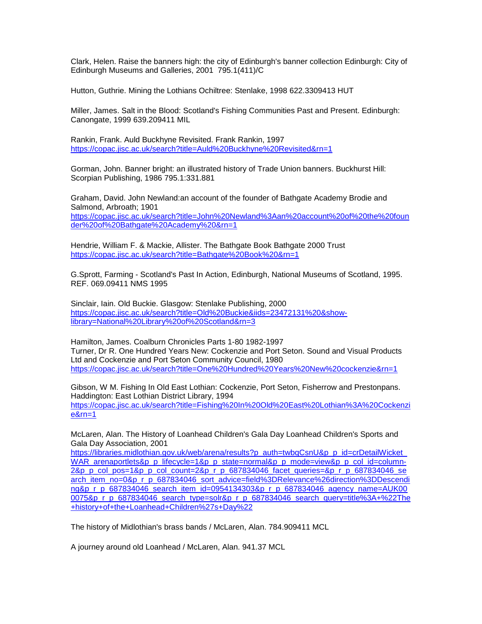Clark, Helen. Raise the banners high: the city of Edinburgh's banner collection Edinburgh: City of Edinburgh Museums and Galleries, 2001 795.1(411)/C

Hutton, Guthrie. Mining the Lothians Ochiltree: Stenlake, 1998 622.3309413 HUT

Miller, James. Salt in the Blood: Scotland's Fishing Communities Past and Present. Edinburgh: Canongate, 1999 639.209411 MIL

Rankin, Frank. Auld Buckhyne Revisited. Frank Rankin, 1997 <https://copac.jisc.ac.uk/search?title=Auld%20Buckhyne%20Revisited&rn=1>

Gorman, John. Banner bright: an illustrated history of Trade Union banners. Buckhurst Hill: Scorpian Publishing, 1986 795.1:331.881

Graham, David. John Newland:an account of the founder of Bathgate Academy Brodie and Salmond, Arbroath; 1901 [https://copac.jisc.ac.uk/search?title=John%20Newland%3Aan%20account%20of%20the%20foun](https://copac.jisc.ac.uk/search?title=John%20Newland%3Aan%20account%20of%20the%20founder%20of%20Bathgate%20Academy%20&rn=1) [der%20of%20Bathgate%20Academy%20&rn=1](https://copac.jisc.ac.uk/search?title=John%20Newland%3Aan%20account%20of%20the%20founder%20of%20Bathgate%20Academy%20&rn=1)

Hendrie, William F. & Mackie, Allister. The Bathgate Book Bathgate 2000 Trust <https://copac.jisc.ac.uk/search?title=Bathgate%20Book%20&rn=1>

G.Sprott, Farming - Scotland's Past In Action, Edinburgh, National Museums of Scotland, 1995. REF. 069.09411 NMS 1995

Sinclair, Iain. Old Buckie. Glasgow: Stenlake Publishing, 2000 [https://copac.jisc.ac.uk/search?title=Old%20Buckie&iids=23472131%20&show](https://copac.jisc.ac.uk/search?title=Old%20Buckie&iids=23472131%20&show-library=National%20Library%20of%20Scotland&rn=3)[library=National%20Library%20of%20Scotland&rn=3](https://copac.jisc.ac.uk/search?title=Old%20Buckie&iids=23472131%20&show-library=National%20Library%20of%20Scotland&rn=3)

Hamilton, James. Coalburn Chronicles Parts 1-80 1982-1997 Turner, Dr R. One Hundred Years New: Cockenzie and Port Seton. Sound and Visual Products Ltd and Cockenzie and Port Seton Community Council, 1980 <https://copac.jisc.ac.uk/search?title=One%20Hundred%20Years%20New%20cockenzie&rn=1>

Gibson, W M. Fishing In Old East Lothian: Cockenzie, Port Seton, Fisherrow and Prestonpans. Haddington: East Lothian District Library, 1994 [https://copac.jisc.ac.uk/search?title=Fishing%20In%20Old%20East%20Lothian%3A%20Cockenzi](https://copac.jisc.ac.uk/search?title=Fishing%20In%20Old%20East%20Lothian%3A%20Cockenzie&rn=1) [e&rn=1](https://copac.jisc.ac.uk/search?title=Fishing%20In%20Old%20East%20Lothian%3A%20Cockenzie&rn=1)

McLaren, Alan. The History of Loanhead Children's Gala Day Loanhead Children's Sports and Gala Day Association, 2001

https://libraries.midlothian.gov.uk/web/arena/results?p\_auth=twbqCsnU&p\_p\_id=crDetailWicket [WAR\\_arenaportlets&p\\_p\\_lifecycle=1&p\\_p\\_state=normal&p\\_p\\_mode=view&p\\_p\\_col\\_id=column-](https://libraries.midlothian.gov.uk/web/arena/results?p_auth=twbqCsnU&p_p_id=crDetailWicket_WAR_arenaportlets&p_p_lifecycle=1&p_p_state=normal&p_p_mode=view&p_p_col_id=column-2&p_p_col_pos=1&p_p_col_count=2&p_r_p_687834046_facet_queries=&p_r_p_687834046_search_item_no=0&p_r_p_687834046_sort_advice=field%3DRelevance%26direction%3DDescending&p_r_p_687834046_search_item_id=0954134303&p_r_p_687834046_agency_name=AUK000075&p_r_p_687834046_search_type=solr&p_r_p_687834046_search_query=title%3A+%22The+history+of+the+Loanhead+Children%27s+Day%22)[2&p\\_p\\_col\\_pos=1&p\\_p\\_col\\_count=2&p\\_r\\_p\\_687834046\\_facet\\_queries=&p\\_r\\_p\\_687834046\\_se](https://libraries.midlothian.gov.uk/web/arena/results?p_auth=twbqCsnU&p_p_id=crDetailWicket_WAR_arenaportlets&p_p_lifecycle=1&p_p_state=normal&p_p_mode=view&p_p_col_id=column-2&p_p_col_pos=1&p_p_col_count=2&p_r_p_687834046_facet_queries=&p_r_p_687834046_search_item_no=0&p_r_p_687834046_sort_advice=field%3DRelevance%26direction%3DDescending&p_r_p_687834046_search_item_id=0954134303&p_r_p_687834046_agency_name=AUK000075&p_r_p_687834046_search_type=solr&p_r_p_687834046_search_query=title%3A+%22The+history+of+the+Loanhead+Children%27s+Day%22) [arch\\_item\\_no=0&p\\_r\\_p\\_687834046\\_sort\\_advice=field%3DRelevance%26direction%3DDescendi](https://libraries.midlothian.gov.uk/web/arena/results?p_auth=twbqCsnU&p_p_id=crDetailWicket_WAR_arenaportlets&p_p_lifecycle=1&p_p_state=normal&p_p_mode=view&p_p_col_id=column-2&p_p_col_pos=1&p_p_col_count=2&p_r_p_687834046_facet_queries=&p_r_p_687834046_search_item_no=0&p_r_p_687834046_sort_advice=field%3DRelevance%26direction%3DDescending&p_r_p_687834046_search_item_id=0954134303&p_r_p_687834046_agency_name=AUK000075&p_r_p_687834046_search_type=solr&p_r_p_687834046_search_query=title%3A+%22The+history+of+the+Loanhead+Children%27s+Day%22) [ng&p\\_r\\_p\\_687834046\\_search\\_item\\_id=0954134303&p\\_r\\_p\\_687834046\\_agency\\_name=AUK00](https://libraries.midlothian.gov.uk/web/arena/results?p_auth=twbqCsnU&p_p_id=crDetailWicket_WAR_arenaportlets&p_p_lifecycle=1&p_p_state=normal&p_p_mode=view&p_p_col_id=column-2&p_p_col_pos=1&p_p_col_count=2&p_r_p_687834046_facet_queries=&p_r_p_687834046_search_item_no=0&p_r_p_687834046_sort_advice=field%3DRelevance%26direction%3DDescending&p_r_p_687834046_search_item_id=0954134303&p_r_p_687834046_agency_name=AUK000075&p_r_p_687834046_search_type=solr&p_r_p_687834046_search_query=title%3A+%22The+history+of+the+Loanhead+Children%27s+Day%22)\_ [0075&p\\_r\\_p\\_687834046\\_search\\_type=solr&p\\_r\\_p\\_687834046\\_search\\_query=title%3A+%22The](https://libraries.midlothian.gov.uk/web/arena/results?p_auth=twbqCsnU&p_p_id=crDetailWicket_WAR_arenaportlets&p_p_lifecycle=1&p_p_state=normal&p_p_mode=view&p_p_col_id=column-2&p_p_col_pos=1&p_p_col_count=2&p_r_p_687834046_facet_queries=&p_r_p_687834046_search_item_no=0&p_r_p_687834046_sort_advice=field%3DRelevance%26direction%3DDescending&p_r_p_687834046_search_item_id=0954134303&p_r_p_687834046_agency_name=AUK000075&p_r_p_687834046_search_type=solr&p_r_p_687834046_search_query=title%3A+%22The+history+of+the+Loanhead+Children%27s+Day%22) [+history+of+the+Loanhead+Children%27s+Day%22](https://libraries.midlothian.gov.uk/web/arena/results?p_auth=twbqCsnU&p_p_id=crDetailWicket_WAR_arenaportlets&p_p_lifecycle=1&p_p_state=normal&p_p_mode=view&p_p_col_id=column-2&p_p_col_pos=1&p_p_col_count=2&p_r_p_687834046_facet_queries=&p_r_p_687834046_search_item_no=0&p_r_p_687834046_sort_advice=field%3DRelevance%26direction%3DDescending&p_r_p_687834046_search_item_id=0954134303&p_r_p_687834046_agency_name=AUK000075&p_r_p_687834046_search_type=solr&p_r_p_687834046_search_query=title%3A+%22The+history+of+the+Loanhead+Children%27s+Day%22)

The history of Midlothian's brass bands / McLaren, Alan. 784.909411 MCL

A journey around old Loanhead / McLaren, Alan. 941.37 MCL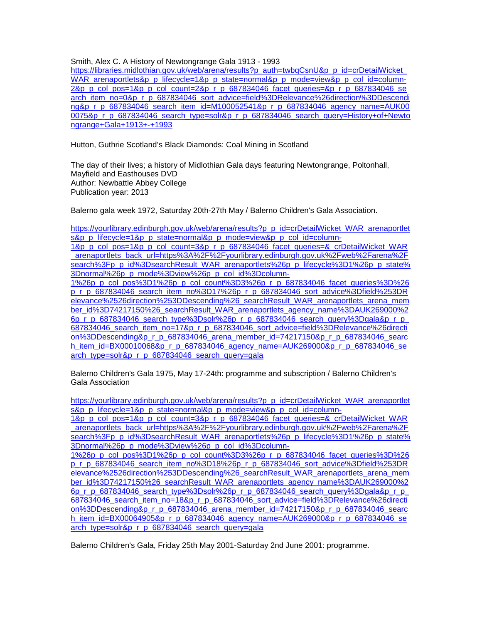Smith, Alex C. A History of Newtongrange Gala 1913 - 1993

https://libraries.midlothian.gov.uk/web/arena/results?p\_auth=twbgCsnU&p\_p\_id=crDetailWicket [WAR\\_arenaportlets&p\\_p\\_lifecycle=1&p\\_p\\_state=normal&p\\_p\\_mode=view&p\\_p\\_col\\_id=column-](https://libraries.midlothian.gov.uk/web/arena/results?p_auth=twbqCsnU&p_p_id=crDetailWicket_WAR_arenaportlets&p_p_lifecycle=1&p_p_state=normal&p_p_mode=view&p_p_col_id=column-2&p_p_col_pos=1&p_p_col_count=2&p_r_p_687834046_facet_queries=&p_r_p_687834046_search_item_no=0&p_r_p_687834046_sort_advice=field%3DRelevance%26direction%3DDescending&p_r_p_687834046_search_item_id=M100052541&p_r_p_687834046_agency_name=AUK000075&p_r_p_687834046_search_type=solr&p_r_p_687834046_search_query=History+of+Newtongrange+Gala+1913+-+1993)[2&p\\_p\\_col\\_pos=1&p\\_p\\_col\\_count=2&p\\_r\\_p\\_687834046\\_facet\\_queries=&p\\_r\\_p\\_687834046\\_se](https://libraries.midlothian.gov.uk/web/arena/results?p_auth=twbqCsnU&p_p_id=crDetailWicket_WAR_arenaportlets&p_p_lifecycle=1&p_p_state=normal&p_p_mode=view&p_p_col_id=column-2&p_p_col_pos=1&p_p_col_count=2&p_r_p_687834046_facet_queries=&p_r_p_687834046_search_item_no=0&p_r_p_687834046_sort_advice=field%3DRelevance%26direction%3DDescending&p_r_p_687834046_search_item_id=M100052541&p_r_p_687834046_agency_name=AUK000075&p_r_p_687834046_search_type=solr&p_r_p_687834046_search_query=History+of+Newtongrange+Gala+1913+-+1993) [arch\\_item\\_no=0&p\\_r\\_p\\_687834046\\_sort\\_advice=field%3DRelevance%26direction%3DDescendi](https://libraries.midlothian.gov.uk/web/arena/results?p_auth=twbqCsnU&p_p_id=crDetailWicket_WAR_arenaportlets&p_p_lifecycle=1&p_p_state=normal&p_p_mode=view&p_p_col_id=column-2&p_p_col_pos=1&p_p_col_count=2&p_r_p_687834046_facet_queries=&p_r_p_687834046_search_item_no=0&p_r_p_687834046_sort_advice=field%3DRelevance%26direction%3DDescending&p_r_p_687834046_search_item_id=M100052541&p_r_p_687834046_agency_name=AUK000075&p_r_p_687834046_search_type=solr&p_r_p_687834046_search_query=History+of+Newtongrange+Gala+1913+-+1993) [ng&p\\_r\\_p\\_687834046\\_search\\_item\\_id=M100052541&p\\_r\\_p\\_687834046\\_agency\\_name=AUK00](https://libraries.midlothian.gov.uk/web/arena/results?p_auth=twbqCsnU&p_p_id=crDetailWicket_WAR_arenaportlets&p_p_lifecycle=1&p_p_state=normal&p_p_mode=view&p_p_col_id=column-2&p_p_col_pos=1&p_p_col_count=2&p_r_p_687834046_facet_queries=&p_r_p_687834046_search_item_no=0&p_r_p_687834046_sort_advice=field%3DRelevance%26direction%3DDescending&p_r_p_687834046_search_item_id=M100052541&p_r_p_687834046_agency_name=AUK000075&p_r_p_687834046_search_type=solr&p_r_p_687834046_search_query=History+of+Newtongrange+Gala+1913+-+1993)\_ [0075&p\\_r\\_p\\_687834046\\_search\\_type=solr&p\\_r\\_p\\_687834046\\_search\\_query=History+of+Newto](https://libraries.midlothian.gov.uk/web/arena/results?p_auth=twbqCsnU&p_p_id=crDetailWicket_WAR_arenaportlets&p_p_lifecycle=1&p_p_state=normal&p_p_mode=view&p_p_col_id=column-2&p_p_col_pos=1&p_p_col_count=2&p_r_p_687834046_facet_queries=&p_r_p_687834046_search_item_no=0&p_r_p_687834046_sort_advice=field%3DRelevance%26direction%3DDescending&p_r_p_687834046_search_item_id=M100052541&p_r_p_687834046_agency_name=AUK000075&p_r_p_687834046_search_type=solr&p_r_p_687834046_search_query=History+of+Newtongrange+Gala+1913+-+1993) [ngrange+Gala+1913+-+1993](https://libraries.midlothian.gov.uk/web/arena/results?p_auth=twbqCsnU&p_p_id=crDetailWicket_WAR_arenaportlets&p_p_lifecycle=1&p_p_state=normal&p_p_mode=view&p_p_col_id=column-2&p_p_col_pos=1&p_p_col_count=2&p_r_p_687834046_facet_queries=&p_r_p_687834046_search_item_no=0&p_r_p_687834046_sort_advice=field%3DRelevance%26direction%3DDescending&p_r_p_687834046_search_item_id=M100052541&p_r_p_687834046_agency_name=AUK000075&p_r_p_687834046_search_type=solr&p_r_p_687834046_search_query=History+of+Newtongrange+Gala+1913+-+1993)

Hutton, Guthrie Scotland's Black Diamonds: Coal Mining in Scotland

The day of their lives; a history of Midlothian Gala days featuring Newtongrange, Poltonhall, Mayfield and Easthouses DVD Author: Newbattle Abbey College Publication year: 2013

Balerno gala week 1972, Saturday 20th-27th May / Balerno Children's Gala Association.

[https://yourlibrary.edinburgh.gov.uk/web/arena/results?p\\_p\\_id=crDetailWicket\\_WAR\\_arenaportlet](https://yourlibrary.edinburgh.gov.uk/web/arena/results?p_p_id=crDetailWicket_WAR_arenaportlets&p_p_lifecycle=1&p_p_state=normal&p_p_mode=view&p_p_col_id=column-1&p_p_col_pos=1&p_p_col_count=3&p_r_p_687834046_facet_queries=&_crDetailWicket_WAR_arenaportlets_back_url=https%3A%2F%2Fyourlibrary.edinburgh.gov.uk%2Fweb%2Farena%2Fsearch%3Fp_p_id%3DsearchResult_WAR_arenaportlets%26p_p_lifecycle%3D1%26p_p_state%3Dnormal%26p_p_mode%3Dview%26p_p_col_id%3Dcolumn-1%26p_p_col_pos%3D1%26p_p_col_count%3D3%26p_r_p_687834046_facet_queries%3D%26p_r_p_687834046_search_item_no%3D17%26p_r_p_687834046_sort_advice%3Dfield%253DRelevance%2526direction%253DDescending%26_searchResult_WAR_arenaportlets_arena_member_id%3D74217150%26_searchResult_WAR_arenaportlets_agency_name%3DAUK269000%26p_r_p_687834046_search_type%3Dsolr%26p_r_p_687834046_search_query%3Dgala&p_r_p_687834046_search_item_no=17&p_r_p_687834046_sort_advice=field%3DRelevance%26direction%3DDescending&p_r_p_687834046_arena_member_id=74217150&p_r_p_687834046_search_item_id=BX00010068&p_r_p_687834046_agency_name=AUK269000&p_r_p_687834046_search_type=solr&p_r_p_687834046_search_query=gala) [s&p\\_p\\_lifecycle=1&p\\_p\\_state=normal&p\\_p\\_mode=view&p\\_p\\_col\\_id=column-](https://yourlibrary.edinburgh.gov.uk/web/arena/results?p_p_id=crDetailWicket_WAR_arenaportlets&p_p_lifecycle=1&p_p_state=normal&p_p_mode=view&p_p_col_id=column-1&p_p_col_pos=1&p_p_col_count=3&p_r_p_687834046_facet_queries=&_crDetailWicket_WAR_arenaportlets_back_url=https%3A%2F%2Fyourlibrary.edinburgh.gov.uk%2Fweb%2Farena%2Fsearch%3Fp_p_id%3DsearchResult_WAR_arenaportlets%26p_p_lifecycle%3D1%26p_p_state%3Dnormal%26p_p_mode%3Dview%26p_p_col_id%3Dcolumn-1%26p_p_col_pos%3D1%26p_p_col_count%3D3%26p_r_p_687834046_facet_queries%3D%26p_r_p_687834046_search_item_no%3D17%26p_r_p_687834046_sort_advice%3Dfield%253DRelevance%2526direction%253DDescending%26_searchResult_WAR_arenaportlets_arena_member_id%3D74217150%26_searchResult_WAR_arenaportlets_agency_name%3DAUK269000%26p_r_p_687834046_search_type%3Dsolr%26p_r_p_687834046_search_query%3Dgala&p_r_p_687834046_search_item_no=17&p_r_p_687834046_sort_advice=field%3DRelevance%26direction%3DDescending&p_r_p_687834046_arena_member_id=74217150&p_r_p_687834046_search_item_id=BX00010068&p_r_p_687834046_agency_name=AUK269000&p_r_p_687834046_search_type=solr&p_r_p_687834046_search_query=gala)[1&p\\_p\\_col\\_pos=1&p\\_p\\_col\\_count=3&p\\_r\\_p\\_687834046\\_facet\\_queries=&\\_crDetailWicket\\_WAR](https://yourlibrary.edinburgh.gov.uk/web/arena/results?p_p_id=crDetailWicket_WAR_arenaportlets&p_p_lifecycle=1&p_p_state=normal&p_p_mode=view&p_p_col_id=column-1&p_p_col_pos=1&p_p_col_count=3&p_r_p_687834046_facet_queries=&_crDetailWicket_WAR_arenaportlets_back_url=https%3A%2F%2Fyourlibrary.edinburgh.gov.uk%2Fweb%2Farena%2Fsearch%3Fp_p_id%3DsearchResult_WAR_arenaportlets%26p_p_lifecycle%3D1%26p_p_state%3Dnormal%26p_p_mode%3Dview%26p_p_col_id%3Dcolumn-1%26p_p_col_pos%3D1%26p_p_col_count%3D3%26p_r_p_687834046_facet_queries%3D%26p_r_p_687834046_search_item_no%3D17%26p_r_p_687834046_sort_advice%3Dfield%253DRelevance%2526direction%253DDescending%26_searchResult_WAR_arenaportlets_arena_member_id%3D74217150%26_searchResult_WAR_arenaportlets_agency_name%3DAUK269000%26p_r_p_687834046_search_type%3Dsolr%26p_r_p_687834046_search_query%3Dgala&p_r_p_687834046_search_item_no=17&p_r_p_687834046_sort_advice=field%3DRelevance%26direction%3DDescending&p_r_p_687834046_arena_member_id=74217150&p_r_p_687834046_search_item_id=BX00010068&p_r_p_687834046_agency_name=AUK269000&p_r_p_687834046_search_type=solr&p_r_p_687834046_search_query=gala) [\\_arenaportlets\\_back\\_url=https%3A%2F%2Fyourlibrary.edinburgh.gov.uk%2Fweb%2Farena%2F](https://yourlibrary.edinburgh.gov.uk/web/arena/results?p_p_id=crDetailWicket_WAR_arenaportlets&p_p_lifecycle=1&p_p_state=normal&p_p_mode=view&p_p_col_id=column-1&p_p_col_pos=1&p_p_col_count=3&p_r_p_687834046_facet_queries=&_crDetailWicket_WAR_arenaportlets_back_url=https%3A%2F%2Fyourlibrary.edinburgh.gov.uk%2Fweb%2Farena%2Fsearch%3Fp_p_id%3DsearchResult_WAR_arenaportlets%26p_p_lifecycle%3D1%26p_p_state%3Dnormal%26p_p_mode%3Dview%26p_p_col_id%3Dcolumn-1%26p_p_col_pos%3D1%26p_p_col_count%3D3%26p_r_p_687834046_facet_queries%3D%26p_r_p_687834046_search_item_no%3D17%26p_r_p_687834046_sort_advice%3Dfield%253DRelevance%2526direction%253DDescending%26_searchResult_WAR_arenaportlets_arena_member_id%3D74217150%26_searchResult_WAR_arenaportlets_agency_name%3DAUK269000%26p_r_p_687834046_search_type%3Dsolr%26p_r_p_687834046_search_query%3Dgala&p_r_p_687834046_search_item_no=17&p_r_p_687834046_sort_advice=field%3DRelevance%26direction%3DDescending&p_r_p_687834046_arena_member_id=74217150&p_r_p_687834046_search_item_id=BX00010068&p_r_p_687834046_agency_name=AUK269000&p_r_p_687834046_search_type=solr&p_r_p_687834046_search_query=gala) [search%3Fp\\_p\\_id%3DsearchResult\\_WAR\\_arenaportlets%26p\\_p\\_lifecycle%3D1%26p\\_p\\_state%](https://yourlibrary.edinburgh.gov.uk/web/arena/results?p_p_id=crDetailWicket_WAR_arenaportlets&p_p_lifecycle=1&p_p_state=normal&p_p_mode=view&p_p_col_id=column-1&p_p_col_pos=1&p_p_col_count=3&p_r_p_687834046_facet_queries=&_crDetailWicket_WAR_arenaportlets_back_url=https%3A%2F%2Fyourlibrary.edinburgh.gov.uk%2Fweb%2Farena%2Fsearch%3Fp_p_id%3DsearchResult_WAR_arenaportlets%26p_p_lifecycle%3D1%26p_p_state%3Dnormal%26p_p_mode%3Dview%26p_p_col_id%3Dcolumn-1%26p_p_col_pos%3D1%26p_p_col_count%3D3%26p_r_p_687834046_facet_queries%3D%26p_r_p_687834046_search_item_no%3D17%26p_r_p_687834046_sort_advice%3Dfield%253DRelevance%2526direction%253DDescending%26_searchResult_WAR_arenaportlets_arena_member_id%3D74217150%26_searchResult_WAR_arenaportlets_agency_name%3DAUK269000%26p_r_p_687834046_search_type%3Dsolr%26p_r_p_687834046_search_query%3Dgala&p_r_p_687834046_search_item_no=17&p_r_p_687834046_sort_advice=field%3DRelevance%26direction%3DDescending&p_r_p_687834046_arena_member_id=74217150&p_r_p_687834046_search_item_id=BX00010068&p_r_p_687834046_agency_name=AUK269000&p_r_p_687834046_search_type=solr&p_r_p_687834046_search_query=gala) [3Dnormal%26p\\_p\\_mode%3Dview%26p\\_p\\_col\\_id%3Dcolumn-](https://yourlibrary.edinburgh.gov.uk/web/arena/results?p_p_id=crDetailWicket_WAR_arenaportlets&p_p_lifecycle=1&p_p_state=normal&p_p_mode=view&p_p_col_id=column-1&p_p_col_pos=1&p_p_col_count=3&p_r_p_687834046_facet_queries=&_crDetailWicket_WAR_arenaportlets_back_url=https%3A%2F%2Fyourlibrary.edinburgh.gov.uk%2Fweb%2Farena%2Fsearch%3Fp_p_id%3DsearchResult_WAR_arenaportlets%26p_p_lifecycle%3D1%26p_p_state%3Dnormal%26p_p_mode%3Dview%26p_p_col_id%3Dcolumn-1%26p_p_col_pos%3D1%26p_p_col_count%3D3%26p_r_p_687834046_facet_queries%3D%26p_r_p_687834046_search_item_no%3D17%26p_r_p_687834046_sort_advice%3Dfield%253DRelevance%2526direction%253DDescending%26_searchResult_WAR_arenaportlets_arena_member_id%3D74217150%26_searchResult_WAR_arenaportlets_agency_name%3DAUK269000%26p_r_p_687834046_search_type%3Dsolr%26p_r_p_687834046_search_query%3Dgala&p_r_p_687834046_search_item_no=17&p_r_p_687834046_sort_advice=field%3DRelevance%26direction%3DDescending&p_r_p_687834046_arena_member_id=74217150&p_r_p_687834046_search_item_id=BX00010068&p_r_p_687834046_agency_name=AUK269000&p_r_p_687834046_search_type=solr&p_r_p_687834046_search_query=gala)[1%26p\\_p\\_col\\_pos%3D1%26p\\_p\\_col\\_count%3D3%26p\\_r\\_p\\_687834046\\_facet\\_queries%3D%26](https://yourlibrary.edinburgh.gov.uk/web/arena/results?p_p_id=crDetailWicket_WAR_arenaportlets&p_p_lifecycle=1&p_p_state=normal&p_p_mode=view&p_p_col_id=column-1&p_p_col_pos=1&p_p_col_count=3&p_r_p_687834046_facet_queries=&_crDetailWicket_WAR_arenaportlets_back_url=https%3A%2F%2Fyourlibrary.edinburgh.gov.uk%2Fweb%2Farena%2Fsearch%3Fp_p_id%3DsearchResult_WAR_arenaportlets%26p_p_lifecycle%3D1%26p_p_state%3Dnormal%26p_p_mode%3Dview%26p_p_col_id%3Dcolumn-1%26p_p_col_pos%3D1%26p_p_col_count%3D3%26p_r_p_687834046_facet_queries%3D%26p_r_p_687834046_search_item_no%3D17%26p_r_p_687834046_sort_advice%3Dfield%253DRelevance%2526direction%253DDescending%26_searchResult_WAR_arenaportlets_arena_member_id%3D74217150%26_searchResult_WAR_arenaportlets_agency_name%3DAUK269000%26p_r_p_687834046_search_type%3Dsolr%26p_r_p_687834046_search_query%3Dgala&p_r_p_687834046_search_item_no=17&p_r_p_687834046_sort_advice=field%3DRelevance%26direction%3DDescending&p_r_p_687834046_arena_member_id=74217150&p_r_p_687834046_search_item_id=BX00010068&p_r_p_687834046_agency_name=AUK269000&p_r_p_687834046_search_type=solr&p_r_p_687834046_search_query=gala) [p\\_r\\_p\\_687834046\\_search\\_item\\_no%3D17%26p\\_r\\_p\\_687834046\\_sort\\_advice%3Dfield%253DR](https://yourlibrary.edinburgh.gov.uk/web/arena/results?p_p_id=crDetailWicket_WAR_arenaportlets&p_p_lifecycle=1&p_p_state=normal&p_p_mode=view&p_p_col_id=column-1&p_p_col_pos=1&p_p_col_count=3&p_r_p_687834046_facet_queries=&_crDetailWicket_WAR_arenaportlets_back_url=https%3A%2F%2Fyourlibrary.edinburgh.gov.uk%2Fweb%2Farena%2Fsearch%3Fp_p_id%3DsearchResult_WAR_arenaportlets%26p_p_lifecycle%3D1%26p_p_state%3Dnormal%26p_p_mode%3Dview%26p_p_col_id%3Dcolumn-1%26p_p_col_pos%3D1%26p_p_col_count%3D3%26p_r_p_687834046_facet_queries%3D%26p_r_p_687834046_search_item_no%3D17%26p_r_p_687834046_sort_advice%3Dfield%253DRelevance%2526direction%253DDescending%26_searchResult_WAR_arenaportlets_arena_member_id%3D74217150%26_searchResult_WAR_arenaportlets_agency_name%3DAUK269000%26p_r_p_687834046_search_type%3Dsolr%26p_r_p_687834046_search_query%3Dgala&p_r_p_687834046_search_item_no=17&p_r_p_687834046_sort_advice=field%3DRelevance%26direction%3DDescending&p_r_p_687834046_arena_member_id=74217150&p_r_p_687834046_search_item_id=BX00010068&p_r_p_687834046_agency_name=AUK269000&p_r_p_687834046_search_type=solr&p_r_p_687834046_search_query=gala) [elevance%2526direction%253DDescending%26\\_searchResult\\_WAR\\_arenaportlets\\_arena\\_mem](https://yourlibrary.edinburgh.gov.uk/web/arena/results?p_p_id=crDetailWicket_WAR_arenaportlets&p_p_lifecycle=1&p_p_state=normal&p_p_mode=view&p_p_col_id=column-1&p_p_col_pos=1&p_p_col_count=3&p_r_p_687834046_facet_queries=&_crDetailWicket_WAR_arenaportlets_back_url=https%3A%2F%2Fyourlibrary.edinburgh.gov.uk%2Fweb%2Farena%2Fsearch%3Fp_p_id%3DsearchResult_WAR_arenaportlets%26p_p_lifecycle%3D1%26p_p_state%3Dnormal%26p_p_mode%3Dview%26p_p_col_id%3Dcolumn-1%26p_p_col_pos%3D1%26p_p_col_count%3D3%26p_r_p_687834046_facet_queries%3D%26p_r_p_687834046_search_item_no%3D17%26p_r_p_687834046_sort_advice%3Dfield%253DRelevance%2526direction%253DDescending%26_searchResult_WAR_arenaportlets_arena_member_id%3D74217150%26_searchResult_WAR_arenaportlets_agency_name%3DAUK269000%26p_r_p_687834046_search_type%3Dsolr%26p_r_p_687834046_search_query%3Dgala&p_r_p_687834046_search_item_no=17&p_r_p_687834046_sort_advice=field%3DRelevance%26direction%3DDescending&p_r_p_687834046_arena_member_id=74217150&p_r_p_687834046_search_item_id=BX00010068&p_r_p_687834046_agency_name=AUK269000&p_r_p_687834046_search_type=solr&p_r_p_687834046_search_query=gala) [ber\\_id%3D74217150%26\\_searchResult\\_WAR\\_arenaportlets\\_agency\\_name%3DAUK269000%2](https://yourlibrary.edinburgh.gov.uk/web/arena/results?p_p_id=crDetailWicket_WAR_arenaportlets&p_p_lifecycle=1&p_p_state=normal&p_p_mode=view&p_p_col_id=column-1&p_p_col_pos=1&p_p_col_count=3&p_r_p_687834046_facet_queries=&_crDetailWicket_WAR_arenaportlets_back_url=https%3A%2F%2Fyourlibrary.edinburgh.gov.uk%2Fweb%2Farena%2Fsearch%3Fp_p_id%3DsearchResult_WAR_arenaportlets%26p_p_lifecycle%3D1%26p_p_state%3Dnormal%26p_p_mode%3Dview%26p_p_col_id%3Dcolumn-1%26p_p_col_pos%3D1%26p_p_col_count%3D3%26p_r_p_687834046_facet_queries%3D%26p_r_p_687834046_search_item_no%3D17%26p_r_p_687834046_sort_advice%3Dfield%253DRelevance%2526direction%253DDescending%26_searchResult_WAR_arenaportlets_arena_member_id%3D74217150%26_searchResult_WAR_arenaportlets_agency_name%3DAUK269000%26p_r_p_687834046_search_type%3Dsolr%26p_r_p_687834046_search_query%3Dgala&p_r_p_687834046_search_item_no=17&p_r_p_687834046_sort_advice=field%3DRelevance%26direction%3DDescending&p_r_p_687834046_arena_member_id=74217150&p_r_p_687834046_search_item_id=BX00010068&p_r_p_687834046_agency_name=AUK269000&p_r_p_687834046_search_type=solr&p_r_p_687834046_search_query=gala) [6p\\_r\\_p\\_687834046\\_search\\_type%3Dsolr%26p\\_r\\_p\\_687834046\\_search\\_query%3Dgala&p\\_r\\_p\\_](https://yourlibrary.edinburgh.gov.uk/web/arena/results?p_p_id=crDetailWicket_WAR_arenaportlets&p_p_lifecycle=1&p_p_state=normal&p_p_mode=view&p_p_col_id=column-1&p_p_col_pos=1&p_p_col_count=3&p_r_p_687834046_facet_queries=&_crDetailWicket_WAR_arenaportlets_back_url=https%3A%2F%2Fyourlibrary.edinburgh.gov.uk%2Fweb%2Farena%2Fsearch%3Fp_p_id%3DsearchResult_WAR_arenaportlets%26p_p_lifecycle%3D1%26p_p_state%3Dnormal%26p_p_mode%3Dview%26p_p_col_id%3Dcolumn-1%26p_p_col_pos%3D1%26p_p_col_count%3D3%26p_r_p_687834046_facet_queries%3D%26p_r_p_687834046_search_item_no%3D17%26p_r_p_687834046_sort_advice%3Dfield%253DRelevance%2526direction%253DDescending%26_searchResult_WAR_arenaportlets_arena_member_id%3D74217150%26_searchResult_WAR_arenaportlets_agency_name%3DAUK269000%26p_r_p_687834046_search_type%3Dsolr%26p_r_p_687834046_search_query%3Dgala&p_r_p_687834046_search_item_no=17&p_r_p_687834046_sort_advice=field%3DRelevance%26direction%3DDescending&p_r_p_687834046_arena_member_id=74217150&p_r_p_687834046_search_item_id=BX00010068&p_r_p_687834046_agency_name=AUK269000&p_r_p_687834046_search_type=solr&p_r_p_687834046_search_query=gala) [687834046\\_search\\_item\\_no=17&p\\_r\\_p\\_687834046\\_sort\\_advice=field%3DRelevance%26directi](https://yourlibrary.edinburgh.gov.uk/web/arena/results?p_p_id=crDetailWicket_WAR_arenaportlets&p_p_lifecycle=1&p_p_state=normal&p_p_mode=view&p_p_col_id=column-1&p_p_col_pos=1&p_p_col_count=3&p_r_p_687834046_facet_queries=&_crDetailWicket_WAR_arenaportlets_back_url=https%3A%2F%2Fyourlibrary.edinburgh.gov.uk%2Fweb%2Farena%2Fsearch%3Fp_p_id%3DsearchResult_WAR_arenaportlets%26p_p_lifecycle%3D1%26p_p_state%3Dnormal%26p_p_mode%3Dview%26p_p_col_id%3Dcolumn-1%26p_p_col_pos%3D1%26p_p_col_count%3D3%26p_r_p_687834046_facet_queries%3D%26p_r_p_687834046_search_item_no%3D17%26p_r_p_687834046_sort_advice%3Dfield%253DRelevance%2526direction%253DDescending%26_searchResult_WAR_arenaportlets_arena_member_id%3D74217150%26_searchResult_WAR_arenaportlets_agency_name%3DAUK269000%26p_r_p_687834046_search_type%3Dsolr%26p_r_p_687834046_search_query%3Dgala&p_r_p_687834046_search_item_no=17&p_r_p_687834046_sort_advice=field%3DRelevance%26direction%3DDescending&p_r_p_687834046_arena_member_id=74217150&p_r_p_687834046_search_item_id=BX00010068&p_r_p_687834046_agency_name=AUK269000&p_r_p_687834046_search_type=solr&p_r_p_687834046_search_query=gala) [on%3DDescending&p\\_r\\_p\\_687834046\\_arena\\_member\\_id=74217150&p\\_r\\_p\\_687834046\\_searc](https://yourlibrary.edinburgh.gov.uk/web/arena/results?p_p_id=crDetailWicket_WAR_arenaportlets&p_p_lifecycle=1&p_p_state=normal&p_p_mode=view&p_p_col_id=column-1&p_p_col_pos=1&p_p_col_count=3&p_r_p_687834046_facet_queries=&_crDetailWicket_WAR_arenaportlets_back_url=https%3A%2F%2Fyourlibrary.edinburgh.gov.uk%2Fweb%2Farena%2Fsearch%3Fp_p_id%3DsearchResult_WAR_arenaportlets%26p_p_lifecycle%3D1%26p_p_state%3Dnormal%26p_p_mode%3Dview%26p_p_col_id%3Dcolumn-1%26p_p_col_pos%3D1%26p_p_col_count%3D3%26p_r_p_687834046_facet_queries%3D%26p_r_p_687834046_search_item_no%3D17%26p_r_p_687834046_sort_advice%3Dfield%253DRelevance%2526direction%253DDescending%26_searchResult_WAR_arenaportlets_arena_member_id%3D74217150%26_searchResult_WAR_arenaportlets_agency_name%3DAUK269000%26p_r_p_687834046_search_type%3Dsolr%26p_r_p_687834046_search_query%3Dgala&p_r_p_687834046_search_item_no=17&p_r_p_687834046_sort_advice=field%3DRelevance%26direction%3DDescending&p_r_p_687834046_arena_member_id=74217150&p_r_p_687834046_search_item_id=BX00010068&p_r_p_687834046_agency_name=AUK269000&p_r_p_687834046_search_type=solr&p_r_p_687834046_search_query=gala) [h\\_item\\_id=BX00010068&p\\_r\\_p\\_687834046\\_agency\\_name=AUK269000&p\\_r\\_p\\_687834046\\_se](https://yourlibrary.edinburgh.gov.uk/web/arena/results?p_p_id=crDetailWicket_WAR_arenaportlets&p_p_lifecycle=1&p_p_state=normal&p_p_mode=view&p_p_col_id=column-1&p_p_col_pos=1&p_p_col_count=3&p_r_p_687834046_facet_queries=&_crDetailWicket_WAR_arenaportlets_back_url=https%3A%2F%2Fyourlibrary.edinburgh.gov.uk%2Fweb%2Farena%2Fsearch%3Fp_p_id%3DsearchResult_WAR_arenaportlets%26p_p_lifecycle%3D1%26p_p_state%3Dnormal%26p_p_mode%3Dview%26p_p_col_id%3Dcolumn-1%26p_p_col_pos%3D1%26p_p_col_count%3D3%26p_r_p_687834046_facet_queries%3D%26p_r_p_687834046_search_item_no%3D17%26p_r_p_687834046_sort_advice%3Dfield%253DRelevance%2526direction%253DDescending%26_searchResult_WAR_arenaportlets_arena_member_id%3D74217150%26_searchResult_WAR_arenaportlets_agency_name%3DAUK269000%26p_r_p_687834046_search_type%3Dsolr%26p_r_p_687834046_search_query%3Dgala&p_r_p_687834046_search_item_no=17&p_r_p_687834046_sort_advice=field%3DRelevance%26direction%3DDescending&p_r_p_687834046_arena_member_id=74217150&p_r_p_687834046_search_item_id=BX00010068&p_r_p_687834046_agency_name=AUK269000&p_r_p_687834046_search_type=solr&p_r_p_687834046_search_query=gala) [arch\\_type=solr&p\\_r\\_p\\_687834046\\_search\\_query=gala](https://yourlibrary.edinburgh.gov.uk/web/arena/results?p_p_id=crDetailWicket_WAR_arenaportlets&p_p_lifecycle=1&p_p_state=normal&p_p_mode=view&p_p_col_id=column-1&p_p_col_pos=1&p_p_col_count=3&p_r_p_687834046_facet_queries=&_crDetailWicket_WAR_arenaportlets_back_url=https%3A%2F%2Fyourlibrary.edinburgh.gov.uk%2Fweb%2Farena%2Fsearch%3Fp_p_id%3DsearchResult_WAR_arenaportlets%26p_p_lifecycle%3D1%26p_p_state%3Dnormal%26p_p_mode%3Dview%26p_p_col_id%3Dcolumn-1%26p_p_col_pos%3D1%26p_p_col_count%3D3%26p_r_p_687834046_facet_queries%3D%26p_r_p_687834046_search_item_no%3D17%26p_r_p_687834046_sort_advice%3Dfield%253DRelevance%2526direction%253DDescending%26_searchResult_WAR_arenaportlets_arena_member_id%3D74217150%26_searchResult_WAR_arenaportlets_agency_name%3DAUK269000%26p_r_p_687834046_search_type%3Dsolr%26p_r_p_687834046_search_query%3Dgala&p_r_p_687834046_search_item_no=17&p_r_p_687834046_sort_advice=field%3DRelevance%26direction%3DDescending&p_r_p_687834046_arena_member_id=74217150&p_r_p_687834046_search_item_id=BX00010068&p_r_p_687834046_agency_name=AUK269000&p_r_p_687834046_search_type=solr&p_r_p_687834046_search_query=gala)

Balerno Children's Gala 1975, May 17-24th: programme and subscription / Balerno Children's Gala Association

[https://yourlibrary.edinburgh.gov.uk/web/arena/results?p\\_p\\_id=crDetailWicket\\_WAR\\_arenaportlet](https://yourlibrary.edinburgh.gov.uk/web/arena/results?p_p_id=crDetailWicket_WAR_arenaportlets&p_p_lifecycle=1&p_p_state=normal&p_p_mode=view&p_p_col_id=column-1&p_p_col_pos=1&p_p_col_count=3&p_r_p_687834046_facet_queries=&_crDetailWicket_WAR_arenaportlets_back_url=https%3A%2F%2Fyourlibrary.edinburgh.gov.uk%2Fweb%2Farena%2Fsearch%3Fp_p_id%3DsearchResult_WAR_arenaportlets%26p_p_lifecycle%3D1%26p_p_state%3Dnormal%26p_p_mode%3Dview%26p_p_col_id%3Dcolumn-1%26p_p_col_pos%3D1%26p_p_col_count%3D3%26p_r_p_687834046_facet_queries%3D%26p_r_p_687834046_search_item_no%3D18%26p_r_p_687834046_sort_advice%3Dfield%253DRelevance%2526direction%253DDescending%26_searchResult_WAR_arenaportlets_arena_member_id%3D74217150%26_searchResult_WAR_arenaportlets_agency_name%3DAUK269000%26p_r_p_687834046_search_type%3Dsolr%26p_r_p_687834046_search_query%3Dgala&p_r_p_687834046_search_item_no=18&p_r_p_687834046_sort_advice=field%3DRelevance%26direction%3DDescending&p_r_p_687834046_arena_member_id=74217150&p_r_p_687834046_search_item_id=BX00064905&p_r_p_687834046_agency_name=AUK269000&p_r_p_687834046_search_type=solr&p_r_p_687834046_search_query=gala) [s&p\\_p\\_lifecycle=1&p\\_p\\_state=normal&p\\_p\\_mode=view&p\\_p\\_col\\_id=column-](https://yourlibrary.edinburgh.gov.uk/web/arena/results?p_p_id=crDetailWicket_WAR_arenaportlets&p_p_lifecycle=1&p_p_state=normal&p_p_mode=view&p_p_col_id=column-1&p_p_col_pos=1&p_p_col_count=3&p_r_p_687834046_facet_queries=&_crDetailWicket_WAR_arenaportlets_back_url=https%3A%2F%2Fyourlibrary.edinburgh.gov.uk%2Fweb%2Farena%2Fsearch%3Fp_p_id%3DsearchResult_WAR_arenaportlets%26p_p_lifecycle%3D1%26p_p_state%3Dnormal%26p_p_mode%3Dview%26p_p_col_id%3Dcolumn-1%26p_p_col_pos%3D1%26p_p_col_count%3D3%26p_r_p_687834046_facet_queries%3D%26p_r_p_687834046_search_item_no%3D18%26p_r_p_687834046_sort_advice%3Dfield%253DRelevance%2526direction%253DDescending%26_searchResult_WAR_arenaportlets_arena_member_id%3D74217150%26_searchResult_WAR_arenaportlets_agency_name%3DAUK269000%26p_r_p_687834046_search_type%3Dsolr%26p_r_p_687834046_search_query%3Dgala&p_r_p_687834046_search_item_no=18&p_r_p_687834046_sort_advice=field%3DRelevance%26direction%3DDescending&p_r_p_687834046_arena_member_id=74217150&p_r_p_687834046_search_item_id=BX00064905&p_r_p_687834046_agency_name=AUK269000&p_r_p_687834046_search_type=solr&p_r_p_687834046_search_query=gala)

[1&p\\_p\\_col\\_pos=1&p\\_p\\_col\\_count=3&p\\_r\\_p\\_687834046\\_facet\\_queries=&\\_crDetailWicket\\_WAR](https://yourlibrary.edinburgh.gov.uk/web/arena/results?p_p_id=crDetailWicket_WAR_arenaportlets&p_p_lifecycle=1&p_p_state=normal&p_p_mode=view&p_p_col_id=column-1&p_p_col_pos=1&p_p_col_count=3&p_r_p_687834046_facet_queries=&_crDetailWicket_WAR_arenaportlets_back_url=https%3A%2F%2Fyourlibrary.edinburgh.gov.uk%2Fweb%2Farena%2Fsearch%3Fp_p_id%3DsearchResult_WAR_arenaportlets%26p_p_lifecycle%3D1%26p_p_state%3Dnormal%26p_p_mode%3Dview%26p_p_col_id%3Dcolumn-1%26p_p_col_pos%3D1%26p_p_col_count%3D3%26p_r_p_687834046_facet_queries%3D%26p_r_p_687834046_search_item_no%3D18%26p_r_p_687834046_sort_advice%3Dfield%253DRelevance%2526direction%253DDescending%26_searchResult_WAR_arenaportlets_arena_member_id%3D74217150%26_searchResult_WAR_arenaportlets_agency_name%3DAUK269000%26p_r_p_687834046_search_type%3Dsolr%26p_r_p_687834046_search_query%3Dgala&p_r_p_687834046_search_item_no=18&p_r_p_687834046_sort_advice=field%3DRelevance%26direction%3DDescending&p_r_p_687834046_arena_member_id=74217150&p_r_p_687834046_search_item_id=BX00064905&p_r_p_687834046_agency_name=AUK269000&p_r_p_687834046_search_type=solr&p_r_p_687834046_search_query=gala) [\\_arenaportlets\\_back\\_url=https%3A%2F%2Fyourlibrary.edinburgh.gov.uk%2Fweb%2Farena%2F](https://yourlibrary.edinburgh.gov.uk/web/arena/results?p_p_id=crDetailWicket_WAR_arenaportlets&p_p_lifecycle=1&p_p_state=normal&p_p_mode=view&p_p_col_id=column-1&p_p_col_pos=1&p_p_col_count=3&p_r_p_687834046_facet_queries=&_crDetailWicket_WAR_arenaportlets_back_url=https%3A%2F%2Fyourlibrary.edinburgh.gov.uk%2Fweb%2Farena%2Fsearch%3Fp_p_id%3DsearchResult_WAR_arenaportlets%26p_p_lifecycle%3D1%26p_p_state%3Dnormal%26p_p_mode%3Dview%26p_p_col_id%3Dcolumn-1%26p_p_col_pos%3D1%26p_p_col_count%3D3%26p_r_p_687834046_facet_queries%3D%26p_r_p_687834046_search_item_no%3D18%26p_r_p_687834046_sort_advice%3Dfield%253DRelevance%2526direction%253DDescending%26_searchResult_WAR_arenaportlets_arena_member_id%3D74217150%26_searchResult_WAR_arenaportlets_agency_name%3DAUK269000%26p_r_p_687834046_search_type%3Dsolr%26p_r_p_687834046_search_query%3Dgala&p_r_p_687834046_search_item_no=18&p_r_p_687834046_sort_advice=field%3DRelevance%26direction%3DDescending&p_r_p_687834046_arena_member_id=74217150&p_r_p_687834046_search_item_id=BX00064905&p_r_p_687834046_agency_name=AUK269000&p_r_p_687834046_search_type=solr&p_r_p_687834046_search_query=gala) [search%3Fp\\_p\\_id%3DsearchResult\\_WAR\\_arenaportlets%26p\\_p\\_lifecycle%3D1%26p\\_p\\_state%](https://yourlibrary.edinburgh.gov.uk/web/arena/results?p_p_id=crDetailWicket_WAR_arenaportlets&p_p_lifecycle=1&p_p_state=normal&p_p_mode=view&p_p_col_id=column-1&p_p_col_pos=1&p_p_col_count=3&p_r_p_687834046_facet_queries=&_crDetailWicket_WAR_arenaportlets_back_url=https%3A%2F%2Fyourlibrary.edinburgh.gov.uk%2Fweb%2Farena%2Fsearch%3Fp_p_id%3DsearchResult_WAR_arenaportlets%26p_p_lifecycle%3D1%26p_p_state%3Dnormal%26p_p_mode%3Dview%26p_p_col_id%3Dcolumn-1%26p_p_col_pos%3D1%26p_p_col_count%3D3%26p_r_p_687834046_facet_queries%3D%26p_r_p_687834046_search_item_no%3D18%26p_r_p_687834046_sort_advice%3Dfield%253DRelevance%2526direction%253DDescending%26_searchResult_WAR_arenaportlets_arena_member_id%3D74217150%26_searchResult_WAR_arenaportlets_agency_name%3DAUK269000%26p_r_p_687834046_search_type%3Dsolr%26p_r_p_687834046_search_query%3Dgala&p_r_p_687834046_search_item_no=18&p_r_p_687834046_sort_advice=field%3DRelevance%26direction%3DDescending&p_r_p_687834046_arena_member_id=74217150&p_r_p_687834046_search_item_id=BX00064905&p_r_p_687834046_agency_name=AUK269000&p_r_p_687834046_search_type=solr&p_r_p_687834046_search_query=gala) [3Dnormal%26p\\_p\\_mode%3Dview%26p\\_p\\_col\\_id%3Dcolumn-](https://yourlibrary.edinburgh.gov.uk/web/arena/results?p_p_id=crDetailWicket_WAR_arenaportlets&p_p_lifecycle=1&p_p_state=normal&p_p_mode=view&p_p_col_id=column-1&p_p_col_pos=1&p_p_col_count=3&p_r_p_687834046_facet_queries=&_crDetailWicket_WAR_arenaportlets_back_url=https%3A%2F%2Fyourlibrary.edinburgh.gov.uk%2Fweb%2Farena%2Fsearch%3Fp_p_id%3DsearchResult_WAR_arenaportlets%26p_p_lifecycle%3D1%26p_p_state%3Dnormal%26p_p_mode%3Dview%26p_p_col_id%3Dcolumn-1%26p_p_col_pos%3D1%26p_p_col_count%3D3%26p_r_p_687834046_facet_queries%3D%26p_r_p_687834046_search_item_no%3D18%26p_r_p_687834046_sort_advice%3Dfield%253DRelevance%2526direction%253DDescending%26_searchResult_WAR_arenaportlets_arena_member_id%3D74217150%26_searchResult_WAR_arenaportlets_agency_name%3DAUK269000%26p_r_p_687834046_search_type%3Dsolr%26p_r_p_687834046_search_query%3Dgala&p_r_p_687834046_search_item_no=18&p_r_p_687834046_sort_advice=field%3DRelevance%26direction%3DDescending&p_r_p_687834046_arena_member_id=74217150&p_r_p_687834046_search_item_id=BX00064905&p_r_p_687834046_agency_name=AUK269000&p_r_p_687834046_search_type=solr&p_r_p_687834046_search_query=gala)

[1%26p\\_p\\_col\\_pos%3D1%26p\\_p\\_col\\_count%3D3%26p\\_r\\_p\\_687834046\\_facet\\_queries%3D%26](https://yourlibrary.edinburgh.gov.uk/web/arena/results?p_p_id=crDetailWicket_WAR_arenaportlets&p_p_lifecycle=1&p_p_state=normal&p_p_mode=view&p_p_col_id=column-1&p_p_col_pos=1&p_p_col_count=3&p_r_p_687834046_facet_queries=&_crDetailWicket_WAR_arenaportlets_back_url=https%3A%2F%2Fyourlibrary.edinburgh.gov.uk%2Fweb%2Farena%2Fsearch%3Fp_p_id%3DsearchResult_WAR_arenaportlets%26p_p_lifecycle%3D1%26p_p_state%3Dnormal%26p_p_mode%3Dview%26p_p_col_id%3Dcolumn-1%26p_p_col_pos%3D1%26p_p_col_count%3D3%26p_r_p_687834046_facet_queries%3D%26p_r_p_687834046_search_item_no%3D18%26p_r_p_687834046_sort_advice%3Dfield%253DRelevance%2526direction%253DDescending%26_searchResult_WAR_arenaportlets_arena_member_id%3D74217150%26_searchResult_WAR_arenaportlets_agency_name%3DAUK269000%26p_r_p_687834046_search_type%3Dsolr%26p_r_p_687834046_search_query%3Dgala&p_r_p_687834046_search_item_no=18&p_r_p_687834046_sort_advice=field%3DRelevance%26direction%3DDescending&p_r_p_687834046_arena_member_id=74217150&p_r_p_687834046_search_item_id=BX00064905&p_r_p_687834046_agency_name=AUK269000&p_r_p_687834046_search_type=solr&p_r_p_687834046_search_query=gala) [p\\_r\\_p\\_687834046\\_search\\_item\\_no%3D18%26p\\_r\\_p\\_687834046\\_sort\\_advice%3Dfield%253DR](https://yourlibrary.edinburgh.gov.uk/web/arena/results?p_p_id=crDetailWicket_WAR_arenaportlets&p_p_lifecycle=1&p_p_state=normal&p_p_mode=view&p_p_col_id=column-1&p_p_col_pos=1&p_p_col_count=3&p_r_p_687834046_facet_queries=&_crDetailWicket_WAR_arenaportlets_back_url=https%3A%2F%2Fyourlibrary.edinburgh.gov.uk%2Fweb%2Farena%2Fsearch%3Fp_p_id%3DsearchResult_WAR_arenaportlets%26p_p_lifecycle%3D1%26p_p_state%3Dnormal%26p_p_mode%3Dview%26p_p_col_id%3Dcolumn-1%26p_p_col_pos%3D1%26p_p_col_count%3D3%26p_r_p_687834046_facet_queries%3D%26p_r_p_687834046_search_item_no%3D18%26p_r_p_687834046_sort_advice%3Dfield%253DRelevance%2526direction%253DDescending%26_searchResult_WAR_arenaportlets_arena_member_id%3D74217150%26_searchResult_WAR_arenaportlets_agency_name%3DAUK269000%26p_r_p_687834046_search_type%3Dsolr%26p_r_p_687834046_search_query%3Dgala&p_r_p_687834046_search_item_no=18&p_r_p_687834046_sort_advice=field%3DRelevance%26direction%3DDescending&p_r_p_687834046_arena_member_id=74217150&p_r_p_687834046_search_item_id=BX00064905&p_r_p_687834046_agency_name=AUK269000&p_r_p_687834046_search_type=solr&p_r_p_687834046_search_query=gala) [elevance%2526direction%253DDescending%26\\_searchResult\\_WAR\\_arenaportlets\\_arena\\_mem](https://yourlibrary.edinburgh.gov.uk/web/arena/results?p_p_id=crDetailWicket_WAR_arenaportlets&p_p_lifecycle=1&p_p_state=normal&p_p_mode=view&p_p_col_id=column-1&p_p_col_pos=1&p_p_col_count=3&p_r_p_687834046_facet_queries=&_crDetailWicket_WAR_arenaportlets_back_url=https%3A%2F%2Fyourlibrary.edinburgh.gov.uk%2Fweb%2Farena%2Fsearch%3Fp_p_id%3DsearchResult_WAR_arenaportlets%26p_p_lifecycle%3D1%26p_p_state%3Dnormal%26p_p_mode%3Dview%26p_p_col_id%3Dcolumn-1%26p_p_col_pos%3D1%26p_p_col_count%3D3%26p_r_p_687834046_facet_queries%3D%26p_r_p_687834046_search_item_no%3D18%26p_r_p_687834046_sort_advice%3Dfield%253DRelevance%2526direction%253DDescending%26_searchResult_WAR_arenaportlets_arena_member_id%3D74217150%26_searchResult_WAR_arenaportlets_agency_name%3DAUK269000%26p_r_p_687834046_search_type%3Dsolr%26p_r_p_687834046_search_query%3Dgala&p_r_p_687834046_search_item_no=18&p_r_p_687834046_sort_advice=field%3DRelevance%26direction%3DDescending&p_r_p_687834046_arena_member_id=74217150&p_r_p_687834046_search_item_id=BX00064905&p_r_p_687834046_agency_name=AUK269000&p_r_p_687834046_search_type=solr&p_r_p_687834046_search_query=gala) [ber\\_id%3D74217150%26\\_searchResult\\_WAR\\_arenaportlets\\_agency\\_name%3DAUK269000%2](https://yourlibrary.edinburgh.gov.uk/web/arena/results?p_p_id=crDetailWicket_WAR_arenaportlets&p_p_lifecycle=1&p_p_state=normal&p_p_mode=view&p_p_col_id=column-1&p_p_col_pos=1&p_p_col_count=3&p_r_p_687834046_facet_queries=&_crDetailWicket_WAR_arenaportlets_back_url=https%3A%2F%2Fyourlibrary.edinburgh.gov.uk%2Fweb%2Farena%2Fsearch%3Fp_p_id%3DsearchResult_WAR_arenaportlets%26p_p_lifecycle%3D1%26p_p_state%3Dnormal%26p_p_mode%3Dview%26p_p_col_id%3Dcolumn-1%26p_p_col_pos%3D1%26p_p_col_count%3D3%26p_r_p_687834046_facet_queries%3D%26p_r_p_687834046_search_item_no%3D18%26p_r_p_687834046_sort_advice%3Dfield%253DRelevance%2526direction%253DDescending%26_searchResult_WAR_arenaportlets_arena_member_id%3D74217150%26_searchResult_WAR_arenaportlets_agency_name%3DAUK269000%26p_r_p_687834046_search_type%3Dsolr%26p_r_p_687834046_search_query%3Dgala&p_r_p_687834046_search_item_no=18&p_r_p_687834046_sort_advice=field%3DRelevance%26direction%3DDescending&p_r_p_687834046_arena_member_id=74217150&p_r_p_687834046_search_item_id=BX00064905&p_r_p_687834046_agency_name=AUK269000&p_r_p_687834046_search_type=solr&p_r_p_687834046_search_query=gala) [6p\\_r\\_p\\_687834046\\_search\\_type%3Dsolr%26p\\_r\\_p\\_687834046\\_search\\_query%3Dgala&p\\_r\\_p\\_](https://yourlibrary.edinburgh.gov.uk/web/arena/results?p_p_id=crDetailWicket_WAR_arenaportlets&p_p_lifecycle=1&p_p_state=normal&p_p_mode=view&p_p_col_id=column-1&p_p_col_pos=1&p_p_col_count=3&p_r_p_687834046_facet_queries=&_crDetailWicket_WAR_arenaportlets_back_url=https%3A%2F%2Fyourlibrary.edinburgh.gov.uk%2Fweb%2Farena%2Fsearch%3Fp_p_id%3DsearchResult_WAR_arenaportlets%26p_p_lifecycle%3D1%26p_p_state%3Dnormal%26p_p_mode%3Dview%26p_p_col_id%3Dcolumn-1%26p_p_col_pos%3D1%26p_p_col_count%3D3%26p_r_p_687834046_facet_queries%3D%26p_r_p_687834046_search_item_no%3D18%26p_r_p_687834046_sort_advice%3Dfield%253DRelevance%2526direction%253DDescending%26_searchResult_WAR_arenaportlets_arena_member_id%3D74217150%26_searchResult_WAR_arenaportlets_agency_name%3DAUK269000%26p_r_p_687834046_search_type%3Dsolr%26p_r_p_687834046_search_query%3Dgala&p_r_p_687834046_search_item_no=18&p_r_p_687834046_sort_advice=field%3DRelevance%26direction%3DDescending&p_r_p_687834046_arena_member_id=74217150&p_r_p_687834046_search_item_id=BX00064905&p_r_p_687834046_agency_name=AUK269000&p_r_p_687834046_search_type=solr&p_r_p_687834046_search_query=gala) [687834046\\_search\\_item\\_no=18&p\\_r\\_p\\_687834046\\_sort\\_advice=field%3DRelevance%26directi](https://yourlibrary.edinburgh.gov.uk/web/arena/results?p_p_id=crDetailWicket_WAR_arenaportlets&p_p_lifecycle=1&p_p_state=normal&p_p_mode=view&p_p_col_id=column-1&p_p_col_pos=1&p_p_col_count=3&p_r_p_687834046_facet_queries=&_crDetailWicket_WAR_arenaportlets_back_url=https%3A%2F%2Fyourlibrary.edinburgh.gov.uk%2Fweb%2Farena%2Fsearch%3Fp_p_id%3DsearchResult_WAR_arenaportlets%26p_p_lifecycle%3D1%26p_p_state%3Dnormal%26p_p_mode%3Dview%26p_p_col_id%3Dcolumn-1%26p_p_col_pos%3D1%26p_p_col_count%3D3%26p_r_p_687834046_facet_queries%3D%26p_r_p_687834046_search_item_no%3D18%26p_r_p_687834046_sort_advice%3Dfield%253DRelevance%2526direction%253DDescending%26_searchResult_WAR_arenaportlets_arena_member_id%3D74217150%26_searchResult_WAR_arenaportlets_agency_name%3DAUK269000%26p_r_p_687834046_search_type%3Dsolr%26p_r_p_687834046_search_query%3Dgala&p_r_p_687834046_search_item_no=18&p_r_p_687834046_sort_advice=field%3DRelevance%26direction%3DDescending&p_r_p_687834046_arena_member_id=74217150&p_r_p_687834046_search_item_id=BX00064905&p_r_p_687834046_agency_name=AUK269000&p_r_p_687834046_search_type=solr&p_r_p_687834046_search_query=gala) [on%3DDescending&p\\_r\\_p\\_687834046\\_arena\\_member\\_id=74217150&p\\_r\\_p\\_687834046\\_searc](https://yourlibrary.edinburgh.gov.uk/web/arena/results?p_p_id=crDetailWicket_WAR_arenaportlets&p_p_lifecycle=1&p_p_state=normal&p_p_mode=view&p_p_col_id=column-1&p_p_col_pos=1&p_p_col_count=3&p_r_p_687834046_facet_queries=&_crDetailWicket_WAR_arenaportlets_back_url=https%3A%2F%2Fyourlibrary.edinburgh.gov.uk%2Fweb%2Farena%2Fsearch%3Fp_p_id%3DsearchResult_WAR_arenaportlets%26p_p_lifecycle%3D1%26p_p_state%3Dnormal%26p_p_mode%3Dview%26p_p_col_id%3Dcolumn-1%26p_p_col_pos%3D1%26p_p_col_count%3D3%26p_r_p_687834046_facet_queries%3D%26p_r_p_687834046_search_item_no%3D18%26p_r_p_687834046_sort_advice%3Dfield%253DRelevance%2526direction%253DDescending%26_searchResult_WAR_arenaportlets_arena_member_id%3D74217150%26_searchResult_WAR_arenaportlets_agency_name%3DAUK269000%26p_r_p_687834046_search_type%3Dsolr%26p_r_p_687834046_search_query%3Dgala&p_r_p_687834046_search_item_no=18&p_r_p_687834046_sort_advice=field%3DRelevance%26direction%3DDescending&p_r_p_687834046_arena_member_id=74217150&p_r_p_687834046_search_item_id=BX00064905&p_r_p_687834046_agency_name=AUK269000&p_r_p_687834046_search_type=solr&p_r_p_687834046_search_query=gala) [h\\_item\\_id=BX00064905&p\\_r\\_p\\_687834046\\_agency\\_name=AUK269000&p\\_r\\_p\\_687834046\\_se](https://yourlibrary.edinburgh.gov.uk/web/arena/results?p_p_id=crDetailWicket_WAR_arenaportlets&p_p_lifecycle=1&p_p_state=normal&p_p_mode=view&p_p_col_id=column-1&p_p_col_pos=1&p_p_col_count=3&p_r_p_687834046_facet_queries=&_crDetailWicket_WAR_arenaportlets_back_url=https%3A%2F%2Fyourlibrary.edinburgh.gov.uk%2Fweb%2Farena%2Fsearch%3Fp_p_id%3DsearchResult_WAR_arenaportlets%26p_p_lifecycle%3D1%26p_p_state%3Dnormal%26p_p_mode%3Dview%26p_p_col_id%3Dcolumn-1%26p_p_col_pos%3D1%26p_p_col_count%3D3%26p_r_p_687834046_facet_queries%3D%26p_r_p_687834046_search_item_no%3D18%26p_r_p_687834046_sort_advice%3Dfield%253DRelevance%2526direction%253DDescending%26_searchResult_WAR_arenaportlets_arena_member_id%3D74217150%26_searchResult_WAR_arenaportlets_agency_name%3DAUK269000%26p_r_p_687834046_search_type%3Dsolr%26p_r_p_687834046_search_query%3Dgala&p_r_p_687834046_search_item_no=18&p_r_p_687834046_sort_advice=field%3DRelevance%26direction%3DDescending&p_r_p_687834046_arena_member_id=74217150&p_r_p_687834046_search_item_id=BX00064905&p_r_p_687834046_agency_name=AUK269000&p_r_p_687834046_search_type=solr&p_r_p_687834046_search_query=gala) [arch\\_type=solr&p\\_r\\_p\\_687834046\\_search\\_query=gala](https://yourlibrary.edinburgh.gov.uk/web/arena/results?p_p_id=crDetailWicket_WAR_arenaportlets&p_p_lifecycle=1&p_p_state=normal&p_p_mode=view&p_p_col_id=column-1&p_p_col_pos=1&p_p_col_count=3&p_r_p_687834046_facet_queries=&_crDetailWicket_WAR_arenaportlets_back_url=https%3A%2F%2Fyourlibrary.edinburgh.gov.uk%2Fweb%2Farena%2Fsearch%3Fp_p_id%3DsearchResult_WAR_arenaportlets%26p_p_lifecycle%3D1%26p_p_state%3Dnormal%26p_p_mode%3Dview%26p_p_col_id%3Dcolumn-1%26p_p_col_pos%3D1%26p_p_col_count%3D3%26p_r_p_687834046_facet_queries%3D%26p_r_p_687834046_search_item_no%3D18%26p_r_p_687834046_sort_advice%3Dfield%253DRelevance%2526direction%253DDescending%26_searchResult_WAR_arenaportlets_arena_member_id%3D74217150%26_searchResult_WAR_arenaportlets_agency_name%3DAUK269000%26p_r_p_687834046_search_type%3Dsolr%26p_r_p_687834046_search_query%3Dgala&p_r_p_687834046_search_item_no=18&p_r_p_687834046_sort_advice=field%3DRelevance%26direction%3DDescending&p_r_p_687834046_arena_member_id=74217150&p_r_p_687834046_search_item_id=BX00064905&p_r_p_687834046_agency_name=AUK269000&p_r_p_687834046_search_type=solr&p_r_p_687834046_search_query=gala)

Balerno Children's Gala, Friday 25th May 2001-Saturday 2nd June 2001: programme.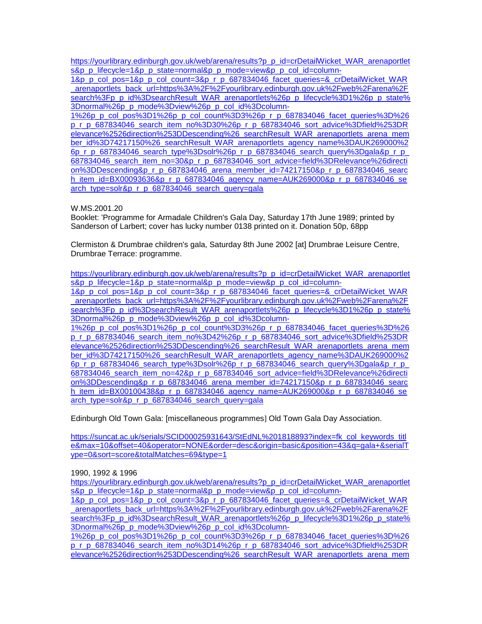[https://yourlibrary.edinburgh.gov.uk/web/arena/results?p\\_p\\_id=crDetailWicket\\_WAR\\_arenaportlet](https://yourlibrary.edinburgh.gov.uk/web/arena/results?p_p_id=crDetailWicket_WAR_arenaportlets&p_p_lifecycle=1&p_p_state=normal&p_p_mode=view&p_p_col_id=column-1&p_p_col_pos=1&p_p_col_count=3&p_r_p_687834046_facet_queries=&_crDetailWicket_WAR_arenaportlets_back_url=https%3A%2F%2Fyourlibrary.edinburgh.gov.uk%2Fweb%2Farena%2Fsearch%3Fp_p_id%3DsearchResult_WAR_arenaportlets%26p_p_lifecycle%3D1%26p_p_state%3Dnormal%26p_p_mode%3Dview%26p_p_col_id%3Dcolumn-1%26p_p_col_pos%3D1%26p_p_col_count%3D3%26p_r_p_687834046_facet_queries%3D%26p_r_p_687834046_search_item_no%3D30%26p_r_p_687834046_sort_advice%3Dfield%253DRelevance%2526direction%253DDescending%26_searchResult_WAR_arenaportlets_arena_member_id%3D74217150%26_searchResult_WAR_arenaportlets_agency_name%3DAUK269000%26p_r_p_687834046_search_type%3Dsolr%26p_r_p_687834046_search_query%3Dgala&p_r_p_687834046_search_item_no=30&p_r_p_687834046_sort_advice=field%3DRelevance%26direction%3DDescending&p_r_p_687834046_arena_member_id=74217150&p_r_p_687834046_search_item_id=BX00093636&p_r_p_687834046_agency_name=AUK269000&p_r_p_687834046_search_type=solr&p_r_p_687834046_search_query=gala) [s&p\\_p\\_lifecycle=1&p\\_p\\_state=normal&p\\_p\\_mode=view&p\\_p\\_col\\_id=column-](https://yourlibrary.edinburgh.gov.uk/web/arena/results?p_p_id=crDetailWicket_WAR_arenaportlets&p_p_lifecycle=1&p_p_state=normal&p_p_mode=view&p_p_col_id=column-1&p_p_col_pos=1&p_p_col_count=3&p_r_p_687834046_facet_queries=&_crDetailWicket_WAR_arenaportlets_back_url=https%3A%2F%2Fyourlibrary.edinburgh.gov.uk%2Fweb%2Farena%2Fsearch%3Fp_p_id%3DsearchResult_WAR_arenaportlets%26p_p_lifecycle%3D1%26p_p_state%3Dnormal%26p_p_mode%3Dview%26p_p_col_id%3Dcolumn-1%26p_p_col_pos%3D1%26p_p_col_count%3D3%26p_r_p_687834046_facet_queries%3D%26p_r_p_687834046_search_item_no%3D30%26p_r_p_687834046_sort_advice%3Dfield%253DRelevance%2526direction%253DDescending%26_searchResult_WAR_arenaportlets_arena_member_id%3D74217150%26_searchResult_WAR_arenaportlets_agency_name%3DAUK269000%26p_r_p_687834046_search_type%3Dsolr%26p_r_p_687834046_search_query%3Dgala&p_r_p_687834046_search_item_no=30&p_r_p_687834046_sort_advice=field%3DRelevance%26direction%3DDescending&p_r_p_687834046_arena_member_id=74217150&p_r_p_687834046_search_item_id=BX00093636&p_r_p_687834046_agency_name=AUK269000&p_r_p_687834046_search_type=solr&p_r_p_687834046_search_query=gala)

[1&p\\_p\\_col\\_pos=1&p\\_p\\_col\\_count=3&p\\_r\\_p\\_687834046\\_facet\\_queries=&\\_crDetailWicket\\_WAR](https://yourlibrary.edinburgh.gov.uk/web/arena/results?p_p_id=crDetailWicket_WAR_arenaportlets&p_p_lifecycle=1&p_p_state=normal&p_p_mode=view&p_p_col_id=column-1&p_p_col_pos=1&p_p_col_count=3&p_r_p_687834046_facet_queries=&_crDetailWicket_WAR_arenaportlets_back_url=https%3A%2F%2Fyourlibrary.edinburgh.gov.uk%2Fweb%2Farena%2Fsearch%3Fp_p_id%3DsearchResult_WAR_arenaportlets%26p_p_lifecycle%3D1%26p_p_state%3Dnormal%26p_p_mode%3Dview%26p_p_col_id%3Dcolumn-1%26p_p_col_pos%3D1%26p_p_col_count%3D3%26p_r_p_687834046_facet_queries%3D%26p_r_p_687834046_search_item_no%3D30%26p_r_p_687834046_sort_advice%3Dfield%253DRelevance%2526direction%253DDescending%26_searchResult_WAR_arenaportlets_arena_member_id%3D74217150%26_searchResult_WAR_arenaportlets_agency_name%3DAUK269000%26p_r_p_687834046_search_type%3Dsolr%26p_r_p_687834046_search_query%3Dgala&p_r_p_687834046_search_item_no=30&p_r_p_687834046_sort_advice=field%3DRelevance%26direction%3DDescending&p_r_p_687834046_arena_member_id=74217150&p_r_p_687834046_search_item_id=BX00093636&p_r_p_687834046_agency_name=AUK269000&p_r_p_687834046_search_type=solr&p_r_p_687834046_search_query=gala) [\\_arenaportlets\\_back\\_url=https%3A%2F%2Fyourlibrary.edinburgh.gov.uk%2Fweb%2Farena%2F](https://yourlibrary.edinburgh.gov.uk/web/arena/results?p_p_id=crDetailWicket_WAR_arenaportlets&p_p_lifecycle=1&p_p_state=normal&p_p_mode=view&p_p_col_id=column-1&p_p_col_pos=1&p_p_col_count=3&p_r_p_687834046_facet_queries=&_crDetailWicket_WAR_arenaportlets_back_url=https%3A%2F%2Fyourlibrary.edinburgh.gov.uk%2Fweb%2Farena%2Fsearch%3Fp_p_id%3DsearchResult_WAR_arenaportlets%26p_p_lifecycle%3D1%26p_p_state%3Dnormal%26p_p_mode%3Dview%26p_p_col_id%3Dcolumn-1%26p_p_col_pos%3D1%26p_p_col_count%3D3%26p_r_p_687834046_facet_queries%3D%26p_r_p_687834046_search_item_no%3D30%26p_r_p_687834046_sort_advice%3Dfield%253DRelevance%2526direction%253DDescending%26_searchResult_WAR_arenaportlets_arena_member_id%3D74217150%26_searchResult_WAR_arenaportlets_agency_name%3DAUK269000%26p_r_p_687834046_search_type%3Dsolr%26p_r_p_687834046_search_query%3Dgala&p_r_p_687834046_search_item_no=30&p_r_p_687834046_sort_advice=field%3DRelevance%26direction%3DDescending&p_r_p_687834046_arena_member_id=74217150&p_r_p_687834046_search_item_id=BX00093636&p_r_p_687834046_agency_name=AUK269000&p_r_p_687834046_search_type=solr&p_r_p_687834046_search_query=gala) [search%3Fp\\_p\\_id%3DsearchResult\\_WAR\\_arenaportlets%26p\\_p\\_lifecycle%3D1%26p\\_p\\_state%](https://yourlibrary.edinburgh.gov.uk/web/arena/results?p_p_id=crDetailWicket_WAR_arenaportlets&p_p_lifecycle=1&p_p_state=normal&p_p_mode=view&p_p_col_id=column-1&p_p_col_pos=1&p_p_col_count=3&p_r_p_687834046_facet_queries=&_crDetailWicket_WAR_arenaportlets_back_url=https%3A%2F%2Fyourlibrary.edinburgh.gov.uk%2Fweb%2Farena%2Fsearch%3Fp_p_id%3DsearchResult_WAR_arenaportlets%26p_p_lifecycle%3D1%26p_p_state%3Dnormal%26p_p_mode%3Dview%26p_p_col_id%3Dcolumn-1%26p_p_col_pos%3D1%26p_p_col_count%3D3%26p_r_p_687834046_facet_queries%3D%26p_r_p_687834046_search_item_no%3D30%26p_r_p_687834046_sort_advice%3Dfield%253DRelevance%2526direction%253DDescending%26_searchResult_WAR_arenaportlets_arena_member_id%3D74217150%26_searchResult_WAR_arenaportlets_agency_name%3DAUK269000%26p_r_p_687834046_search_type%3Dsolr%26p_r_p_687834046_search_query%3Dgala&p_r_p_687834046_search_item_no=30&p_r_p_687834046_sort_advice=field%3DRelevance%26direction%3DDescending&p_r_p_687834046_arena_member_id=74217150&p_r_p_687834046_search_item_id=BX00093636&p_r_p_687834046_agency_name=AUK269000&p_r_p_687834046_search_type=solr&p_r_p_687834046_search_query=gala) [3Dnormal%26p\\_p\\_mode%3Dview%26p\\_p\\_col\\_id%3Dcolumn-](https://yourlibrary.edinburgh.gov.uk/web/arena/results?p_p_id=crDetailWicket_WAR_arenaportlets&p_p_lifecycle=1&p_p_state=normal&p_p_mode=view&p_p_col_id=column-1&p_p_col_pos=1&p_p_col_count=3&p_r_p_687834046_facet_queries=&_crDetailWicket_WAR_arenaportlets_back_url=https%3A%2F%2Fyourlibrary.edinburgh.gov.uk%2Fweb%2Farena%2Fsearch%3Fp_p_id%3DsearchResult_WAR_arenaportlets%26p_p_lifecycle%3D1%26p_p_state%3Dnormal%26p_p_mode%3Dview%26p_p_col_id%3Dcolumn-1%26p_p_col_pos%3D1%26p_p_col_count%3D3%26p_r_p_687834046_facet_queries%3D%26p_r_p_687834046_search_item_no%3D30%26p_r_p_687834046_sort_advice%3Dfield%253DRelevance%2526direction%253DDescending%26_searchResult_WAR_arenaportlets_arena_member_id%3D74217150%26_searchResult_WAR_arenaportlets_agency_name%3DAUK269000%26p_r_p_687834046_search_type%3Dsolr%26p_r_p_687834046_search_query%3Dgala&p_r_p_687834046_search_item_no=30&p_r_p_687834046_sort_advice=field%3DRelevance%26direction%3DDescending&p_r_p_687834046_arena_member_id=74217150&p_r_p_687834046_search_item_id=BX00093636&p_r_p_687834046_agency_name=AUK269000&p_r_p_687834046_search_type=solr&p_r_p_687834046_search_query=gala)

[1%26p\\_p\\_col\\_pos%3D1%26p\\_p\\_col\\_count%3D3%26p\\_r\\_p\\_687834046\\_facet\\_queries%3D%26](https://yourlibrary.edinburgh.gov.uk/web/arena/results?p_p_id=crDetailWicket_WAR_arenaportlets&p_p_lifecycle=1&p_p_state=normal&p_p_mode=view&p_p_col_id=column-1&p_p_col_pos=1&p_p_col_count=3&p_r_p_687834046_facet_queries=&_crDetailWicket_WAR_arenaportlets_back_url=https%3A%2F%2Fyourlibrary.edinburgh.gov.uk%2Fweb%2Farena%2Fsearch%3Fp_p_id%3DsearchResult_WAR_arenaportlets%26p_p_lifecycle%3D1%26p_p_state%3Dnormal%26p_p_mode%3Dview%26p_p_col_id%3Dcolumn-1%26p_p_col_pos%3D1%26p_p_col_count%3D3%26p_r_p_687834046_facet_queries%3D%26p_r_p_687834046_search_item_no%3D30%26p_r_p_687834046_sort_advice%3Dfield%253DRelevance%2526direction%253DDescending%26_searchResult_WAR_arenaportlets_arena_member_id%3D74217150%26_searchResult_WAR_arenaportlets_agency_name%3DAUK269000%26p_r_p_687834046_search_type%3Dsolr%26p_r_p_687834046_search_query%3Dgala&p_r_p_687834046_search_item_no=30&p_r_p_687834046_sort_advice=field%3DRelevance%26direction%3DDescending&p_r_p_687834046_arena_member_id=74217150&p_r_p_687834046_search_item_id=BX00093636&p_r_p_687834046_agency_name=AUK269000&p_r_p_687834046_search_type=solr&p_r_p_687834046_search_query=gala) [p\\_r\\_p\\_687834046\\_search\\_item\\_no%3D30%26p\\_r\\_p\\_687834046\\_sort\\_advice%3Dfield%253DR](https://yourlibrary.edinburgh.gov.uk/web/arena/results?p_p_id=crDetailWicket_WAR_arenaportlets&p_p_lifecycle=1&p_p_state=normal&p_p_mode=view&p_p_col_id=column-1&p_p_col_pos=1&p_p_col_count=3&p_r_p_687834046_facet_queries=&_crDetailWicket_WAR_arenaportlets_back_url=https%3A%2F%2Fyourlibrary.edinburgh.gov.uk%2Fweb%2Farena%2Fsearch%3Fp_p_id%3DsearchResult_WAR_arenaportlets%26p_p_lifecycle%3D1%26p_p_state%3Dnormal%26p_p_mode%3Dview%26p_p_col_id%3Dcolumn-1%26p_p_col_pos%3D1%26p_p_col_count%3D3%26p_r_p_687834046_facet_queries%3D%26p_r_p_687834046_search_item_no%3D30%26p_r_p_687834046_sort_advice%3Dfield%253DRelevance%2526direction%253DDescending%26_searchResult_WAR_arenaportlets_arena_member_id%3D74217150%26_searchResult_WAR_arenaportlets_agency_name%3DAUK269000%26p_r_p_687834046_search_type%3Dsolr%26p_r_p_687834046_search_query%3Dgala&p_r_p_687834046_search_item_no=30&p_r_p_687834046_sort_advice=field%3DRelevance%26direction%3DDescending&p_r_p_687834046_arena_member_id=74217150&p_r_p_687834046_search_item_id=BX00093636&p_r_p_687834046_agency_name=AUK269000&p_r_p_687834046_search_type=solr&p_r_p_687834046_search_query=gala) [elevance%2526direction%253DDescending%26\\_searchResult\\_WAR\\_arenaportlets\\_arena\\_mem](https://yourlibrary.edinburgh.gov.uk/web/arena/results?p_p_id=crDetailWicket_WAR_arenaportlets&p_p_lifecycle=1&p_p_state=normal&p_p_mode=view&p_p_col_id=column-1&p_p_col_pos=1&p_p_col_count=3&p_r_p_687834046_facet_queries=&_crDetailWicket_WAR_arenaportlets_back_url=https%3A%2F%2Fyourlibrary.edinburgh.gov.uk%2Fweb%2Farena%2Fsearch%3Fp_p_id%3DsearchResult_WAR_arenaportlets%26p_p_lifecycle%3D1%26p_p_state%3Dnormal%26p_p_mode%3Dview%26p_p_col_id%3Dcolumn-1%26p_p_col_pos%3D1%26p_p_col_count%3D3%26p_r_p_687834046_facet_queries%3D%26p_r_p_687834046_search_item_no%3D30%26p_r_p_687834046_sort_advice%3Dfield%253DRelevance%2526direction%253DDescending%26_searchResult_WAR_arenaportlets_arena_member_id%3D74217150%26_searchResult_WAR_arenaportlets_agency_name%3DAUK269000%26p_r_p_687834046_search_type%3Dsolr%26p_r_p_687834046_search_query%3Dgala&p_r_p_687834046_search_item_no=30&p_r_p_687834046_sort_advice=field%3DRelevance%26direction%3DDescending&p_r_p_687834046_arena_member_id=74217150&p_r_p_687834046_search_item_id=BX00093636&p_r_p_687834046_agency_name=AUK269000&p_r_p_687834046_search_type=solr&p_r_p_687834046_search_query=gala) [ber\\_id%3D74217150%26\\_searchResult\\_WAR\\_arenaportlets\\_agency\\_name%3DAUK269000%2](https://yourlibrary.edinburgh.gov.uk/web/arena/results?p_p_id=crDetailWicket_WAR_arenaportlets&p_p_lifecycle=1&p_p_state=normal&p_p_mode=view&p_p_col_id=column-1&p_p_col_pos=1&p_p_col_count=3&p_r_p_687834046_facet_queries=&_crDetailWicket_WAR_arenaportlets_back_url=https%3A%2F%2Fyourlibrary.edinburgh.gov.uk%2Fweb%2Farena%2Fsearch%3Fp_p_id%3DsearchResult_WAR_arenaportlets%26p_p_lifecycle%3D1%26p_p_state%3Dnormal%26p_p_mode%3Dview%26p_p_col_id%3Dcolumn-1%26p_p_col_pos%3D1%26p_p_col_count%3D3%26p_r_p_687834046_facet_queries%3D%26p_r_p_687834046_search_item_no%3D30%26p_r_p_687834046_sort_advice%3Dfield%253DRelevance%2526direction%253DDescending%26_searchResult_WAR_arenaportlets_arena_member_id%3D74217150%26_searchResult_WAR_arenaportlets_agency_name%3DAUK269000%26p_r_p_687834046_search_type%3Dsolr%26p_r_p_687834046_search_query%3Dgala&p_r_p_687834046_search_item_no=30&p_r_p_687834046_sort_advice=field%3DRelevance%26direction%3DDescending&p_r_p_687834046_arena_member_id=74217150&p_r_p_687834046_search_item_id=BX00093636&p_r_p_687834046_agency_name=AUK269000&p_r_p_687834046_search_type=solr&p_r_p_687834046_search_query=gala) [6p\\_r\\_p\\_687834046\\_search\\_type%3Dsolr%26p\\_r\\_p\\_687834046\\_search\\_query%3Dgala&p\\_r\\_p\\_](https://yourlibrary.edinburgh.gov.uk/web/arena/results?p_p_id=crDetailWicket_WAR_arenaportlets&p_p_lifecycle=1&p_p_state=normal&p_p_mode=view&p_p_col_id=column-1&p_p_col_pos=1&p_p_col_count=3&p_r_p_687834046_facet_queries=&_crDetailWicket_WAR_arenaportlets_back_url=https%3A%2F%2Fyourlibrary.edinburgh.gov.uk%2Fweb%2Farena%2Fsearch%3Fp_p_id%3DsearchResult_WAR_arenaportlets%26p_p_lifecycle%3D1%26p_p_state%3Dnormal%26p_p_mode%3Dview%26p_p_col_id%3Dcolumn-1%26p_p_col_pos%3D1%26p_p_col_count%3D3%26p_r_p_687834046_facet_queries%3D%26p_r_p_687834046_search_item_no%3D30%26p_r_p_687834046_sort_advice%3Dfield%253DRelevance%2526direction%253DDescending%26_searchResult_WAR_arenaportlets_arena_member_id%3D74217150%26_searchResult_WAR_arenaportlets_agency_name%3DAUK269000%26p_r_p_687834046_search_type%3Dsolr%26p_r_p_687834046_search_query%3Dgala&p_r_p_687834046_search_item_no=30&p_r_p_687834046_sort_advice=field%3DRelevance%26direction%3DDescending&p_r_p_687834046_arena_member_id=74217150&p_r_p_687834046_search_item_id=BX00093636&p_r_p_687834046_agency_name=AUK269000&p_r_p_687834046_search_type=solr&p_r_p_687834046_search_query=gala) [687834046\\_search\\_item\\_no=30&p\\_r\\_p\\_687834046\\_sort\\_advice=field%3DRelevance%26directi](https://yourlibrary.edinburgh.gov.uk/web/arena/results?p_p_id=crDetailWicket_WAR_arenaportlets&p_p_lifecycle=1&p_p_state=normal&p_p_mode=view&p_p_col_id=column-1&p_p_col_pos=1&p_p_col_count=3&p_r_p_687834046_facet_queries=&_crDetailWicket_WAR_arenaportlets_back_url=https%3A%2F%2Fyourlibrary.edinburgh.gov.uk%2Fweb%2Farena%2Fsearch%3Fp_p_id%3DsearchResult_WAR_arenaportlets%26p_p_lifecycle%3D1%26p_p_state%3Dnormal%26p_p_mode%3Dview%26p_p_col_id%3Dcolumn-1%26p_p_col_pos%3D1%26p_p_col_count%3D3%26p_r_p_687834046_facet_queries%3D%26p_r_p_687834046_search_item_no%3D30%26p_r_p_687834046_sort_advice%3Dfield%253DRelevance%2526direction%253DDescending%26_searchResult_WAR_arenaportlets_arena_member_id%3D74217150%26_searchResult_WAR_arenaportlets_agency_name%3DAUK269000%26p_r_p_687834046_search_type%3Dsolr%26p_r_p_687834046_search_query%3Dgala&p_r_p_687834046_search_item_no=30&p_r_p_687834046_sort_advice=field%3DRelevance%26direction%3DDescending&p_r_p_687834046_arena_member_id=74217150&p_r_p_687834046_search_item_id=BX00093636&p_r_p_687834046_agency_name=AUK269000&p_r_p_687834046_search_type=solr&p_r_p_687834046_search_query=gala) [on%3DDescending&p\\_r\\_p\\_687834046\\_arena\\_member\\_id=74217150&p\\_r\\_p\\_687834046\\_searc](https://yourlibrary.edinburgh.gov.uk/web/arena/results?p_p_id=crDetailWicket_WAR_arenaportlets&p_p_lifecycle=1&p_p_state=normal&p_p_mode=view&p_p_col_id=column-1&p_p_col_pos=1&p_p_col_count=3&p_r_p_687834046_facet_queries=&_crDetailWicket_WAR_arenaportlets_back_url=https%3A%2F%2Fyourlibrary.edinburgh.gov.uk%2Fweb%2Farena%2Fsearch%3Fp_p_id%3DsearchResult_WAR_arenaportlets%26p_p_lifecycle%3D1%26p_p_state%3Dnormal%26p_p_mode%3Dview%26p_p_col_id%3Dcolumn-1%26p_p_col_pos%3D1%26p_p_col_count%3D3%26p_r_p_687834046_facet_queries%3D%26p_r_p_687834046_search_item_no%3D30%26p_r_p_687834046_sort_advice%3Dfield%253DRelevance%2526direction%253DDescending%26_searchResult_WAR_arenaportlets_arena_member_id%3D74217150%26_searchResult_WAR_arenaportlets_agency_name%3DAUK269000%26p_r_p_687834046_search_type%3Dsolr%26p_r_p_687834046_search_query%3Dgala&p_r_p_687834046_search_item_no=30&p_r_p_687834046_sort_advice=field%3DRelevance%26direction%3DDescending&p_r_p_687834046_arena_member_id=74217150&p_r_p_687834046_search_item_id=BX00093636&p_r_p_687834046_agency_name=AUK269000&p_r_p_687834046_search_type=solr&p_r_p_687834046_search_query=gala) [h\\_item\\_id=BX00093636&p\\_r\\_p\\_687834046\\_agency\\_name=AUK269000&p\\_r\\_p\\_687834046\\_se](https://yourlibrary.edinburgh.gov.uk/web/arena/results?p_p_id=crDetailWicket_WAR_arenaportlets&p_p_lifecycle=1&p_p_state=normal&p_p_mode=view&p_p_col_id=column-1&p_p_col_pos=1&p_p_col_count=3&p_r_p_687834046_facet_queries=&_crDetailWicket_WAR_arenaportlets_back_url=https%3A%2F%2Fyourlibrary.edinburgh.gov.uk%2Fweb%2Farena%2Fsearch%3Fp_p_id%3DsearchResult_WAR_arenaportlets%26p_p_lifecycle%3D1%26p_p_state%3Dnormal%26p_p_mode%3Dview%26p_p_col_id%3Dcolumn-1%26p_p_col_pos%3D1%26p_p_col_count%3D3%26p_r_p_687834046_facet_queries%3D%26p_r_p_687834046_search_item_no%3D30%26p_r_p_687834046_sort_advice%3Dfield%253DRelevance%2526direction%253DDescending%26_searchResult_WAR_arenaportlets_arena_member_id%3D74217150%26_searchResult_WAR_arenaportlets_agency_name%3DAUK269000%26p_r_p_687834046_search_type%3Dsolr%26p_r_p_687834046_search_query%3Dgala&p_r_p_687834046_search_item_no=30&p_r_p_687834046_sort_advice=field%3DRelevance%26direction%3DDescending&p_r_p_687834046_arena_member_id=74217150&p_r_p_687834046_search_item_id=BX00093636&p_r_p_687834046_agency_name=AUK269000&p_r_p_687834046_search_type=solr&p_r_p_687834046_search_query=gala) [arch\\_type=solr&p\\_r\\_p\\_687834046\\_search\\_query=gala](https://yourlibrary.edinburgh.gov.uk/web/arena/results?p_p_id=crDetailWicket_WAR_arenaportlets&p_p_lifecycle=1&p_p_state=normal&p_p_mode=view&p_p_col_id=column-1&p_p_col_pos=1&p_p_col_count=3&p_r_p_687834046_facet_queries=&_crDetailWicket_WAR_arenaportlets_back_url=https%3A%2F%2Fyourlibrary.edinburgh.gov.uk%2Fweb%2Farena%2Fsearch%3Fp_p_id%3DsearchResult_WAR_arenaportlets%26p_p_lifecycle%3D1%26p_p_state%3Dnormal%26p_p_mode%3Dview%26p_p_col_id%3Dcolumn-1%26p_p_col_pos%3D1%26p_p_col_count%3D3%26p_r_p_687834046_facet_queries%3D%26p_r_p_687834046_search_item_no%3D30%26p_r_p_687834046_sort_advice%3Dfield%253DRelevance%2526direction%253DDescending%26_searchResult_WAR_arenaportlets_arena_member_id%3D74217150%26_searchResult_WAR_arenaportlets_agency_name%3DAUK269000%26p_r_p_687834046_search_type%3Dsolr%26p_r_p_687834046_search_query%3Dgala&p_r_p_687834046_search_item_no=30&p_r_p_687834046_sort_advice=field%3DRelevance%26direction%3DDescending&p_r_p_687834046_arena_member_id=74217150&p_r_p_687834046_search_item_id=BX00093636&p_r_p_687834046_agency_name=AUK269000&p_r_p_687834046_search_type=solr&p_r_p_687834046_search_query=gala)

W.MS.2001.20

Booklet: 'Programme for Armadale Children's Gala Day, Saturday 17th June 1989; printed by Sanderson of Larbert; cover has lucky number 0138 printed on it. Donation 50p, 68pp

Clermiston & Drumbrae children's gala, Saturday 8th June 2002 [at] Drumbrae Leisure Centre, Drumbrae Terrace: programme.

[https://yourlibrary.edinburgh.gov.uk/web/arena/results?p\\_p\\_id=crDetailWicket\\_WAR\\_arenaportlet](https://yourlibrary.edinburgh.gov.uk/web/arena/results?p_p_id=crDetailWicket_WAR_arenaportlets&p_p_lifecycle=1&p_p_state=normal&p_p_mode=view&p_p_col_id=column-1&p_p_col_pos=1&p_p_col_count=3&p_r_p_687834046_facet_queries=&_crDetailWicket_WAR_arenaportlets_back_url=https%3A%2F%2Fyourlibrary.edinburgh.gov.uk%2Fweb%2Farena%2Fsearch%3Fp_p_id%3DsearchResult_WAR_arenaportlets%26p_p_lifecycle%3D1%26p_p_state%3Dnormal%26p_p_mode%3Dview%26p_p_col_id%3Dcolumn-1%26p_p_col_pos%3D1%26p_p_col_count%3D3%26p_r_p_687834046_facet_queries%3D%26p_r_p_687834046_search_item_no%3D42%26p_r_p_687834046_sort_advice%3Dfield%253DRelevance%2526direction%253DDescending%26_searchResult_WAR_arenaportlets_arena_member_id%3D74217150%26_searchResult_WAR_arenaportlets_agency_name%3DAUK269000%26p_r_p_687834046_search_type%3Dsolr%26p_r_p_687834046_search_query%3Dgala&p_r_p_687834046_search_item_no=42&p_r_p_687834046_sort_advice=field%3DRelevance%26direction%3DDescending&p_r_p_687834046_arena_member_id=74217150&p_r_p_687834046_search_item_id=BX00100438&p_r_p_687834046_agency_name=AUK269000&p_r_p_687834046_search_type=solr&p_r_p_687834046_search_query=gala) [s&p\\_p\\_lifecycle=1&p\\_p\\_state=normal&p\\_p\\_mode=view&p\\_p\\_col\\_id=column-](https://yourlibrary.edinburgh.gov.uk/web/arena/results?p_p_id=crDetailWicket_WAR_arenaportlets&p_p_lifecycle=1&p_p_state=normal&p_p_mode=view&p_p_col_id=column-1&p_p_col_pos=1&p_p_col_count=3&p_r_p_687834046_facet_queries=&_crDetailWicket_WAR_arenaportlets_back_url=https%3A%2F%2Fyourlibrary.edinburgh.gov.uk%2Fweb%2Farena%2Fsearch%3Fp_p_id%3DsearchResult_WAR_arenaportlets%26p_p_lifecycle%3D1%26p_p_state%3Dnormal%26p_p_mode%3Dview%26p_p_col_id%3Dcolumn-1%26p_p_col_pos%3D1%26p_p_col_count%3D3%26p_r_p_687834046_facet_queries%3D%26p_r_p_687834046_search_item_no%3D42%26p_r_p_687834046_sort_advice%3Dfield%253DRelevance%2526direction%253DDescending%26_searchResult_WAR_arenaportlets_arena_member_id%3D74217150%26_searchResult_WAR_arenaportlets_agency_name%3DAUK269000%26p_r_p_687834046_search_type%3Dsolr%26p_r_p_687834046_search_query%3Dgala&p_r_p_687834046_search_item_no=42&p_r_p_687834046_sort_advice=field%3DRelevance%26direction%3DDescending&p_r_p_687834046_arena_member_id=74217150&p_r_p_687834046_search_item_id=BX00100438&p_r_p_687834046_agency_name=AUK269000&p_r_p_687834046_search_type=solr&p_r_p_687834046_search_query=gala)

[1&p\\_p\\_col\\_pos=1&p\\_p\\_col\\_count=3&p\\_r\\_p\\_687834046\\_facet\\_queries=&\\_crDetailWicket\\_WAR](https://yourlibrary.edinburgh.gov.uk/web/arena/results?p_p_id=crDetailWicket_WAR_arenaportlets&p_p_lifecycle=1&p_p_state=normal&p_p_mode=view&p_p_col_id=column-1&p_p_col_pos=1&p_p_col_count=3&p_r_p_687834046_facet_queries=&_crDetailWicket_WAR_arenaportlets_back_url=https%3A%2F%2Fyourlibrary.edinburgh.gov.uk%2Fweb%2Farena%2Fsearch%3Fp_p_id%3DsearchResult_WAR_arenaportlets%26p_p_lifecycle%3D1%26p_p_state%3Dnormal%26p_p_mode%3Dview%26p_p_col_id%3Dcolumn-1%26p_p_col_pos%3D1%26p_p_col_count%3D3%26p_r_p_687834046_facet_queries%3D%26p_r_p_687834046_search_item_no%3D42%26p_r_p_687834046_sort_advice%3Dfield%253DRelevance%2526direction%253DDescending%26_searchResult_WAR_arenaportlets_arena_member_id%3D74217150%26_searchResult_WAR_arenaportlets_agency_name%3DAUK269000%26p_r_p_687834046_search_type%3Dsolr%26p_r_p_687834046_search_query%3Dgala&p_r_p_687834046_search_item_no=42&p_r_p_687834046_sort_advice=field%3DRelevance%26direction%3DDescending&p_r_p_687834046_arena_member_id=74217150&p_r_p_687834046_search_item_id=BX00100438&p_r_p_687834046_agency_name=AUK269000&p_r_p_687834046_search_type=solr&p_r_p_687834046_search_query=gala) [\\_arenaportlets\\_back\\_url=https%3A%2F%2Fyourlibrary.edinburgh.gov.uk%2Fweb%2Farena%2F](https://yourlibrary.edinburgh.gov.uk/web/arena/results?p_p_id=crDetailWicket_WAR_arenaportlets&p_p_lifecycle=1&p_p_state=normal&p_p_mode=view&p_p_col_id=column-1&p_p_col_pos=1&p_p_col_count=3&p_r_p_687834046_facet_queries=&_crDetailWicket_WAR_arenaportlets_back_url=https%3A%2F%2Fyourlibrary.edinburgh.gov.uk%2Fweb%2Farena%2Fsearch%3Fp_p_id%3DsearchResult_WAR_arenaportlets%26p_p_lifecycle%3D1%26p_p_state%3Dnormal%26p_p_mode%3Dview%26p_p_col_id%3Dcolumn-1%26p_p_col_pos%3D1%26p_p_col_count%3D3%26p_r_p_687834046_facet_queries%3D%26p_r_p_687834046_search_item_no%3D42%26p_r_p_687834046_sort_advice%3Dfield%253DRelevance%2526direction%253DDescending%26_searchResult_WAR_arenaportlets_arena_member_id%3D74217150%26_searchResult_WAR_arenaportlets_agency_name%3DAUK269000%26p_r_p_687834046_search_type%3Dsolr%26p_r_p_687834046_search_query%3Dgala&p_r_p_687834046_search_item_no=42&p_r_p_687834046_sort_advice=field%3DRelevance%26direction%3DDescending&p_r_p_687834046_arena_member_id=74217150&p_r_p_687834046_search_item_id=BX00100438&p_r_p_687834046_agency_name=AUK269000&p_r_p_687834046_search_type=solr&p_r_p_687834046_search_query=gala) [search%3Fp\\_p\\_id%3DsearchResult\\_WAR\\_arenaportlets%26p\\_p\\_lifecycle%3D1%26p\\_p\\_state%](https://yourlibrary.edinburgh.gov.uk/web/arena/results?p_p_id=crDetailWicket_WAR_arenaportlets&p_p_lifecycle=1&p_p_state=normal&p_p_mode=view&p_p_col_id=column-1&p_p_col_pos=1&p_p_col_count=3&p_r_p_687834046_facet_queries=&_crDetailWicket_WAR_arenaportlets_back_url=https%3A%2F%2Fyourlibrary.edinburgh.gov.uk%2Fweb%2Farena%2Fsearch%3Fp_p_id%3DsearchResult_WAR_arenaportlets%26p_p_lifecycle%3D1%26p_p_state%3Dnormal%26p_p_mode%3Dview%26p_p_col_id%3Dcolumn-1%26p_p_col_pos%3D1%26p_p_col_count%3D3%26p_r_p_687834046_facet_queries%3D%26p_r_p_687834046_search_item_no%3D42%26p_r_p_687834046_sort_advice%3Dfield%253DRelevance%2526direction%253DDescending%26_searchResult_WAR_arenaportlets_arena_member_id%3D74217150%26_searchResult_WAR_arenaportlets_agency_name%3DAUK269000%26p_r_p_687834046_search_type%3Dsolr%26p_r_p_687834046_search_query%3Dgala&p_r_p_687834046_search_item_no=42&p_r_p_687834046_sort_advice=field%3DRelevance%26direction%3DDescending&p_r_p_687834046_arena_member_id=74217150&p_r_p_687834046_search_item_id=BX00100438&p_r_p_687834046_agency_name=AUK269000&p_r_p_687834046_search_type=solr&p_r_p_687834046_search_query=gala) [3Dnormal%26p\\_p\\_mode%3Dview%26p\\_p\\_col\\_id%3Dcolumn-](https://yourlibrary.edinburgh.gov.uk/web/arena/results?p_p_id=crDetailWicket_WAR_arenaportlets&p_p_lifecycle=1&p_p_state=normal&p_p_mode=view&p_p_col_id=column-1&p_p_col_pos=1&p_p_col_count=3&p_r_p_687834046_facet_queries=&_crDetailWicket_WAR_arenaportlets_back_url=https%3A%2F%2Fyourlibrary.edinburgh.gov.uk%2Fweb%2Farena%2Fsearch%3Fp_p_id%3DsearchResult_WAR_arenaportlets%26p_p_lifecycle%3D1%26p_p_state%3Dnormal%26p_p_mode%3Dview%26p_p_col_id%3Dcolumn-1%26p_p_col_pos%3D1%26p_p_col_count%3D3%26p_r_p_687834046_facet_queries%3D%26p_r_p_687834046_search_item_no%3D42%26p_r_p_687834046_sort_advice%3Dfield%253DRelevance%2526direction%253DDescending%26_searchResult_WAR_arenaportlets_arena_member_id%3D74217150%26_searchResult_WAR_arenaportlets_agency_name%3DAUK269000%26p_r_p_687834046_search_type%3Dsolr%26p_r_p_687834046_search_query%3Dgala&p_r_p_687834046_search_item_no=42&p_r_p_687834046_sort_advice=field%3DRelevance%26direction%3DDescending&p_r_p_687834046_arena_member_id=74217150&p_r_p_687834046_search_item_id=BX00100438&p_r_p_687834046_agency_name=AUK269000&p_r_p_687834046_search_type=solr&p_r_p_687834046_search_query=gala)

[1%26p\\_p\\_col\\_pos%3D1%26p\\_p\\_col\\_count%3D3%26p\\_r\\_p\\_687834046\\_facet\\_queries%3D%26](https://yourlibrary.edinburgh.gov.uk/web/arena/results?p_p_id=crDetailWicket_WAR_arenaportlets&p_p_lifecycle=1&p_p_state=normal&p_p_mode=view&p_p_col_id=column-1&p_p_col_pos=1&p_p_col_count=3&p_r_p_687834046_facet_queries=&_crDetailWicket_WAR_arenaportlets_back_url=https%3A%2F%2Fyourlibrary.edinburgh.gov.uk%2Fweb%2Farena%2Fsearch%3Fp_p_id%3DsearchResult_WAR_arenaportlets%26p_p_lifecycle%3D1%26p_p_state%3Dnormal%26p_p_mode%3Dview%26p_p_col_id%3Dcolumn-1%26p_p_col_pos%3D1%26p_p_col_count%3D3%26p_r_p_687834046_facet_queries%3D%26p_r_p_687834046_search_item_no%3D42%26p_r_p_687834046_sort_advice%3Dfield%253DRelevance%2526direction%253DDescending%26_searchResult_WAR_arenaportlets_arena_member_id%3D74217150%26_searchResult_WAR_arenaportlets_agency_name%3DAUK269000%26p_r_p_687834046_search_type%3Dsolr%26p_r_p_687834046_search_query%3Dgala&p_r_p_687834046_search_item_no=42&p_r_p_687834046_sort_advice=field%3DRelevance%26direction%3DDescending&p_r_p_687834046_arena_member_id=74217150&p_r_p_687834046_search_item_id=BX00100438&p_r_p_687834046_agency_name=AUK269000&p_r_p_687834046_search_type=solr&p_r_p_687834046_search_query=gala) [p\\_r\\_p\\_687834046\\_search\\_item\\_no%3D42%26p\\_r\\_p\\_687834046\\_sort\\_advice%3Dfield%253DR](https://yourlibrary.edinburgh.gov.uk/web/arena/results?p_p_id=crDetailWicket_WAR_arenaportlets&p_p_lifecycle=1&p_p_state=normal&p_p_mode=view&p_p_col_id=column-1&p_p_col_pos=1&p_p_col_count=3&p_r_p_687834046_facet_queries=&_crDetailWicket_WAR_arenaportlets_back_url=https%3A%2F%2Fyourlibrary.edinburgh.gov.uk%2Fweb%2Farena%2Fsearch%3Fp_p_id%3DsearchResult_WAR_arenaportlets%26p_p_lifecycle%3D1%26p_p_state%3Dnormal%26p_p_mode%3Dview%26p_p_col_id%3Dcolumn-1%26p_p_col_pos%3D1%26p_p_col_count%3D3%26p_r_p_687834046_facet_queries%3D%26p_r_p_687834046_search_item_no%3D42%26p_r_p_687834046_sort_advice%3Dfield%253DRelevance%2526direction%253DDescending%26_searchResult_WAR_arenaportlets_arena_member_id%3D74217150%26_searchResult_WAR_arenaportlets_agency_name%3DAUK269000%26p_r_p_687834046_search_type%3Dsolr%26p_r_p_687834046_search_query%3Dgala&p_r_p_687834046_search_item_no=42&p_r_p_687834046_sort_advice=field%3DRelevance%26direction%3DDescending&p_r_p_687834046_arena_member_id=74217150&p_r_p_687834046_search_item_id=BX00100438&p_r_p_687834046_agency_name=AUK269000&p_r_p_687834046_search_type=solr&p_r_p_687834046_search_query=gala) [elevance%2526direction%253DDescending%26\\_searchResult\\_WAR\\_arenaportlets\\_arena\\_mem](https://yourlibrary.edinburgh.gov.uk/web/arena/results?p_p_id=crDetailWicket_WAR_arenaportlets&p_p_lifecycle=1&p_p_state=normal&p_p_mode=view&p_p_col_id=column-1&p_p_col_pos=1&p_p_col_count=3&p_r_p_687834046_facet_queries=&_crDetailWicket_WAR_arenaportlets_back_url=https%3A%2F%2Fyourlibrary.edinburgh.gov.uk%2Fweb%2Farena%2Fsearch%3Fp_p_id%3DsearchResult_WAR_arenaportlets%26p_p_lifecycle%3D1%26p_p_state%3Dnormal%26p_p_mode%3Dview%26p_p_col_id%3Dcolumn-1%26p_p_col_pos%3D1%26p_p_col_count%3D3%26p_r_p_687834046_facet_queries%3D%26p_r_p_687834046_search_item_no%3D42%26p_r_p_687834046_sort_advice%3Dfield%253DRelevance%2526direction%253DDescending%26_searchResult_WAR_arenaportlets_arena_member_id%3D74217150%26_searchResult_WAR_arenaportlets_agency_name%3DAUK269000%26p_r_p_687834046_search_type%3Dsolr%26p_r_p_687834046_search_query%3Dgala&p_r_p_687834046_search_item_no=42&p_r_p_687834046_sort_advice=field%3DRelevance%26direction%3DDescending&p_r_p_687834046_arena_member_id=74217150&p_r_p_687834046_search_item_id=BX00100438&p_r_p_687834046_agency_name=AUK269000&p_r_p_687834046_search_type=solr&p_r_p_687834046_search_query=gala) [ber\\_id%3D74217150%26\\_searchResult\\_WAR\\_arenaportlets\\_agency\\_name%3DAUK269000%2](https://yourlibrary.edinburgh.gov.uk/web/arena/results?p_p_id=crDetailWicket_WAR_arenaportlets&p_p_lifecycle=1&p_p_state=normal&p_p_mode=view&p_p_col_id=column-1&p_p_col_pos=1&p_p_col_count=3&p_r_p_687834046_facet_queries=&_crDetailWicket_WAR_arenaportlets_back_url=https%3A%2F%2Fyourlibrary.edinburgh.gov.uk%2Fweb%2Farena%2Fsearch%3Fp_p_id%3DsearchResult_WAR_arenaportlets%26p_p_lifecycle%3D1%26p_p_state%3Dnormal%26p_p_mode%3Dview%26p_p_col_id%3Dcolumn-1%26p_p_col_pos%3D1%26p_p_col_count%3D3%26p_r_p_687834046_facet_queries%3D%26p_r_p_687834046_search_item_no%3D42%26p_r_p_687834046_sort_advice%3Dfield%253DRelevance%2526direction%253DDescending%26_searchResult_WAR_arenaportlets_arena_member_id%3D74217150%26_searchResult_WAR_arenaportlets_agency_name%3DAUK269000%26p_r_p_687834046_search_type%3Dsolr%26p_r_p_687834046_search_query%3Dgala&p_r_p_687834046_search_item_no=42&p_r_p_687834046_sort_advice=field%3DRelevance%26direction%3DDescending&p_r_p_687834046_arena_member_id=74217150&p_r_p_687834046_search_item_id=BX00100438&p_r_p_687834046_agency_name=AUK269000&p_r_p_687834046_search_type=solr&p_r_p_687834046_search_query=gala) 6p\_r\_p\_687834046\_search\_type%3Dsolr%26p\_r\_p\_687834046\_search\_query%3Dgala&p\_r\_p [687834046\\_search\\_item\\_no=42&p\\_r\\_p\\_687834046\\_sort\\_advice=field%3DRelevance%26directi](https://yourlibrary.edinburgh.gov.uk/web/arena/results?p_p_id=crDetailWicket_WAR_arenaportlets&p_p_lifecycle=1&p_p_state=normal&p_p_mode=view&p_p_col_id=column-1&p_p_col_pos=1&p_p_col_count=3&p_r_p_687834046_facet_queries=&_crDetailWicket_WAR_arenaportlets_back_url=https%3A%2F%2Fyourlibrary.edinburgh.gov.uk%2Fweb%2Farena%2Fsearch%3Fp_p_id%3DsearchResult_WAR_arenaportlets%26p_p_lifecycle%3D1%26p_p_state%3Dnormal%26p_p_mode%3Dview%26p_p_col_id%3Dcolumn-1%26p_p_col_pos%3D1%26p_p_col_count%3D3%26p_r_p_687834046_facet_queries%3D%26p_r_p_687834046_search_item_no%3D42%26p_r_p_687834046_sort_advice%3Dfield%253DRelevance%2526direction%253DDescending%26_searchResult_WAR_arenaportlets_arena_member_id%3D74217150%26_searchResult_WAR_arenaportlets_agency_name%3DAUK269000%26p_r_p_687834046_search_type%3Dsolr%26p_r_p_687834046_search_query%3Dgala&p_r_p_687834046_search_item_no=42&p_r_p_687834046_sort_advice=field%3DRelevance%26direction%3DDescending&p_r_p_687834046_arena_member_id=74217150&p_r_p_687834046_search_item_id=BX00100438&p_r_p_687834046_agency_name=AUK269000&p_r_p_687834046_search_type=solr&p_r_p_687834046_search_query=gala) [on%3DDescending&p\\_r\\_p\\_687834046\\_arena\\_member\\_id=74217150&p\\_r\\_p\\_687834046\\_searc](https://yourlibrary.edinburgh.gov.uk/web/arena/results?p_p_id=crDetailWicket_WAR_arenaportlets&p_p_lifecycle=1&p_p_state=normal&p_p_mode=view&p_p_col_id=column-1&p_p_col_pos=1&p_p_col_count=3&p_r_p_687834046_facet_queries=&_crDetailWicket_WAR_arenaportlets_back_url=https%3A%2F%2Fyourlibrary.edinburgh.gov.uk%2Fweb%2Farena%2Fsearch%3Fp_p_id%3DsearchResult_WAR_arenaportlets%26p_p_lifecycle%3D1%26p_p_state%3Dnormal%26p_p_mode%3Dview%26p_p_col_id%3Dcolumn-1%26p_p_col_pos%3D1%26p_p_col_count%3D3%26p_r_p_687834046_facet_queries%3D%26p_r_p_687834046_search_item_no%3D42%26p_r_p_687834046_sort_advice%3Dfield%253DRelevance%2526direction%253DDescending%26_searchResult_WAR_arenaportlets_arena_member_id%3D74217150%26_searchResult_WAR_arenaportlets_agency_name%3DAUK269000%26p_r_p_687834046_search_type%3Dsolr%26p_r_p_687834046_search_query%3Dgala&p_r_p_687834046_search_item_no=42&p_r_p_687834046_sort_advice=field%3DRelevance%26direction%3DDescending&p_r_p_687834046_arena_member_id=74217150&p_r_p_687834046_search_item_id=BX00100438&p_r_p_687834046_agency_name=AUK269000&p_r_p_687834046_search_type=solr&p_r_p_687834046_search_query=gala) [h\\_item\\_id=BX00100438&p\\_r\\_p\\_687834046\\_agency\\_name=AUK269000&p\\_r\\_p\\_687834046\\_se](https://yourlibrary.edinburgh.gov.uk/web/arena/results?p_p_id=crDetailWicket_WAR_arenaportlets&p_p_lifecycle=1&p_p_state=normal&p_p_mode=view&p_p_col_id=column-1&p_p_col_pos=1&p_p_col_count=3&p_r_p_687834046_facet_queries=&_crDetailWicket_WAR_arenaportlets_back_url=https%3A%2F%2Fyourlibrary.edinburgh.gov.uk%2Fweb%2Farena%2Fsearch%3Fp_p_id%3DsearchResult_WAR_arenaportlets%26p_p_lifecycle%3D1%26p_p_state%3Dnormal%26p_p_mode%3Dview%26p_p_col_id%3Dcolumn-1%26p_p_col_pos%3D1%26p_p_col_count%3D3%26p_r_p_687834046_facet_queries%3D%26p_r_p_687834046_search_item_no%3D42%26p_r_p_687834046_sort_advice%3Dfield%253DRelevance%2526direction%253DDescending%26_searchResult_WAR_arenaportlets_arena_member_id%3D74217150%26_searchResult_WAR_arenaportlets_agency_name%3DAUK269000%26p_r_p_687834046_search_type%3Dsolr%26p_r_p_687834046_search_query%3Dgala&p_r_p_687834046_search_item_no=42&p_r_p_687834046_sort_advice=field%3DRelevance%26direction%3DDescending&p_r_p_687834046_arena_member_id=74217150&p_r_p_687834046_search_item_id=BX00100438&p_r_p_687834046_agency_name=AUK269000&p_r_p_687834046_search_type=solr&p_r_p_687834046_search_query=gala) [arch\\_type=solr&p\\_r\\_p\\_687834046\\_search\\_query=gala](https://yourlibrary.edinburgh.gov.uk/web/arena/results?p_p_id=crDetailWicket_WAR_arenaportlets&p_p_lifecycle=1&p_p_state=normal&p_p_mode=view&p_p_col_id=column-1&p_p_col_pos=1&p_p_col_count=3&p_r_p_687834046_facet_queries=&_crDetailWicket_WAR_arenaportlets_back_url=https%3A%2F%2Fyourlibrary.edinburgh.gov.uk%2Fweb%2Farena%2Fsearch%3Fp_p_id%3DsearchResult_WAR_arenaportlets%26p_p_lifecycle%3D1%26p_p_state%3Dnormal%26p_p_mode%3Dview%26p_p_col_id%3Dcolumn-1%26p_p_col_pos%3D1%26p_p_col_count%3D3%26p_r_p_687834046_facet_queries%3D%26p_r_p_687834046_search_item_no%3D42%26p_r_p_687834046_sort_advice%3Dfield%253DRelevance%2526direction%253DDescending%26_searchResult_WAR_arenaportlets_arena_member_id%3D74217150%26_searchResult_WAR_arenaportlets_agency_name%3DAUK269000%26p_r_p_687834046_search_type%3Dsolr%26p_r_p_687834046_search_query%3Dgala&p_r_p_687834046_search_item_no=42&p_r_p_687834046_sort_advice=field%3DRelevance%26direction%3DDescending&p_r_p_687834046_arena_member_id=74217150&p_r_p_687834046_search_item_id=BX00100438&p_r_p_687834046_agency_name=AUK269000&p_r_p_687834046_search_type=solr&p_r_p_687834046_search_query=gala)

Edinburgh Old Town Gala: [miscellaneous programmes] Old Town Gala Day Association.

[https://suncat.ac.uk/serials/SCID00025931643/StEdNL%201818893?index=fk\\_col\\_keywords\\_titl](https://suncat.ac.uk/serials/SCID00025931643/StEdNL%201818893?index=fk_col_keywords_title&max=10&offset=40&operator=NONE&order=desc&origin=basic&position=43&q=gala+&serialType=0&sort=score&totalMatches=69&type=1) [e&max=10&offset=40&operator=NONE&order=desc&origin=basic&position=43&q=gala+&serialT](https://suncat.ac.uk/serials/SCID00025931643/StEdNL%201818893?index=fk_col_keywords_title&max=10&offset=40&operator=NONE&order=desc&origin=basic&position=43&q=gala+&serialType=0&sort=score&totalMatches=69&type=1) [ype=0&sort=score&totalMatches=69&type=1](https://suncat.ac.uk/serials/SCID00025931643/StEdNL%201818893?index=fk_col_keywords_title&max=10&offset=40&operator=NONE&order=desc&origin=basic&position=43&q=gala+&serialType=0&sort=score&totalMatches=69&type=1)

## 1990, 1992 & 1996

[https://yourlibrary.edinburgh.gov.uk/web/arena/results?p\\_p\\_id=crDetailWicket\\_WAR\\_arenaportlet](https://yourlibrary.edinburgh.gov.uk/web/arena/results?p_p_id=crDetailWicket_WAR_arenaportlets&p_p_lifecycle=1&p_p_state=normal&p_p_mode=view&p_p_col_id=column-1&p_p_col_pos=1&p_p_col_count=3&p_r_p_687834046_facet_queries=&_crDetailWicket_WAR_arenaportlets_back_url=https%3A%2F%2Fyourlibrary.edinburgh.gov.uk%2Fweb%2Farena%2Fsearch%3Fp_p_id%3DsearchResult_WAR_arenaportlets%26p_p_lifecycle%3D1%26p_p_state%3Dnormal%26p_p_mode%3Dview%26p_p_col_id%3Dcolumn-1%26p_p_col_pos%3D1%26p_p_col_count%3D3%26p_r_p_687834046_facet_queries%3D%26p_r_p_687834046_search_item_no%3D14%26p_r_p_687834046_sort_advice%3Dfield%253DRelevance%2526direction%253DDescending%26_searchResult_WAR_arenaportlets_arena_member_id%3D74217150%26_searchResult_WAR_arenaportlets_agency_name%3DAUK269000%26p_r_p_687834046_search_type%3Dsolr%26p_r_p_687834046_search_query%3Dgala&p_r_p_687834046_search_item_no=14&p_r_p_687834046_sort_advice=field%3DRelevance%26direction%3DDescending&p_r_p_687834046_arena_member_id=74217150&p_r_p_687834046_search_item_id=BX00027056&p_r_p_687834046_agency_name=AUK269000&p_r_p_687834046_search_type=solr&p_r_p_687834046_search_query=gala) [s&p\\_p\\_lifecycle=1&p\\_p\\_state=normal&p\\_p\\_mode=view&p\\_p\\_col\\_id=column-](https://yourlibrary.edinburgh.gov.uk/web/arena/results?p_p_id=crDetailWicket_WAR_arenaportlets&p_p_lifecycle=1&p_p_state=normal&p_p_mode=view&p_p_col_id=column-1&p_p_col_pos=1&p_p_col_count=3&p_r_p_687834046_facet_queries=&_crDetailWicket_WAR_arenaportlets_back_url=https%3A%2F%2Fyourlibrary.edinburgh.gov.uk%2Fweb%2Farena%2Fsearch%3Fp_p_id%3DsearchResult_WAR_arenaportlets%26p_p_lifecycle%3D1%26p_p_state%3Dnormal%26p_p_mode%3Dview%26p_p_col_id%3Dcolumn-1%26p_p_col_pos%3D1%26p_p_col_count%3D3%26p_r_p_687834046_facet_queries%3D%26p_r_p_687834046_search_item_no%3D14%26p_r_p_687834046_sort_advice%3Dfield%253DRelevance%2526direction%253DDescending%26_searchResult_WAR_arenaportlets_arena_member_id%3D74217150%26_searchResult_WAR_arenaportlets_agency_name%3DAUK269000%26p_r_p_687834046_search_type%3Dsolr%26p_r_p_687834046_search_query%3Dgala&p_r_p_687834046_search_item_no=14&p_r_p_687834046_sort_advice=field%3DRelevance%26direction%3DDescending&p_r_p_687834046_arena_member_id=74217150&p_r_p_687834046_search_item_id=BX00027056&p_r_p_687834046_agency_name=AUK269000&p_r_p_687834046_search_type=solr&p_r_p_687834046_search_query=gala)

[1&p\\_p\\_col\\_pos=1&p\\_p\\_col\\_count=3&p\\_r\\_p\\_687834046\\_facet\\_queries=&\\_crDetailWicket\\_WAR](https://yourlibrary.edinburgh.gov.uk/web/arena/results?p_p_id=crDetailWicket_WAR_arenaportlets&p_p_lifecycle=1&p_p_state=normal&p_p_mode=view&p_p_col_id=column-1&p_p_col_pos=1&p_p_col_count=3&p_r_p_687834046_facet_queries=&_crDetailWicket_WAR_arenaportlets_back_url=https%3A%2F%2Fyourlibrary.edinburgh.gov.uk%2Fweb%2Farena%2Fsearch%3Fp_p_id%3DsearchResult_WAR_arenaportlets%26p_p_lifecycle%3D1%26p_p_state%3Dnormal%26p_p_mode%3Dview%26p_p_col_id%3Dcolumn-1%26p_p_col_pos%3D1%26p_p_col_count%3D3%26p_r_p_687834046_facet_queries%3D%26p_r_p_687834046_search_item_no%3D14%26p_r_p_687834046_sort_advice%3Dfield%253DRelevance%2526direction%253DDescending%26_searchResult_WAR_arenaportlets_arena_member_id%3D74217150%26_searchResult_WAR_arenaportlets_agency_name%3DAUK269000%26p_r_p_687834046_search_type%3Dsolr%26p_r_p_687834046_search_query%3Dgala&p_r_p_687834046_search_item_no=14&p_r_p_687834046_sort_advice=field%3DRelevance%26direction%3DDescending&p_r_p_687834046_arena_member_id=74217150&p_r_p_687834046_search_item_id=BX00027056&p_r_p_687834046_agency_name=AUK269000&p_r_p_687834046_search_type=solr&p_r_p_687834046_search_query=gala) [\\_arenaportlets\\_back\\_url=https%3A%2F%2Fyourlibrary.edinburgh.gov.uk%2Fweb%2Farena%2F](https://yourlibrary.edinburgh.gov.uk/web/arena/results?p_p_id=crDetailWicket_WAR_arenaportlets&p_p_lifecycle=1&p_p_state=normal&p_p_mode=view&p_p_col_id=column-1&p_p_col_pos=1&p_p_col_count=3&p_r_p_687834046_facet_queries=&_crDetailWicket_WAR_arenaportlets_back_url=https%3A%2F%2Fyourlibrary.edinburgh.gov.uk%2Fweb%2Farena%2Fsearch%3Fp_p_id%3DsearchResult_WAR_arenaportlets%26p_p_lifecycle%3D1%26p_p_state%3Dnormal%26p_p_mode%3Dview%26p_p_col_id%3Dcolumn-1%26p_p_col_pos%3D1%26p_p_col_count%3D3%26p_r_p_687834046_facet_queries%3D%26p_r_p_687834046_search_item_no%3D14%26p_r_p_687834046_sort_advice%3Dfield%253DRelevance%2526direction%253DDescending%26_searchResult_WAR_arenaportlets_arena_member_id%3D74217150%26_searchResult_WAR_arenaportlets_agency_name%3DAUK269000%26p_r_p_687834046_search_type%3Dsolr%26p_r_p_687834046_search_query%3Dgala&p_r_p_687834046_search_item_no=14&p_r_p_687834046_sort_advice=field%3DRelevance%26direction%3DDescending&p_r_p_687834046_arena_member_id=74217150&p_r_p_687834046_search_item_id=BX00027056&p_r_p_687834046_agency_name=AUK269000&p_r_p_687834046_search_type=solr&p_r_p_687834046_search_query=gala) [search%3Fp\\_p\\_id%3DsearchResult\\_WAR\\_arenaportlets%26p\\_p\\_lifecycle%3D1%26p\\_p\\_state%](https://yourlibrary.edinburgh.gov.uk/web/arena/results?p_p_id=crDetailWicket_WAR_arenaportlets&p_p_lifecycle=1&p_p_state=normal&p_p_mode=view&p_p_col_id=column-1&p_p_col_pos=1&p_p_col_count=3&p_r_p_687834046_facet_queries=&_crDetailWicket_WAR_arenaportlets_back_url=https%3A%2F%2Fyourlibrary.edinburgh.gov.uk%2Fweb%2Farena%2Fsearch%3Fp_p_id%3DsearchResult_WAR_arenaportlets%26p_p_lifecycle%3D1%26p_p_state%3Dnormal%26p_p_mode%3Dview%26p_p_col_id%3Dcolumn-1%26p_p_col_pos%3D1%26p_p_col_count%3D3%26p_r_p_687834046_facet_queries%3D%26p_r_p_687834046_search_item_no%3D14%26p_r_p_687834046_sort_advice%3Dfield%253DRelevance%2526direction%253DDescending%26_searchResult_WAR_arenaportlets_arena_member_id%3D74217150%26_searchResult_WAR_arenaportlets_agency_name%3DAUK269000%26p_r_p_687834046_search_type%3Dsolr%26p_r_p_687834046_search_query%3Dgala&p_r_p_687834046_search_item_no=14&p_r_p_687834046_sort_advice=field%3DRelevance%26direction%3DDescending&p_r_p_687834046_arena_member_id=74217150&p_r_p_687834046_search_item_id=BX00027056&p_r_p_687834046_agency_name=AUK269000&p_r_p_687834046_search_type=solr&p_r_p_687834046_search_query=gala) [3Dnormal%26p\\_p\\_mode%3Dview%26p\\_p\\_col\\_id%3Dcolumn-](https://yourlibrary.edinburgh.gov.uk/web/arena/results?p_p_id=crDetailWicket_WAR_arenaportlets&p_p_lifecycle=1&p_p_state=normal&p_p_mode=view&p_p_col_id=column-1&p_p_col_pos=1&p_p_col_count=3&p_r_p_687834046_facet_queries=&_crDetailWicket_WAR_arenaportlets_back_url=https%3A%2F%2Fyourlibrary.edinburgh.gov.uk%2Fweb%2Farena%2Fsearch%3Fp_p_id%3DsearchResult_WAR_arenaportlets%26p_p_lifecycle%3D1%26p_p_state%3Dnormal%26p_p_mode%3Dview%26p_p_col_id%3Dcolumn-1%26p_p_col_pos%3D1%26p_p_col_count%3D3%26p_r_p_687834046_facet_queries%3D%26p_r_p_687834046_search_item_no%3D14%26p_r_p_687834046_sort_advice%3Dfield%253DRelevance%2526direction%253DDescending%26_searchResult_WAR_arenaportlets_arena_member_id%3D74217150%26_searchResult_WAR_arenaportlets_agency_name%3DAUK269000%26p_r_p_687834046_search_type%3Dsolr%26p_r_p_687834046_search_query%3Dgala&p_r_p_687834046_search_item_no=14&p_r_p_687834046_sort_advice=field%3DRelevance%26direction%3DDescending&p_r_p_687834046_arena_member_id=74217150&p_r_p_687834046_search_item_id=BX00027056&p_r_p_687834046_agency_name=AUK269000&p_r_p_687834046_search_type=solr&p_r_p_687834046_search_query=gala)

[1%26p\\_p\\_col\\_pos%3D1%26p\\_p\\_col\\_count%3D3%26p\\_r\\_p\\_687834046\\_facet\\_queries%3D%26](https://yourlibrary.edinburgh.gov.uk/web/arena/results?p_p_id=crDetailWicket_WAR_arenaportlets&p_p_lifecycle=1&p_p_state=normal&p_p_mode=view&p_p_col_id=column-1&p_p_col_pos=1&p_p_col_count=3&p_r_p_687834046_facet_queries=&_crDetailWicket_WAR_arenaportlets_back_url=https%3A%2F%2Fyourlibrary.edinburgh.gov.uk%2Fweb%2Farena%2Fsearch%3Fp_p_id%3DsearchResult_WAR_arenaportlets%26p_p_lifecycle%3D1%26p_p_state%3Dnormal%26p_p_mode%3Dview%26p_p_col_id%3Dcolumn-1%26p_p_col_pos%3D1%26p_p_col_count%3D3%26p_r_p_687834046_facet_queries%3D%26p_r_p_687834046_search_item_no%3D14%26p_r_p_687834046_sort_advice%3Dfield%253DRelevance%2526direction%253DDescending%26_searchResult_WAR_arenaportlets_arena_member_id%3D74217150%26_searchResult_WAR_arenaportlets_agency_name%3DAUK269000%26p_r_p_687834046_search_type%3Dsolr%26p_r_p_687834046_search_query%3Dgala&p_r_p_687834046_search_item_no=14&p_r_p_687834046_sort_advice=field%3DRelevance%26direction%3DDescending&p_r_p_687834046_arena_member_id=74217150&p_r_p_687834046_search_item_id=BX00027056&p_r_p_687834046_agency_name=AUK269000&p_r_p_687834046_search_type=solr&p_r_p_687834046_search_query=gala) [p\\_r\\_p\\_687834046\\_search\\_item\\_no%3D14%26p\\_r\\_p\\_687834046\\_sort\\_advice%3Dfield%253DR](https://yourlibrary.edinburgh.gov.uk/web/arena/results?p_p_id=crDetailWicket_WAR_arenaportlets&p_p_lifecycle=1&p_p_state=normal&p_p_mode=view&p_p_col_id=column-1&p_p_col_pos=1&p_p_col_count=3&p_r_p_687834046_facet_queries=&_crDetailWicket_WAR_arenaportlets_back_url=https%3A%2F%2Fyourlibrary.edinburgh.gov.uk%2Fweb%2Farena%2Fsearch%3Fp_p_id%3DsearchResult_WAR_arenaportlets%26p_p_lifecycle%3D1%26p_p_state%3Dnormal%26p_p_mode%3Dview%26p_p_col_id%3Dcolumn-1%26p_p_col_pos%3D1%26p_p_col_count%3D3%26p_r_p_687834046_facet_queries%3D%26p_r_p_687834046_search_item_no%3D14%26p_r_p_687834046_sort_advice%3Dfield%253DRelevance%2526direction%253DDescending%26_searchResult_WAR_arenaportlets_arena_member_id%3D74217150%26_searchResult_WAR_arenaportlets_agency_name%3DAUK269000%26p_r_p_687834046_search_type%3Dsolr%26p_r_p_687834046_search_query%3Dgala&p_r_p_687834046_search_item_no=14&p_r_p_687834046_sort_advice=field%3DRelevance%26direction%3DDescending&p_r_p_687834046_arena_member_id=74217150&p_r_p_687834046_search_item_id=BX00027056&p_r_p_687834046_agency_name=AUK269000&p_r_p_687834046_search_type=solr&p_r_p_687834046_search_query=gala) [elevance%2526direction%253DDescending%26\\_searchResult\\_WAR\\_arenaportlets\\_arena\\_mem](https://yourlibrary.edinburgh.gov.uk/web/arena/results?p_p_id=crDetailWicket_WAR_arenaportlets&p_p_lifecycle=1&p_p_state=normal&p_p_mode=view&p_p_col_id=column-1&p_p_col_pos=1&p_p_col_count=3&p_r_p_687834046_facet_queries=&_crDetailWicket_WAR_arenaportlets_back_url=https%3A%2F%2Fyourlibrary.edinburgh.gov.uk%2Fweb%2Farena%2Fsearch%3Fp_p_id%3DsearchResult_WAR_arenaportlets%26p_p_lifecycle%3D1%26p_p_state%3Dnormal%26p_p_mode%3Dview%26p_p_col_id%3Dcolumn-1%26p_p_col_pos%3D1%26p_p_col_count%3D3%26p_r_p_687834046_facet_queries%3D%26p_r_p_687834046_search_item_no%3D14%26p_r_p_687834046_sort_advice%3Dfield%253DRelevance%2526direction%253DDescending%26_searchResult_WAR_arenaportlets_arena_member_id%3D74217150%26_searchResult_WAR_arenaportlets_agency_name%3DAUK269000%26p_r_p_687834046_search_type%3Dsolr%26p_r_p_687834046_search_query%3Dgala&p_r_p_687834046_search_item_no=14&p_r_p_687834046_sort_advice=field%3DRelevance%26direction%3DDescending&p_r_p_687834046_arena_member_id=74217150&p_r_p_687834046_search_item_id=BX00027056&p_r_p_687834046_agency_name=AUK269000&p_r_p_687834046_search_type=solr&p_r_p_687834046_search_query=gala)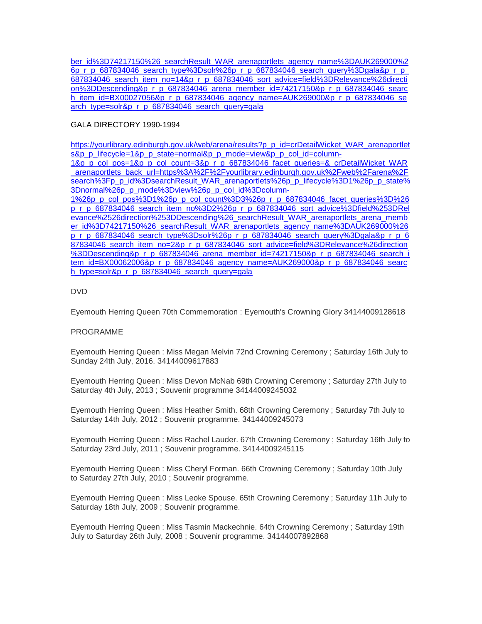[ber\\_id%3D74217150%26\\_searchResult\\_WAR\\_arenaportlets\\_agency\\_name%3DAUK269000%2](https://yourlibrary.edinburgh.gov.uk/web/arena/results?p_p_id=crDetailWicket_WAR_arenaportlets&p_p_lifecycle=1&p_p_state=normal&p_p_mode=view&p_p_col_id=column-1&p_p_col_pos=1&p_p_col_count=3&p_r_p_687834046_facet_queries=&_crDetailWicket_WAR_arenaportlets_back_url=https%3A%2F%2Fyourlibrary.edinburgh.gov.uk%2Fweb%2Farena%2Fsearch%3Fp_p_id%3DsearchResult_WAR_arenaportlets%26p_p_lifecycle%3D1%26p_p_state%3Dnormal%26p_p_mode%3Dview%26p_p_col_id%3Dcolumn-1%26p_p_col_pos%3D1%26p_p_col_count%3D3%26p_r_p_687834046_facet_queries%3D%26p_r_p_687834046_search_item_no%3D14%26p_r_p_687834046_sort_advice%3Dfield%253DRelevance%2526direction%253DDescending%26_searchResult_WAR_arenaportlets_arena_member_id%3D74217150%26_searchResult_WAR_arenaportlets_agency_name%3DAUK269000%26p_r_p_687834046_search_type%3Dsolr%26p_r_p_687834046_search_query%3Dgala&p_r_p_687834046_search_item_no=14&p_r_p_687834046_sort_advice=field%3DRelevance%26direction%3DDescending&p_r_p_687834046_arena_member_id=74217150&p_r_p_687834046_search_item_id=BX00027056&p_r_p_687834046_agency_name=AUK269000&p_r_p_687834046_search_type=solr&p_r_p_687834046_search_query=gala) [6p\\_r\\_p\\_687834046\\_search\\_type%3Dsolr%26p\\_r\\_p\\_687834046\\_search\\_query%3Dgala&p\\_r\\_p\\_](https://yourlibrary.edinburgh.gov.uk/web/arena/results?p_p_id=crDetailWicket_WAR_arenaportlets&p_p_lifecycle=1&p_p_state=normal&p_p_mode=view&p_p_col_id=column-1&p_p_col_pos=1&p_p_col_count=3&p_r_p_687834046_facet_queries=&_crDetailWicket_WAR_arenaportlets_back_url=https%3A%2F%2Fyourlibrary.edinburgh.gov.uk%2Fweb%2Farena%2Fsearch%3Fp_p_id%3DsearchResult_WAR_arenaportlets%26p_p_lifecycle%3D1%26p_p_state%3Dnormal%26p_p_mode%3Dview%26p_p_col_id%3Dcolumn-1%26p_p_col_pos%3D1%26p_p_col_count%3D3%26p_r_p_687834046_facet_queries%3D%26p_r_p_687834046_search_item_no%3D14%26p_r_p_687834046_sort_advice%3Dfield%253DRelevance%2526direction%253DDescending%26_searchResult_WAR_arenaportlets_arena_member_id%3D74217150%26_searchResult_WAR_arenaportlets_agency_name%3DAUK269000%26p_r_p_687834046_search_type%3Dsolr%26p_r_p_687834046_search_query%3Dgala&p_r_p_687834046_search_item_no=14&p_r_p_687834046_sort_advice=field%3DRelevance%26direction%3DDescending&p_r_p_687834046_arena_member_id=74217150&p_r_p_687834046_search_item_id=BX00027056&p_r_p_687834046_agency_name=AUK269000&p_r_p_687834046_search_type=solr&p_r_p_687834046_search_query=gala) [687834046\\_search\\_item\\_no=14&p\\_r\\_p\\_687834046\\_sort\\_advice=field%3DRelevance%26directi](https://yourlibrary.edinburgh.gov.uk/web/arena/results?p_p_id=crDetailWicket_WAR_arenaportlets&p_p_lifecycle=1&p_p_state=normal&p_p_mode=view&p_p_col_id=column-1&p_p_col_pos=1&p_p_col_count=3&p_r_p_687834046_facet_queries=&_crDetailWicket_WAR_arenaportlets_back_url=https%3A%2F%2Fyourlibrary.edinburgh.gov.uk%2Fweb%2Farena%2Fsearch%3Fp_p_id%3DsearchResult_WAR_arenaportlets%26p_p_lifecycle%3D1%26p_p_state%3Dnormal%26p_p_mode%3Dview%26p_p_col_id%3Dcolumn-1%26p_p_col_pos%3D1%26p_p_col_count%3D3%26p_r_p_687834046_facet_queries%3D%26p_r_p_687834046_search_item_no%3D14%26p_r_p_687834046_sort_advice%3Dfield%253DRelevance%2526direction%253DDescending%26_searchResult_WAR_arenaportlets_arena_member_id%3D74217150%26_searchResult_WAR_arenaportlets_agency_name%3DAUK269000%26p_r_p_687834046_search_type%3Dsolr%26p_r_p_687834046_search_query%3Dgala&p_r_p_687834046_search_item_no=14&p_r_p_687834046_sort_advice=field%3DRelevance%26direction%3DDescending&p_r_p_687834046_arena_member_id=74217150&p_r_p_687834046_search_item_id=BX00027056&p_r_p_687834046_agency_name=AUK269000&p_r_p_687834046_search_type=solr&p_r_p_687834046_search_query=gala) [on%3DDescending&p\\_r\\_p\\_687834046\\_arena\\_member\\_id=74217150&p\\_r\\_p\\_687834046\\_searc](https://yourlibrary.edinburgh.gov.uk/web/arena/results?p_p_id=crDetailWicket_WAR_arenaportlets&p_p_lifecycle=1&p_p_state=normal&p_p_mode=view&p_p_col_id=column-1&p_p_col_pos=1&p_p_col_count=3&p_r_p_687834046_facet_queries=&_crDetailWicket_WAR_arenaportlets_back_url=https%3A%2F%2Fyourlibrary.edinburgh.gov.uk%2Fweb%2Farena%2Fsearch%3Fp_p_id%3DsearchResult_WAR_arenaportlets%26p_p_lifecycle%3D1%26p_p_state%3Dnormal%26p_p_mode%3Dview%26p_p_col_id%3Dcolumn-1%26p_p_col_pos%3D1%26p_p_col_count%3D3%26p_r_p_687834046_facet_queries%3D%26p_r_p_687834046_search_item_no%3D14%26p_r_p_687834046_sort_advice%3Dfield%253DRelevance%2526direction%253DDescending%26_searchResult_WAR_arenaportlets_arena_member_id%3D74217150%26_searchResult_WAR_arenaportlets_agency_name%3DAUK269000%26p_r_p_687834046_search_type%3Dsolr%26p_r_p_687834046_search_query%3Dgala&p_r_p_687834046_search_item_no=14&p_r_p_687834046_sort_advice=field%3DRelevance%26direction%3DDescending&p_r_p_687834046_arena_member_id=74217150&p_r_p_687834046_search_item_id=BX00027056&p_r_p_687834046_agency_name=AUK269000&p_r_p_687834046_search_type=solr&p_r_p_687834046_search_query=gala) [h\\_item\\_id=BX00027056&p\\_r\\_p\\_687834046\\_agency\\_name=AUK269000&p\\_r\\_p\\_687834046\\_se](https://yourlibrary.edinburgh.gov.uk/web/arena/results?p_p_id=crDetailWicket_WAR_arenaportlets&p_p_lifecycle=1&p_p_state=normal&p_p_mode=view&p_p_col_id=column-1&p_p_col_pos=1&p_p_col_count=3&p_r_p_687834046_facet_queries=&_crDetailWicket_WAR_arenaportlets_back_url=https%3A%2F%2Fyourlibrary.edinburgh.gov.uk%2Fweb%2Farena%2Fsearch%3Fp_p_id%3DsearchResult_WAR_arenaportlets%26p_p_lifecycle%3D1%26p_p_state%3Dnormal%26p_p_mode%3Dview%26p_p_col_id%3Dcolumn-1%26p_p_col_pos%3D1%26p_p_col_count%3D3%26p_r_p_687834046_facet_queries%3D%26p_r_p_687834046_search_item_no%3D14%26p_r_p_687834046_sort_advice%3Dfield%253DRelevance%2526direction%253DDescending%26_searchResult_WAR_arenaportlets_arena_member_id%3D74217150%26_searchResult_WAR_arenaportlets_agency_name%3DAUK269000%26p_r_p_687834046_search_type%3Dsolr%26p_r_p_687834046_search_query%3Dgala&p_r_p_687834046_search_item_no=14&p_r_p_687834046_sort_advice=field%3DRelevance%26direction%3DDescending&p_r_p_687834046_arena_member_id=74217150&p_r_p_687834046_search_item_id=BX00027056&p_r_p_687834046_agency_name=AUK269000&p_r_p_687834046_search_type=solr&p_r_p_687834046_search_query=gala) [arch\\_type=solr&p\\_r\\_p\\_687834046\\_search\\_query=gala](https://yourlibrary.edinburgh.gov.uk/web/arena/results?p_p_id=crDetailWicket_WAR_arenaportlets&p_p_lifecycle=1&p_p_state=normal&p_p_mode=view&p_p_col_id=column-1&p_p_col_pos=1&p_p_col_count=3&p_r_p_687834046_facet_queries=&_crDetailWicket_WAR_arenaportlets_back_url=https%3A%2F%2Fyourlibrary.edinburgh.gov.uk%2Fweb%2Farena%2Fsearch%3Fp_p_id%3DsearchResult_WAR_arenaportlets%26p_p_lifecycle%3D1%26p_p_state%3Dnormal%26p_p_mode%3Dview%26p_p_col_id%3Dcolumn-1%26p_p_col_pos%3D1%26p_p_col_count%3D3%26p_r_p_687834046_facet_queries%3D%26p_r_p_687834046_search_item_no%3D14%26p_r_p_687834046_sort_advice%3Dfield%253DRelevance%2526direction%253DDescending%26_searchResult_WAR_arenaportlets_arena_member_id%3D74217150%26_searchResult_WAR_arenaportlets_agency_name%3DAUK269000%26p_r_p_687834046_search_type%3Dsolr%26p_r_p_687834046_search_query%3Dgala&p_r_p_687834046_search_item_no=14&p_r_p_687834046_sort_advice=field%3DRelevance%26direction%3DDescending&p_r_p_687834046_arena_member_id=74217150&p_r_p_687834046_search_item_id=BX00027056&p_r_p_687834046_agency_name=AUK269000&p_r_p_687834046_search_type=solr&p_r_p_687834046_search_query=gala)

# GALA DIRECTORY 1990-1994

[https://yourlibrary.edinburgh.gov.uk/web/arena/results?p\\_p\\_id=crDetailWicket\\_WAR\\_arenaportlet](https://yourlibrary.edinburgh.gov.uk/web/arena/results?p_p_id=crDetailWicket_WAR_arenaportlets&p_p_lifecycle=1&p_p_state=normal&p_p_mode=view&p_p_col_id=column-1&p_p_col_pos=1&p_p_col_count=3&p_r_p_687834046_facet_queries=&_crDetailWicket_WAR_arenaportlets_back_url=https%3A%2F%2Fyourlibrary.edinburgh.gov.uk%2Fweb%2Farena%2Fsearch%3Fp_p_id%3DsearchResult_WAR_arenaportlets%26p_p_lifecycle%3D1%26p_p_state%3Dnormal%26p_p_mode%3Dview%26p_p_col_id%3Dcolumn-1%26p_p_col_pos%3D1%26p_p_col_count%3D3%26p_r_p_687834046_facet_queries%3D%26p_r_p_687834046_search_item_no%3D2%26p_r_p_687834046_sort_advice%3Dfield%253DRelevance%2526direction%253DDescending%26_searchResult_WAR_arenaportlets_arena_member_id%3D74217150%26_searchResult_WAR_arenaportlets_agency_name%3DAUK269000%26p_r_p_687834046_search_type%3Dsolr%26p_r_p_687834046_search_query%3Dgala&p_r_p_687834046_search_item_no=2&p_r_p_687834046_sort_advice=field%3DRelevance%26direction%3DDescending&p_r_p_687834046_arena_member_id=74217150&p_r_p_687834046_search_item_id=BX00062006&p_r_p_687834046_agency_name=AUK269000&p_r_p_687834046_search_type=solr&p_r_p_687834046_search_query=gala) [s&p\\_p\\_lifecycle=1&p\\_p\\_state=normal&p\\_p\\_mode=view&p\\_p\\_col\\_id=column-](https://yourlibrary.edinburgh.gov.uk/web/arena/results?p_p_id=crDetailWicket_WAR_arenaportlets&p_p_lifecycle=1&p_p_state=normal&p_p_mode=view&p_p_col_id=column-1&p_p_col_pos=1&p_p_col_count=3&p_r_p_687834046_facet_queries=&_crDetailWicket_WAR_arenaportlets_back_url=https%3A%2F%2Fyourlibrary.edinburgh.gov.uk%2Fweb%2Farena%2Fsearch%3Fp_p_id%3DsearchResult_WAR_arenaportlets%26p_p_lifecycle%3D1%26p_p_state%3Dnormal%26p_p_mode%3Dview%26p_p_col_id%3Dcolumn-1%26p_p_col_pos%3D1%26p_p_col_count%3D3%26p_r_p_687834046_facet_queries%3D%26p_r_p_687834046_search_item_no%3D2%26p_r_p_687834046_sort_advice%3Dfield%253DRelevance%2526direction%253DDescending%26_searchResult_WAR_arenaportlets_arena_member_id%3D74217150%26_searchResult_WAR_arenaportlets_agency_name%3DAUK269000%26p_r_p_687834046_search_type%3Dsolr%26p_r_p_687834046_search_query%3Dgala&p_r_p_687834046_search_item_no=2&p_r_p_687834046_sort_advice=field%3DRelevance%26direction%3DDescending&p_r_p_687834046_arena_member_id=74217150&p_r_p_687834046_search_item_id=BX00062006&p_r_p_687834046_agency_name=AUK269000&p_r_p_687834046_search_type=solr&p_r_p_687834046_search_query=gala)

[1&p\\_p\\_col\\_pos=1&p\\_p\\_col\\_count=3&p\\_r\\_p\\_687834046\\_facet\\_queries=&\\_crDetailWicket\\_WAR](https://yourlibrary.edinburgh.gov.uk/web/arena/results?p_p_id=crDetailWicket_WAR_arenaportlets&p_p_lifecycle=1&p_p_state=normal&p_p_mode=view&p_p_col_id=column-1&p_p_col_pos=1&p_p_col_count=3&p_r_p_687834046_facet_queries=&_crDetailWicket_WAR_arenaportlets_back_url=https%3A%2F%2Fyourlibrary.edinburgh.gov.uk%2Fweb%2Farena%2Fsearch%3Fp_p_id%3DsearchResult_WAR_arenaportlets%26p_p_lifecycle%3D1%26p_p_state%3Dnormal%26p_p_mode%3Dview%26p_p_col_id%3Dcolumn-1%26p_p_col_pos%3D1%26p_p_col_count%3D3%26p_r_p_687834046_facet_queries%3D%26p_r_p_687834046_search_item_no%3D2%26p_r_p_687834046_sort_advice%3Dfield%253DRelevance%2526direction%253DDescending%26_searchResult_WAR_arenaportlets_arena_member_id%3D74217150%26_searchResult_WAR_arenaportlets_agency_name%3DAUK269000%26p_r_p_687834046_search_type%3Dsolr%26p_r_p_687834046_search_query%3Dgala&p_r_p_687834046_search_item_no=2&p_r_p_687834046_sort_advice=field%3DRelevance%26direction%3DDescending&p_r_p_687834046_arena_member_id=74217150&p_r_p_687834046_search_item_id=BX00062006&p_r_p_687834046_agency_name=AUK269000&p_r_p_687834046_search_type=solr&p_r_p_687834046_search_query=gala) [\\_arenaportlets\\_back\\_url=https%3A%2F%2Fyourlibrary.edinburgh.gov.uk%2Fweb%2Farena%2F](https://yourlibrary.edinburgh.gov.uk/web/arena/results?p_p_id=crDetailWicket_WAR_arenaportlets&p_p_lifecycle=1&p_p_state=normal&p_p_mode=view&p_p_col_id=column-1&p_p_col_pos=1&p_p_col_count=3&p_r_p_687834046_facet_queries=&_crDetailWicket_WAR_arenaportlets_back_url=https%3A%2F%2Fyourlibrary.edinburgh.gov.uk%2Fweb%2Farena%2Fsearch%3Fp_p_id%3DsearchResult_WAR_arenaportlets%26p_p_lifecycle%3D1%26p_p_state%3Dnormal%26p_p_mode%3Dview%26p_p_col_id%3Dcolumn-1%26p_p_col_pos%3D1%26p_p_col_count%3D3%26p_r_p_687834046_facet_queries%3D%26p_r_p_687834046_search_item_no%3D2%26p_r_p_687834046_sort_advice%3Dfield%253DRelevance%2526direction%253DDescending%26_searchResult_WAR_arenaportlets_arena_member_id%3D74217150%26_searchResult_WAR_arenaportlets_agency_name%3DAUK269000%26p_r_p_687834046_search_type%3Dsolr%26p_r_p_687834046_search_query%3Dgala&p_r_p_687834046_search_item_no=2&p_r_p_687834046_sort_advice=field%3DRelevance%26direction%3DDescending&p_r_p_687834046_arena_member_id=74217150&p_r_p_687834046_search_item_id=BX00062006&p_r_p_687834046_agency_name=AUK269000&p_r_p_687834046_search_type=solr&p_r_p_687834046_search_query=gala) [search%3Fp\\_p\\_id%3DsearchResult\\_WAR\\_arenaportlets%26p\\_p\\_lifecycle%3D1%26p\\_p\\_state%](https://yourlibrary.edinburgh.gov.uk/web/arena/results?p_p_id=crDetailWicket_WAR_arenaportlets&p_p_lifecycle=1&p_p_state=normal&p_p_mode=view&p_p_col_id=column-1&p_p_col_pos=1&p_p_col_count=3&p_r_p_687834046_facet_queries=&_crDetailWicket_WAR_arenaportlets_back_url=https%3A%2F%2Fyourlibrary.edinburgh.gov.uk%2Fweb%2Farena%2Fsearch%3Fp_p_id%3DsearchResult_WAR_arenaportlets%26p_p_lifecycle%3D1%26p_p_state%3Dnormal%26p_p_mode%3Dview%26p_p_col_id%3Dcolumn-1%26p_p_col_pos%3D1%26p_p_col_count%3D3%26p_r_p_687834046_facet_queries%3D%26p_r_p_687834046_search_item_no%3D2%26p_r_p_687834046_sort_advice%3Dfield%253DRelevance%2526direction%253DDescending%26_searchResult_WAR_arenaportlets_arena_member_id%3D74217150%26_searchResult_WAR_arenaportlets_agency_name%3DAUK269000%26p_r_p_687834046_search_type%3Dsolr%26p_r_p_687834046_search_query%3Dgala&p_r_p_687834046_search_item_no=2&p_r_p_687834046_sort_advice=field%3DRelevance%26direction%3DDescending&p_r_p_687834046_arena_member_id=74217150&p_r_p_687834046_search_item_id=BX00062006&p_r_p_687834046_agency_name=AUK269000&p_r_p_687834046_search_type=solr&p_r_p_687834046_search_query=gala) [3Dnormal%26p\\_p\\_mode%3Dview%26p\\_p\\_col\\_id%3Dcolumn-](https://yourlibrary.edinburgh.gov.uk/web/arena/results?p_p_id=crDetailWicket_WAR_arenaportlets&p_p_lifecycle=1&p_p_state=normal&p_p_mode=view&p_p_col_id=column-1&p_p_col_pos=1&p_p_col_count=3&p_r_p_687834046_facet_queries=&_crDetailWicket_WAR_arenaportlets_back_url=https%3A%2F%2Fyourlibrary.edinburgh.gov.uk%2Fweb%2Farena%2Fsearch%3Fp_p_id%3DsearchResult_WAR_arenaportlets%26p_p_lifecycle%3D1%26p_p_state%3Dnormal%26p_p_mode%3Dview%26p_p_col_id%3Dcolumn-1%26p_p_col_pos%3D1%26p_p_col_count%3D3%26p_r_p_687834046_facet_queries%3D%26p_r_p_687834046_search_item_no%3D2%26p_r_p_687834046_sort_advice%3Dfield%253DRelevance%2526direction%253DDescending%26_searchResult_WAR_arenaportlets_arena_member_id%3D74217150%26_searchResult_WAR_arenaportlets_agency_name%3DAUK269000%26p_r_p_687834046_search_type%3Dsolr%26p_r_p_687834046_search_query%3Dgala&p_r_p_687834046_search_item_no=2&p_r_p_687834046_sort_advice=field%3DRelevance%26direction%3DDescending&p_r_p_687834046_arena_member_id=74217150&p_r_p_687834046_search_item_id=BX00062006&p_r_p_687834046_agency_name=AUK269000&p_r_p_687834046_search_type=solr&p_r_p_687834046_search_query=gala)

[1%26p\\_p\\_col\\_pos%3D1%26p\\_p\\_col\\_count%3D3%26p\\_r\\_p\\_687834046\\_facet\\_queries%3D%26](https://yourlibrary.edinburgh.gov.uk/web/arena/results?p_p_id=crDetailWicket_WAR_arenaportlets&p_p_lifecycle=1&p_p_state=normal&p_p_mode=view&p_p_col_id=column-1&p_p_col_pos=1&p_p_col_count=3&p_r_p_687834046_facet_queries=&_crDetailWicket_WAR_arenaportlets_back_url=https%3A%2F%2Fyourlibrary.edinburgh.gov.uk%2Fweb%2Farena%2Fsearch%3Fp_p_id%3DsearchResult_WAR_arenaportlets%26p_p_lifecycle%3D1%26p_p_state%3Dnormal%26p_p_mode%3Dview%26p_p_col_id%3Dcolumn-1%26p_p_col_pos%3D1%26p_p_col_count%3D3%26p_r_p_687834046_facet_queries%3D%26p_r_p_687834046_search_item_no%3D2%26p_r_p_687834046_sort_advice%3Dfield%253DRelevance%2526direction%253DDescending%26_searchResult_WAR_arenaportlets_arena_member_id%3D74217150%26_searchResult_WAR_arenaportlets_agency_name%3DAUK269000%26p_r_p_687834046_search_type%3Dsolr%26p_r_p_687834046_search_query%3Dgala&p_r_p_687834046_search_item_no=2&p_r_p_687834046_sort_advice=field%3DRelevance%26direction%3DDescending&p_r_p_687834046_arena_member_id=74217150&p_r_p_687834046_search_item_id=BX00062006&p_r_p_687834046_agency_name=AUK269000&p_r_p_687834046_search_type=solr&p_r_p_687834046_search_query=gala) [p\\_r\\_p\\_687834046\\_search\\_item\\_no%3D2%26p\\_r\\_p\\_687834046\\_sort\\_advice%3Dfield%253DRel](https://yourlibrary.edinburgh.gov.uk/web/arena/results?p_p_id=crDetailWicket_WAR_arenaportlets&p_p_lifecycle=1&p_p_state=normal&p_p_mode=view&p_p_col_id=column-1&p_p_col_pos=1&p_p_col_count=3&p_r_p_687834046_facet_queries=&_crDetailWicket_WAR_arenaportlets_back_url=https%3A%2F%2Fyourlibrary.edinburgh.gov.uk%2Fweb%2Farena%2Fsearch%3Fp_p_id%3DsearchResult_WAR_arenaportlets%26p_p_lifecycle%3D1%26p_p_state%3Dnormal%26p_p_mode%3Dview%26p_p_col_id%3Dcolumn-1%26p_p_col_pos%3D1%26p_p_col_count%3D3%26p_r_p_687834046_facet_queries%3D%26p_r_p_687834046_search_item_no%3D2%26p_r_p_687834046_sort_advice%3Dfield%253DRelevance%2526direction%253DDescending%26_searchResult_WAR_arenaportlets_arena_member_id%3D74217150%26_searchResult_WAR_arenaportlets_agency_name%3DAUK269000%26p_r_p_687834046_search_type%3Dsolr%26p_r_p_687834046_search_query%3Dgala&p_r_p_687834046_search_item_no=2&p_r_p_687834046_sort_advice=field%3DRelevance%26direction%3DDescending&p_r_p_687834046_arena_member_id=74217150&p_r_p_687834046_search_item_id=BX00062006&p_r_p_687834046_agency_name=AUK269000&p_r_p_687834046_search_type=solr&p_r_p_687834046_search_query=gala) [evance%2526direction%253DDescending%26\\_searchResult\\_WAR\\_arenaportlets\\_arena\\_memb](https://yourlibrary.edinburgh.gov.uk/web/arena/results?p_p_id=crDetailWicket_WAR_arenaportlets&p_p_lifecycle=1&p_p_state=normal&p_p_mode=view&p_p_col_id=column-1&p_p_col_pos=1&p_p_col_count=3&p_r_p_687834046_facet_queries=&_crDetailWicket_WAR_arenaportlets_back_url=https%3A%2F%2Fyourlibrary.edinburgh.gov.uk%2Fweb%2Farena%2Fsearch%3Fp_p_id%3DsearchResult_WAR_arenaportlets%26p_p_lifecycle%3D1%26p_p_state%3Dnormal%26p_p_mode%3Dview%26p_p_col_id%3Dcolumn-1%26p_p_col_pos%3D1%26p_p_col_count%3D3%26p_r_p_687834046_facet_queries%3D%26p_r_p_687834046_search_item_no%3D2%26p_r_p_687834046_sort_advice%3Dfield%253DRelevance%2526direction%253DDescending%26_searchResult_WAR_arenaportlets_arena_member_id%3D74217150%26_searchResult_WAR_arenaportlets_agency_name%3DAUK269000%26p_r_p_687834046_search_type%3Dsolr%26p_r_p_687834046_search_query%3Dgala&p_r_p_687834046_search_item_no=2&p_r_p_687834046_sort_advice=field%3DRelevance%26direction%3DDescending&p_r_p_687834046_arena_member_id=74217150&p_r_p_687834046_search_item_id=BX00062006&p_r_p_687834046_agency_name=AUK269000&p_r_p_687834046_search_type=solr&p_r_p_687834046_search_query=gala) [er\\_id%3D74217150%26\\_searchResult\\_WAR\\_arenaportlets\\_agency\\_name%3DAUK269000%26](https://yourlibrary.edinburgh.gov.uk/web/arena/results?p_p_id=crDetailWicket_WAR_arenaportlets&p_p_lifecycle=1&p_p_state=normal&p_p_mode=view&p_p_col_id=column-1&p_p_col_pos=1&p_p_col_count=3&p_r_p_687834046_facet_queries=&_crDetailWicket_WAR_arenaportlets_back_url=https%3A%2F%2Fyourlibrary.edinburgh.gov.uk%2Fweb%2Farena%2Fsearch%3Fp_p_id%3DsearchResult_WAR_arenaportlets%26p_p_lifecycle%3D1%26p_p_state%3Dnormal%26p_p_mode%3Dview%26p_p_col_id%3Dcolumn-1%26p_p_col_pos%3D1%26p_p_col_count%3D3%26p_r_p_687834046_facet_queries%3D%26p_r_p_687834046_search_item_no%3D2%26p_r_p_687834046_sort_advice%3Dfield%253DRelevance%2526direction%253DDescending%26_searchResult_WAR_arenaportlets_arena_member_id%3D74217150%26_searchResult_WAR_arenaportlets_agency_name%3DAUK269000%26p_r_p_687834046_search_type%3Dsolr%26p_r_p_687834046_search_query%3Dgala&p_r_p_687834046_search_item_no=2&p_r_p_687834046_sort_advice=field%3DRelevance%26direction%3DDescending&p_r_p_687834046_arena_member_id=74217150&p_r_p_687834046_search_item_id=BX00062006&p_r_p_687834046_agency_name=AUK269000&p_r_p_687834046_search_type=solr&p_r_p_687834046_search_query=gala) [p\\_r\\_p\\_687834046\\_search\\_type%3Dsolr%26p\\_r\\_p\\_687834046\\_search\\_query%3Dgala&p\\_r\\_p\\_6](https://yourlibrary.edinburgh.gov.uk/web/arena/results?p_p_id=crDetailWicket_WAR_arenaportlets&p_p_lifecycle=1&p_p_state=normal&p_p_mode=view&p_p_col_id=column-1&p_p_col_pos=1&p_p_col_count=3&p_r_p_687834046_facet_queries=&_crDetailWicket_WAR_arenaportlets_back_url=https%3A%2F%2Fyourlibrary.edinburgh.gov.uk%2Fweb%2Farena%2Fsearch%3Fp_p_id%3DsearchResult_WAR_arenaportlets%26p_p_lifecycle%3D1%26p_p_state%3Dnormal%26p_p_mode%3Dview%26p_p_col_id%3Dcolumn-1%26p_p_col_pos%3D1%26p_p_col_count%3D3%26p_r_p_687834046_facet_queries%3D%26p_r_p_687834046_search_item_no%3D2%26p_r_p_687834046_sort_advice%3Dfield%253DRelevance%2526direction%253DDescending%26_searchResult_WAR_arenaportlets_arena_member_id%3D74217150%26_searchResult_WAR_arenaportlets_agency_name%3DAUK269000%26p_r_p_687834046_search_type%3Dsolr%26p_r_p_687834046_search_query%3Dgala&p_r_p_687834046_search_item_no=2&p_r_p_687834046_sort_advice=field%3DRelevance%26direction%3DDescending&p_r_p_687834046_arena_member_id=74217150&p_r_p_687834046_search_item_id=BX00062006&p_r_p_687834046_agency_name=AUK269000&p_r_p_687834046_search_type=solr&p_r_p_687834046_search_query=gala) [87834046\\_search\\_item\\_no=2&p\\_r\\_p\\_687834046\\_sort\\_advice=field%3DRelevance%26direction](https://yourlibrary.edinburgh.gov.uk/web/arena/results?p_p_id=crDetailWicket_WAR_arenaportlets&p_p_lifecycle=1&p_p_state=normal&p_p_mode=view&p_p_col_id=column-1&p_p_col_pos=1&p_p_col_count=3&p_r_p_687834046_facet_queries=&_crDetailWicket_WAR_arenaportlets_back_url=https%3A%2F%2Fyourlibrary.edinburgh.gov.uk%2Fweb%2Farena%2Fsearch%3Fp_p_id%3DsearchResult_WAR_arenaportlets%26p_p_lifecycle%3D1%26p_p_state%3Dnormal%26p_p_mode%3Dview%26p_p_col_id%3Dcolumn-1%26p_p_col_pos%3D1%26p_p_col_count%3D3%26p_r_p_687834046_facet_queries%3D%26p_r_p_687834046_search_item_no%3D2%26p_r_p_687834046_sort_advice%3Dfield%253DRelevance%2526direction%253DDescending%26_searchResult_WAR_arenaportlets_arena_member_id%3D74217150%26_searchResult_WAR_arenaportlets_agency_name%3DAUK269000%26p_r_p_687834046_search_type%3Dsolr%26p_r_p_687834046_search_query%3Dgala&p_r_p_687834046_search_item_no=2&p_r_p_687834046_sort_advice=field%3DRelevance%26direction%3DDescending&p_r_p_687834046_arena_member_id=74217150&p_r_p_687834046_search_item_id=BX00062006&p_r_p_687834046_agency_name=AUK269000&p_r_p_687834046_search_type=solr&p_r_p_687834046_search_query=gala) [%3DDescending&p\\_r\\_p\\_687834046\\_arena\\_member\\_id=74217150&p\\_r\\_p\\_687834046\\_search\\_i](https://yourlibrary.edinburgh.gov.uk/web/arena/results?p_p_id=crDetailWicket_WAR_arenaportlets&p_p_lifecycle=1&p_p_state=normal&p_p_mode=view&p_p_col_id=column-1&p_p_col_pos=1&p_p_col_count=3&p_r_p_687834046_facet_queries=&_crDetailWicket_WAR_arenaportlets_back_url=https%3A%2F%2Fyourlibrary.edinburgh.gov.uk%2Fweb%2Farena%2Fsearch%3Fp_p_id%3DsearchResult_WAR_arenaportlets%26p_p_lifecycle%3D1%26p_p_state%3Dnormal%26p_p_mode%3Dview%26p_p_col_id%3Dcolumn-1%26p_p_col_pos%3D1%26p_p_col_count%3D3%26p_r_p_687834046_facet_queries%3D%26p_r_p_687834046_search_item_no%3D2%26p_r_p_687834046_sort_advice%3Dfield%253DRelevance%2526direction%253DDescending%26_searchResult_WAR_arenaportlets_arena_member_id%3D74217150%26_searchResult_WAR_arenaportlets_agency_name%3DAUK269000%26p_r_p_687834046_search_type%3Dsolr%26p_r_p_687834046_search_query%3Dgala&p_r_p_687834046_search_item_no=2&p_r_p_687834046_sort_advice=field%3DRelevance%26direction%3DDescending&p_r_p_687834046_arena_member_id=74217150&p_r_p_687834046_search_item_id=BX00062006&p_r_p_687834046_agency_name=AUK269000&p_r_p_687834046_search_type=solr&p_r_p_687834046_search_query=gala) [tem\\_id=BX00062006&p\\_r\\_p\\_687834046\\_agency\\_name=AUK269000&p\\_r\\_p\\_687834046\\_searc](https://yourlibrary.edinburgh.gov.uk/web/arena/results?p_p_id=crDetailWicket_WAR_arenaportlets&p_p_lifecycle=1&p_p_state=normal&p_p_mode=view&p_p_col_id=column-1&p_p_col_pos=1&p_p_col_count=3&p_r_p_687834046_facet_queries=&_crDetailWicket_WAR_arenaportlets_back_url=https%3A%2F%2Fyourlibrary.edinburgh.gov.uk%2Fweb%2Farena%2Fsearch%3Fp_p_id%3DsearchResult_WAR_arenaportlets%26p_p_lifecycle%3D1%26p_p_state%3Dnormal%26p_p_mode%3Dview%26p_p_col_id%3Dcolumn-1%26p_p_col_pos%3D1%26p_p_col_count%3D3%26p_r_p_687834046_facet_queries%3D%26p_r_p_687834046_search_item_no%3D2%26p_r_p_687834046_sort_advice%3Dfield%253DRelevance%2526direction%253DDescending%26_searchResult_WAR_arenaportlets_arena_member_id%3D74217150%26_searchResult_WAR_arenaportlets_agency_name%3DAUK269000%26p_r_p_687834046_search_type%3Dsolr%26p_r_p_687834046_search_query%3Dgala&p_r_p_687834046_search_item_no=2&p_r_p_687834046_sort_advice=field%3DRelevance%26direction%3DDescending&p_r_p_687834046_arena_member_id=74217150&p_r_p_687834046_search_item_id=BX00062006&p_r_p_687834046_agency_name=AUK269000&p_r_p_687834046_search_type=solr&p_r_p_687834046_search_query=gala) [h\\_type=solr&p\\_r\\_p\\_687834046\\_search\\_query=gala](https://yourlibrary.edinburgh.gov.uk/web/arena/results?p_p_id=crDetailWicket_WAR_arenaportlets&p_p_lifecycle=1&p_p_state=normal&p_p_mode=view&p_p_col_id=column-1&p_p_col_pos=1&p_p_col_count=3&p_r_p_687834046_facet_queries=&_crDetailWicket_WAR_arenaportlets_back_url=https%3A%2F%2Fyourlibrary.edinburgh.gov.uk%2Fweb%2Farena%2Fsearch%3Fp_p_id%3DsearchResult_WAR_arenaportlets%26p_p_lifecycle%3D1%26p_p_state%3Dnormal%26p_p_mode%3Dview%26p_p_col_id%3Dcolumn-1%26p_p_col_pos%3D1%26p_p_col_count%3D3%26p_r_p_687834046_facet_queries%3D%26p_r_p_687834046_search_item_no%3D2%26p_r_p_687834046_sort_advice%3Dfield%253DRelevance%2526direction%253DDescending%26_searchResult_WAR_arenaportlets_arena_member_id%3D74217150%26_searchResult_WAR_arenaportlets_agency_name%3DAUK269000%26p_r_p_687834046_search_type%3Dsolr%26p_r_p_687834046_search_query%3Dgala&p_r_p_687834046_search_item_no=2&p_r_p_687834046_sort_advice=field%3DRelevance%26direction%3DDescending&p_r_p_687834046_arena_member_id=74217150&p_r_p_687834046_search_item_id=BX00062006&p_r_p_687834046_agency_name=AUK269000&p_r_p_687834046_search_type=solr&p_r_p_687834046_search_query=gala)

# DVD

Eyemouth Herring Queen 70th Commemoration : Eyemouth's Crowning Glory 34144009128618

## PROGRAMME

Eyemouth Herring Queen : Miss Megan Melvin 72nd Crowning Ceremony ; Saturday 16th July to Sunday 24th July, 2016. 34144009617883

[Eyemouth](https://librarysearch.scotborders.gov.uk/iguana/www.main.cls?p=ebaf7bd5-cb99-43c2-9879-8167c3eee042&v=c97386a2-914a-40c2-bd8d-df4c273175e6&t=1512038163241&rtisearch=1) [Herring](https://librarysearch.scotborders.gov.uk/iguana/www.main.cls?p=ebaf7bd5-cb99-43c2-9879-8167c3eee042&v=c97386a2-914a-40c2-bd8d-df4c273175e6&t=1512038163241&rtisearch=1) [Queen](https://librarysearch.scotborders.gov.uk/iguana/www.main.cls?p=ebaf7bd5-cb99-43c2-9879-8167c3eee042&v=c97386a2-914a-40c2-bd8d-df4c273175e6&t=1512038163241&rtisearch=1) : Miss Devon McNab 69th Crowning Ceremony ; Saturday 27th July to Saturday 4th July, 2013 ; Souvenir programme 34144009245032

Eyemouth Herring Queen : Miss Heather Smith. 68th Crowning Ceremony ; Saturday 7th July to Saturday 14th July, 2012 ; Souvenir programme. 34144009245073

Eyemouth Herring Queen : Miss Rachel Lauder. 67th Crowning Ceremony ; Saturday 16th July to Saturday 23rd July, 2011 ; Souvenir programme. 34144009245115

[Eyemouth](https://librarysearch.scotborders.gov.uk/iguana/www.main.cls?p=ebaf7bd5-cb99-43c2-9879-8167c3eee042&v=c97386a2-914a-40c2-bd8d-df4c273175e6&t=1512038163241&rtisearch=1) [Herring](https://librarysearch.scotborders.gov.uk/iguana/www.main.cls?p=ebaf7bd5-cb99-43c2-9879-8167c3eee042&v=c97386a2-914a-40c2-bd8d-df4c273175e6&t=1512038163241&rtisearch=1) [Queen](https://librarysearch.scotborders.gov.uk/iguana/www.main.cls?p=ebaf7bd5-cb99-43c2-9879-8167c3eee042&v=c97386a2-914a-40c2-bd8d-df4c273175e6&t=1512038163241&rtisearch=1) : Miss Cheryl Forman. 66th Crowning Ceremony ; Saturday 10th July to Saturday 27th July, 2010 ; Souvenir programme.

[Eyemouth](https://librarysearch.scotborders.gov.uk/iguana/www.main.cls?p=ebaf7bd5-cb99-43c2-9879-8167c3eee042&v=c97386a2-914a-40c2-bd8d-df4c273175e6&t=1512038163241&rtisearch=1) [Herring](https://librarysearch.scotborders.gov.uk/iguana/www.main.cls?p=ebaf7bd5-cb99-43c2-9879-8167c3eee042&v=c97386a2-914a-40c2-bd8d-df4c273175e6&t=1512038163241&rtisearch=1) [Queen](https://librarysearch.scotborders.gov.uk/iguana/www.main.cls?p=ebaf7bd5-cb99-43c2-9879-8167c3eee042&v=c97386a2-914a-40c2-bd8d-df4c273175e6&t=1512038163241&rtisearch=1) : Miss Leoke Spouse. 65th Crowning Ceremony ; Saturday 11h July to Saturday 18th July, 2009 ; Souvenir programme.

Eyemouth Herring Queen : Miss Tasmin Mackechnie. 64th Crowning Ceremony ; Saturday 19th July to Saturday 26th July, 2008 ; Souvenir programme. 34144007892868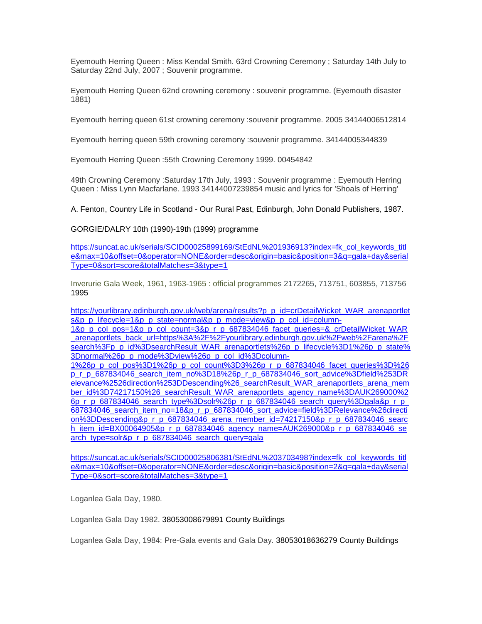Eyemouth Herring Queen : Miss Kendal Smith. 63rd Crowning Ceremony ; Saturday 14th July to Saturday 22nd July, 2007 ; Souvenir programme.

[Eyemouth](https://librarysearch.scotborders.gov.uk/iguana/www.main.cls?p=ebaf7bd5-cb99-43c2-9879-8167c3eee042&v=c97386a2-914a-40c2-bd8d-df4c273175e6&t=1512038163241&rtisearch=1) [Herring](https://librarysearch.scotborders.gov.uk/iguana/www.main.cls?p=ebaf7bd5-cb99-43c2-9879-8167c3eee042&v=c97386a2-914a-40c2-bd8d-df4c273175e6&t=1512038163241&rtisearch=1) [Queen](https://librarysearch.scotborders.gov.uk/iguana/www.main.cls?p=ebaf7bd5-cb99-43c2-9879-8167c3eee042&v=c97386a2-914a-40c2-bd8d-df4c273175e6&t=1512038163241&rtisearch=1) [62nd](https://librarysearch.scotborders.gov.uk/iguana/www.main.cls?p=ebaf7bd5-cb99-43c2-9879-8167c3eee042&v=c97386a2-914a-40c2-bd8d-df4c273175e6&t=1512038163241&rtisearch=1) [crowning](https://librarysearch.scotborders.gov.uk/iguana/www.main.cls?p=ebaf7bd5-cb99-43c2-9879-8167c3eee042&v=c97386a2-914a-40c2-bd8d-df4c273175e6&t=1512038163241&rtisearch=1) [ceremony](https://librarysearch.scotborders.gov.uk/iguana/www.main.cls?p=ebaf7bd5-cb99-43c2-9879-8167c3eee042&v=c97386a2-914a-40c2-bd8d-df4c273175e6&t=1512038163241&rtisearch=1) : souvenir programme. (Eyemouth disaster 1881)

[Eyemouth](https://librarysearch.scotborders.gov.uk/iguana/www.main.cls?p=ebaf7bd5-cb99-43c2-9879-8167c3eee042&v=c97386a2-914a-40c2-bd8d-df4c273175e6&t=1512038163241&rtisearch=1) [herring](https://librarysearch.scotborders.gov.uk/iguana/www.main.cls?p=ebaf7bd5-cb99-43c2-9879-8167c3eee042&v=c97386a2-914a-40c2-bd8d-df4c273175e6&t=1512038163241&rtisearch=1) [queen](https://librarysearch.scotborders.gov.uk/iguana/www.main.cls?p=ebaf7bd5-cb99-43c2-9879-8167c3eee042&v=c97386a2-914a-40c2-bd8d-df4c273175e6&t=1512038163241&rtisearch=1) [61st](https://librarysearch.scotborders.gov.uk/iguana/www.main.cls?p=ebaf7bd5-cb99-43c2-9879-8167c3eee042&v=c97386a2-914a-40c2-bd8d-df4c273175e6&t=1512038163241&rtisearch=1) [crowning](https://librarysearch.scotborders.gov.uk/iguana/www.main.cls?p=ebaf7bd5-cb99-43c2-9879-8167c3eee042&v=c97386a2-914a-40c2-bd8d-df4c273175e6&t=1512038163241&rtisearch=1) [ceremony](https://librarysearch.scotborders.gov.uk/iguana/www.main.cls?p=ebaf7bd5-cb99-43c2-9879-8167c3eee042&v=c97386a2-914a-40c2-bd8d-df4c273175e6&t=1512038163241&rtisearch=1) :souvenir programme. 2005 34144006512814

[Eyemouth](https://librarysearch.scotborders.gov.uk/iguana/www.main.cls?p=ebaf7bd5-cb99-43c2-9879-8167c3eee042&v=c97386a2-914a-40c2-bd8d-df4c273175e6&t=1512038163241&rtisearch=1) [herring](https://librarysearch.scotborders.gov.uk/iguana/www.main.cls?p=ebaf7bd5-cb99-43c2-9879-8167c3eee042&v=c97386a2-914a-40c2-bd8d-df4c273175e6&t=1512038163241&rtisearch=1) [queen](https://librarysearch.scotborders.gov.uk/iguana/www.main.cls?p=ebaf7bd5-cb99-43c2-9879-8167c3eee042&v=c97386a2-914a-40c2-bd8d-df4c273175e6&t=1512038163241&rtisearch=1) [59th](https://librarysearch.scotborders.gov.uk/iguana/www.main.cls?p=ebaf7bd5-cb99-43c2-9879-8167c3eee042&v=c97386a2-914a-40c2-bd8d-df4c273175e6&t=1512038163241&rtisearch=1) [crowning](https://librarysearch.scotborders.gov.uk/iguana/www.main.cls?p=ebaf7bd5-cb99-43c2-9879-8167c3eee042&v=c97386a2-914a-40c2-bd8d-df4c273175e6&t=1512038163241&rtisearch=1) [ceremony](https://librarysearch.scotborders.gov.uk/iguana/www.main.cls?p=ebaf7bd5-cb99-43c2-9879-8167c3eee042&v=c97386a2-914a-40c2-bd8d-df4c273175e6&t=1512038163241&rtisearch=1) :souvenir programme. 34144005344839

Eyemouth Herring Queen :55th Crowning Ceremony 1999. 00454842

[49th](https://librarysearch.scotborders.gov.uk/iguana/www.main.cls?p=ebaf7bd5-cb99-43c2-9879-8167c3eee042&v=c97386a2-914a-40c2-bd8d-df4c273175e6&t=1512038163241&rtisearch=1) [Crowning](https://librarysearch.scotborders.gov.uk/iguana/www.main.cls?p=ebaf7bd5-cb99-43c2-9879-8167c3eee042&v=c97386a2-914a-40c2-bd8d-df4c273175e6&t=1512038163241&rtisearch=1) [Ceremony](https://librarysearch.scotborders.gov.uk/iguana/www.main.cls?p=ebaf7bd5-cb99-43c2-9879-8167c3eee042&v=c97386a2-914a-40c2-bd8d-df4c273175e6&t=1512038163241&rtisearch=1) :Saturday 17th July, 1993 : Souvenir programme : Eyemouth Herring Queen : Miss Lynn Macfarlane. 1993 34144007239854 music and lyrics for 'Shoals of Herring'

A. Fenton, Country Life in Scotland - Our Rural Past, Edinburgh, John Donald Publishers, 1987.

GORGIE/DALRY 10th (1990)-19th (1999) programme

[https://suncat.ac.uk/serials/SCID00025899169/StEdNL%201936913?index=fk\\_col\\_keywords\\_titl](https://suncat.ac.uk/serials/SCID00025899169/StEdNL%201936913?index=fk_col_keywords_title&max=10&offset=0&operator=NONE&order=desc&origin=basic&position=3&q=gala+day&serialType=0&sort=score&totalMatches=3&type=1) [e&max=10&offset=0&operator=NONE&order=desc&origin=basic&position=3&q=gala+day&serial](https://suncat.ac.uk/serials/SCID00025899169/StEdNL%201936913?index=fk_col_keywords_title&max=10&offset=0&operator=NONE&order=desc&origin=basic&position=3&q=gala+day&serialType=0&sort=score&totalMatches=3&type=1) [Type=0&sort=score&totalMatches=3&type=1](https://suncat.ac.uk/serials/SCID00025899169/StEdNL%201936913?index=fk_col_keywords_title&max=10&offset=0&operator=NONE&order=desc&origin=basic&position=3&q=gala+day&serialType=0&sort=score&totalMatches=3&type=1)

[Inverurie Gala Week, 1961, 1963-1965 : official programmes](https://aberdeenshire.spydus.co.uk/cgi-bin/spydus.exe/ENQ/OPAC/BIBENQ/17322534?TIH_TYPE=B&TIH_NS=1&TIH=INVERURIE%20GALA%20WEEK%201963%20OFFICIAL%20PROGRAMME) 2172265, 713751, 603855, 713756 1995

[https://yourlibrary.edinburgh.gov.uk/web/arena/results?p\\_p\\_id=crDetailWicket\\_WAR\\_arenaportlet](https://yourlibrary.edinburgh.gov.uk/web/arena/results?p_p_id=crDetailWicket_WAR_arenaportlets&p_p_lifecycle=1&p_p_state=normal&p_p_mode=view&p_p_col_id=column-1&p_p_col_pos=1&p_p_col_count=3&p_r_p_687834046_facet_queries=&_crDetailWicket_WAR_arenaportlets_back_url=https%3A%2F%2Fyourlibrary.edinburgh.gov.uk%2Fweb%2Farena%2Fsearch%3Fp_p_id%3DsearchResult_WAR_arenaportlets%26p_p_lifecycle%3D1%26p_p_state%3Dnormal%26p_p_mode%3Dview%26p_p_col_id%3Dcolumn-1%26p_p_col_pos%3D1%26p_p_col_count%3D3%26p_r_p_687834046_facet_queries%3D%26p_r_p_687834046_search_item_no%3D18%26p_r_p_687834046_sort_advice%3Dfield%253DRelevance%2526direction%253DDescending%26_searchResult_WAR_arenaportlets_arena_member_id%3D74217150%26_searchResult_WAR_arenaportlets_agency_name%3DAUK269000%26p_r_p_687834046_search_type%3Dsolr%26p_r_p_687834046_search_query%3Dgala&p_r_p_687834046_search_item_no=18&p_r_p_687834046_sort_advice=field%3DRelevance%26direction%3DDescending&p_r_p_687834046_arena_member_id=74217150&p_r_p_687834046_search_item_id=BX00064905&p_r_p_687834046_agency_name=AUK269000&p_r_p_687834046_search_type=solr&p_r_p_687834046_search_query=gala) [s&p\\_p\\_lifecycle=1&p\\_p\\_state=normal&p\\_p\\_mode=view&p\\_p\\_col\\_id=column-](https://yourlibrary.edinburgh.gov.uk/web/arena/results?p_p_id=crDetailWicket_WAR_arenaportlets&p_p_lifecycle=1&p_p_state=normal&p_p_mode=view&p_p_col_id=column-1&p_p_col_pos=1&p_p_col_count=3&p_r_p_687834046_facet_queries=&_crDetailWicket_WAR_arenaportlets_back_url=https%3A%2F%2Fyourlibrary.edinburgh.gov.uk%2Fweb%2Farena%2Fsearch%3Fp_p_id%3DsearchResult_WAR_arenaportlets%26p_p_lifecycle%3D1%26p_p_state%3Dnormal%26p_p_mode%3Dview%26p_p_col_id%3Dcolumn-1%26p_p_col_pos%3D1%26p_p_col_count%3D3%26p_r_p_687834046_facet_queries%3D%26p_r_p_687834046_search_item_no%3D18%26p_r_p_687834046_sort_advice%3Dfield%253DRelevance%2526direction%253DDescending%26_searchResult_WAR_arenaportlets_arena_member_id%3D74217150%26_searchResult_WAR_arenaportlets_agency_name%3DAUK269000%26p_r_p_687834046_search_type%3Dsolr%26p_r_p_687834046_search_query%3Dgala&p_r_p_687834046_search_item_no=18&p_r_p_687834046_sort_advice=field%3DRelevance%26direction%3DDescending&p_r_p_687834046_arena_member_id=74217150&p_r_p_687834046_search_item_id=BX00064905&p_r_p_687834046_agency_name=AUK269000&p_r_p_687834046_search_type=solr&p_r_p_687834046_search_query=gala)

[1&p\\_p\\_col\\_pos=1&p\\_p\\_col\\_count=3&p\\_r\\_p\\_687834046\\_facet\\_queries=&\\_crDetailWicket\\_WAR](https://yourlibrary.edinburgh.gov.uk/web/arena/results?p_p_id=crDetailWicket_WAR_arenaportlets&p_p_lifecycle=1&p_p_state=normal&p_p_mode=view&p_p_col_id=column-1&p_p_col_pos=1&p_p_col_count=3&p_r_p_687834046_facet_queries=&_crDetailWicket_WAR_arenaportlets_back_url=https%3A%2F%2Fyourlibrary.edinburgh.gov.uk%2Fweb%2Farena%2Fsearch%3Fp_p_id%3DsearchResult_WAR_arenaportlets%26p_p_lifecycle%3D1%26p_p_state%3Dnormal%26p_p_mode%3Dview%26p_p_col_id%3Dcolumn-1%26p_p_col_pos%3D1%26p_p_col_count%3D3%26p_r_p_687834046_facet_queries%3D%26p_r_p_687834046_search_item_no%3D18%26p_r_p_687834046_sort_advice%3Dfield%253DRelevance%2526direction%253DDescending%26_searchResult_WAR_arenaportlets_arena_member_id%3D74217150%26_searchResult_WAR_arenaportlets_agency_name%3DAUK269000%26p_r_p_687834046_search_type%3Dsolr%26p_r_p_687834046_search_query%3Dgala&p_r_p_687834046_search_item_no=18&p_r_p_687834046_sort_advice=field%3DRelevance%26direction%3DDescending&p_r_p_687834046_arena_member_id=74217150&p_r_p_687834046_search_item_id=BX00064905&p_r_p_687834046_agency_name=AUK269000&p_r_p_687834046_search_type=solr&p_r_p_687834046_search_query=gala) [\\_arenaportlets\\_back\\_url=https%3A%2F%2Fyourlibrary.edinburgh.gov.uk%2Fweb%2Farena%2F](https://yourlibrary.edinburgh.gov.uk/web/arena/results?p_p_id=crDetailWicket_WAR_arenaportlets&p_p_lifecycle=1&p_p_state=normal&p_p_mode=view&p_p_col_id=column-1&p_p_col_pos=1&p_p_col_count=3&p_r_p_687834046_facet_queries=&_crDetailWicket_WAR_arenaportlets_back_url=https%3A%2F%2Fyourlibrary.edinburgh.gov.uk%2Fweb%2Farena%2Fsearch%3Fp_p_id%3DsearchResult_WAR_arenaportlets%26p_p_lifecycle%3D1%26p_p_state%3Dnormal%26p_p_mode%3Dview%26p_p_col_id%3Dcolumn-1%26p_p_col_pos%3D1%26p_p_col_count%3D3%26p_r_p_687834046_facet_queries%3D%26p_r_p_687834046_search_item_no%3D18%26p_r_p_687834046_sort_advice%3Dfield%253DRelevance%2526direction%253DDescending%26_searchResult_WAR_arenaportlets_arena_member_id%3D74217150%26_searchResult_WAR_arenaportlets_agency_name%3DAUK269000%26p_r_p_687834046_search_type%3Dsolr%26p_r_p_687834046_search_query%3Dgala&p_r_p_687834046_search_item_no=18&p_r_p_687834046_sort_advice=field%3DRelevance%26direction%3DDescending&p_r_p_687834046_arena_member_id=74217150&p_r_p_687834046_search_item_id=BX00064905&p_r_p_687834046_agency_name=AUK269000&p_r_p_687834046_search_type=solr&p_r_p_687834046_search_query=gala) [search%3Fp\\_p\\_id%3DsearchResult\\_WAR\\_arenaportlets%26p\\_p\\_lifecycle%3D1%26p\\_p\\_state%](https://yourlibrary.edinburgh.gov.uk/web/arena/results?p_p_id=crDetailWicket_WAR_arenaportlets&p_p_lifecycle=1&p_p_state=normal&p_p_mode=view&p_p_col_id=column-1&p_p_col_pos=1&p_p_col_count=3&p_r_p_687834046_facet_queries=&_crDetailWicket_WAR_arenaportlets_back_url=https%3A%2F%2Fyourlibrary.edinburgh.gov.uk%2Fweb%2Farena%2Fsearch%3Fp_p_id%3DsearchResult_WAR_arenaportlets%26p_p_lifecycle%3D1%26p_p_state%3Dnormal%26p_p_mode%3Dview%26p_p_col_id%3Dcolumn-1%26p_p_col_pos%3D1%26p_p_col_count%3D3%26p_r_p_687834046_facet_queries%3D%26p_r_p_687834046_search_item_no%3D18%26p_r_p_687834046_sort_advice%3Dfield%253DRelevance%2526direction%253DDescending%26_searchResult_WAR_arenaportlets_arena_member_id%3D74217150%26_searchResult_WAR_arenaportlets_agency_name%3DAUK269000%26p_r_p_687834046_search_type%3Dsolr%26p_r_p_687834046_search_query%3Dgala&p_r_p_687834046_search_item_no=18&p_r_p_687834046_sort_advice=field%3DRelevance%26direction%3DDescending&p_r_p_687834046_arena_member_id=74217150&p_r_p_687834046_search_item_id=BX00064905&p_r_p_687834046_agency_name=AUK269000&p_r_p_687834046_search_type=solr&p_r_p_687834046_search_query=gala) [3Dnormal%26p\\_p\\_mode%3Dview%26p\\_p\\_col\\_id%3Dcolumn-](https://yourlibrary.edinburgh.gov.uk/web/arena/results?p_p_id=crDetailWicket_WAR_arenaportlets&p_p_lifecycle=1&p_p_state=normal&p_p_mode=view&p_p_col_id=column-1&p_p_col_pos=1&p_p_col_count=3&p_r_p_687834046_facet_queries=&_crDetailWicket_WAR_arenaportlets_back_url=https%3A%2F%2Fyourlibrary.edinburgh.gov.uk%2Fweb%2Farena%2Fsearch%3Fp_p_id%3DsearchResult_WAR_arenaportlets%26p_p_lifecycle%3D1%26p_p_state%3Dnormal%26p_p_mode%3Dview%26p_p_col_id%3Dcolumn-1%26p_p_col_pos%3D1%26p_p_col_count%3D3%26p_r_p_687834046_facet_queries%3D%26p_r_p_687834046_search_item_no%3D18%26p_r_p_687834046_sort_advice%3Dfield%253DRelevance%2526direction%253DDescending%26_searchResult_WAR_arenaportlets_arena_member_id%3D74217150%26_searchResult_WAR_arenaportlets_agency_name%3DAUK269000%26p_r_p_687834046_search_type%3Dsolr%26p_r_p_687834046_search_query%3Dgala&p_r_p_687834046_search_item_no=18&p_r_p_687834046_sort_advice=field%3DRelevance%26direction%3DDescending&p_r_p_687834046_arena_member_id=74217150&p_r_p_687834046_search_item_id=BX00064905&p_r_p_687834046_agency_name=AUK269000&p_r_p_687834046_search_type=solr&p_r_p_687834046_search_query=gala)

[1%26p\\_p\\_col\\_pos%3D1%26p\\_p\\_col\\_count%3D3%26p\\_r\\_p\\_687834046\\_facet\\_queries%3D%26](https://yourlibrary.edinburgh.gov.uk/web/arena/results?p_p_id=crDetailWicket_WAR_arenaportlets&p_p_lifecycle=1&p_p_state=normal&p_p_mode=view&p_p_col_id=column-1&p_p_col_pos=1&p_p_col_count=3&p_r_p_687834046_facet_queries=&_crDetailWicket_WAR_arenaportlets_back_url=https%3A%2F%2Fyourlibrary.edinburgh.gov.uk%2Fweb%2Farena%2Fsearch%3Fp_p_id%3DsearchResult_WAR_arenaportlets%26p_p_lifecycle%3D1%26p_p_state%3Dnormal%26p_p_mode%3Dview%26p_p_col_id%3Dcolumn-1%26p_p_col_pos%3D1%26p_p_col_count%3D3%26p_r_p_687834046_facet_queries%3D%26p_r_p_687834046_search_item_no%3D18%26p_r_p_687834046_sort_advice%3Dfield%253DRelevance%2526direction%253DDescending%26_searchResult_WAR_arenaportlets_arena_member_id%3D74217150%26_searchResult_WAR_arenaportlets_agency_name%3DAUK269000%26p_r_p_687834046_search_type%3Dsolr%26p_r_p_687834046_search_query%3Dgala&p_r_p_687834046_search_item_no=18&p_r_p_687834046_sort_advice=field%3DRelevance%26direction%3DDescending&p_r_p_687834046_arena_member_id=74217150&p_r_p_687834046_search_item_id=BX00064905&p_r_p_687834046_agency_name=AUK269000&p_r_p_687834046_search_type=solr&p_r_p_687834046_search_query=gala) [p\\_r\\_p\\_687834046\\_search\\_item\\_no%3D18%26p\\_r\\_p\\_687834046\\_sort\\_advice%3Dfield%253DR](https://yourlibrary.edinburgh.gov.uk/web/arena/results?p_p_id=crDetailWicket_WAR_arenaportlets&p_p_lifecycle=1&p_p_state=normal&p_p_mode=view&p_p_col_id=column-1&p_p_col_pos=1&p_p_col_count=3&p_r_p_687834046_facet_queries=&_crDetailWicket_WAR_arenaportlets_back_url=https%3A%2F%2Fyourlibrary.edinburgh.gov.uk%2Fweb%2Farena%2Fsearch%3Fp_p_id%3DsearchResult_WAR_arenaportlets%26p_p_lifecycle%3D1%26p_p_state%3Dnormal%26p_p_mode%3Dview%26p_p_col_id%3Dcolumn-1%26p_p_col_pos%3D1%26p_p_col_count%3D3%26p_r_p_687834046_facet_queries%3D%26p_r_p_687834046_search_item_no%3D18%26p_r_p_687834046_sort_advice%3Dfield%253DRelevance%2526direction%253DDescending%26_searchResult_WAR_arenaportlets_arena_member_id%3D74217150%26_searchResult_WAR_arenaportlets_agency_name%3DAUK269000%26p_r_p_687834046_search_type%3Dsolr%26p_r_p_687834046_search_query%3Dgala&p_r_p_687834046_search_item_no=18&p_r_p_687834046_sort_advice=field%3DRelevance%26direction%3DDescending&p_r_p_687834046_arena_member_id=74217150&p_r_p_687834046_search_item_id=BX00064905&p_r_p_687834046_agency_name=AUK269000&p_r_p_687834046_search_type=solr&p_r_p_687834046_search_query=gala) [elevance%2526direction%253DDescending%26\\_searchResult\\_WAR\\_arenaportlets\\_arena\\_mem](https://yourlibrary.edinburgh.gov.uk/web/arena/results?p_p_id=crDetailWicket_WAR_arenaportlets&p_p_lifecycle=1&p_p_state=normal&p_p_mode=view&p_p_col_id=column-1&p_p_col_pos=1&p_p_col_count=3&p_r_p_687834046_facet_queries=&_crDetailWicket_WAR_arenaportlets_back_url=https%3A%2F%2Fyourlibrary.edinburgh.gov.uk%2Fweb%2Farena%2Fsearch%3Fp_p_id%3DsearchResult_WAR_arenaportlets%26p_p_lifecycle%3D1%26p_p_state%3Dnormal%26p_p_mode%3Dview%26p_p_col_id%3Dcolumn-1%26p_p_col_pos%3D1%26p_p_col_count%3D3%26p_r_p_687834046_facet_queries%3D%26p_r_p_687834046_search_item_no%3D18%26p_r_p_687834046_sort_advice%3Dfield%253DRelevance%2526direction%253DDescending%26_searchResult_WAR_arenaportlets_arena_member_id%3D74217150%26_searchResult_WAR_arenaportlets_agency_name%3DAUK269000%26p_r_p_687834046_search_type%3Dsolr%26p_r_p_687834046_search_query%3Dgala&p_r_p_687834046_search_item_no=18&p_r_p_687834046_sort_advice=field%3DRelevance%26direction%3DDescending&p_r_p_687834046_arena_member_id=74217150&p_r_p_687834046_search_item_id=BX00064905&p_r_p_687834046_agency_name=AUK269000&p_r_p_687834046_search_type=solr&p_r_p_687834046_search_query=gala) [ber\\_id%3D74217150%26\\_searchResult\\_WAR\\_arenaportlets\\_agency\\_name%3DAUK269000%2](https://yourlibrary.edinburgh.gov.uk/web/arena/results?p_p_id=crDetailWicket_WAR_arenaportlets&p_p_lifecycle=1&p_p_state=normal&p_p_mode=view&p_p_col_id=column-1&p_p_col_pos=1&p_p_col_count=3&p_r_p_687834046_facet_queries=&_crDetailWicket_WAR_arenaportlets_back_url=https%3A%2F%2Fyourlibrary.edinburgh.gov.uk%2Fweb%2Farena%2Fsearch%3Fp_p_id%3DsearchResult_WAR_arenaportlets%26p_p_lifecycle%3D1%26p_p_state%3Dnormal%26p_p_mode%3Dview%26p_p_col_id%3Dcolumn-1%26p_p_col_pos%3D1%26p_p_col_count%3D3%26p_r_p_687834046_facet_queries%3D%26p_r_p_687834046_search_item_no%3D18%26p_r_p_687834046_sort_advice%3Dfield%253DRelevance%2526direction%253DDescending%26_searchResult_WAR_arenaportlets_arena_member_id%3D74217150%26_searchResult_WAR_arenaportlets_agency_name%3DAUK269000%26p_r_p_687834046_search_type%3Dsolr%26p_r_p_687834046_search_query%3Dgala&p_r_p_687834046_search_item_no=18&p_r_p_687834046_sort_advice=field%3DRelevance%26direction%3DDescending&p_r_p_687834046_arena_member_id=74217150&p_r_p_687834046_search_item_id=BX00064905&p_r_p_687834046_agency_name=AUK269000&p_r_p_687834046_search_type=solr&p_r_p_687834046_search_query=gala) [6p\\_r\\_p\\_687834046\\_search\\_type%3Dsolr%26p\\_r\\_p\\_687834046\\_search\\_query%3Dgala&p\\_r\\_p\\_](https://yourlibrary.edinburgh.gov.uk/web/arena/results?p_p_id=crDetailWicket_WAR_arenaportlets&p_p_lifecycle=1&p_p_state=normal&p_p_mode=view&p_p_col_id=column-1&p_p_col_pos=1&p_p_col_count=3&p_r_p_687834046_facet_queries=&_crDetailWicket_WAR_arenaportlets_back_url=https%3A%2F%2Fyourlibrary.edinburgh.gov.uk%2Fweb%2Farena%2Fsearch%3Fp_p_id%3DsearchResult_WAR_arenaportlets%26p_p_lifecycle%3D1%26p_p_state%3Dnormal%26p_p_mode%3Dview%26p_p_col_id%3Dcolumn-1%26p_p_col_pos%3D1%26p_p_col_count%3D3%26p_r_p_687834046_facet_queries%3D%26p_r_p_687834046_search_item_no%3D18%26p_r_p_687834046_sort_advice%3Dfield%253DRelevance%2526direction%253DDescending%26_searchResult_WAR_arenaportlets_arena_member_id%3D74217150%26_searchResult_WAR_arenaportlets_agency_name%3DAUK269000%26p_r_p_687834046_search_type%3Dsolr%26p_r_p_687834046_search_query%3Dgala&p_r_p_687834046_search_item_no=18&p_r_p_687834046_sort_advice=field%3DRelevance%26direction%3DDescending&p_r_p_687834046_arena_member_id=74217150&p_r_p_687834046_search_item_id=BX00064905&p_r_p_687834046_agency_name=AUK269000&p_r_p_687834046_search_type=solr&p_r_p_687834046_search_query=gala) 687834046 search\_item\_no=18&p\_r\_p\_687834046\_sort\_advice=field%3DRelevance%26directi [on%3DDescending&p\\_r\\_p\\_687834046\\_arena\\_member\\_id=74217150&p\\_r\\_p\\_687834046\\_searc](https://yourlibrary.edinburgh.gov.uk/web/arena/results?p_p_id=crDetailWicket_WAR_arenaportlets&p_p_lifecycle=1&p_p_state=normal&p_p_mode=view&p_p_col_id=column-1&p_p_col_pos=1&p_p_col_count=3&p_r_p_687834046_facet_queries=&_crDetailWicket_WAR_arenaportlets_back_url=https%3A%2F%2Fyourlibrary.edinburgh.gov.uk%2Fweb%2Farena%2Fsearch%3Fp_p_id%3DsearchResult_WAR_arenaportlets%26p_p_lifecycle%3D1%26p_p_state%3Dnormal%26p_p_mode%3Dview%26p_p_col_id%3Dcolumn-1%26p_p_col_pos%3D1%26p_p_col_count%3D3%26p_r_p_687834046_facet_queries%3D%26p_r_p_687834046_search_item_no%3D18%26p_r_p_687834046_sort_advice%3Dfield%253DRelevance%2526direction%253DDescending%26_searchResult_WAR_arenaportlets_arena_member_id%3D74217150%26_searchResult_WAR_arenaportlets_agency_name%3DAUK269000%26p_r_p_687834046_search_type%3Dsolr%26p_r_p_687834046_search_query%3Dgala&p_r_p_687834046_search_item_no=18&p_r_p_687834046_sort_advice=field%3DRelevance%26direction%3DDescending&p_r_p_687834046_arena_member_id=74217150&p_r_p_687834046_search_item_id=BX00064905&p_r_p_687834046_agency_name=AUK269000&p_r_p_687834046_search_type=solr&p_r_p_687834046_search_query=gala) [h\\_item\\_id=BX00064905&p\\_r\\_p\\_687834046\\_agency\\_name=AUK269000&p\\_r\\_p\\_687834046\\_se](https://yourlibrary.edinburgh.gov.uk/web/arena/results?p_p_id=crDetailWicket_WAR_arenaportlets&p_p_lifecycle=1&p_p_state=normal&p_p_mode=view&p_p_col_id=column-1&p_p_col_pos=1&p_p_col_count=3&p_r_p_687834046_facet_queries=&_crDetailWicket_WAR_arenaportlets_back_url=https%3A%2F%2Fyourlibrary.edinburgh.gov.uk%2Fweb%2Farena%2Fsearch%3Fp_p_id%3DsearchResult_WAR_arenaportlets%26p_p_lifecycle%3D1%26p_p_state%3Dnormal%26p_p_mode%3Dview%26p_p_col_id%3Dcolumn-1%26p_p_col_pos%3D1%26p_p_col_count%3D3%26p_r_p_687834046_facet_queries%3D%26p_r_p_687834046_search_item_no%3D18%26p_r_p_687834046_sort_advice%3Dfield%253DRelevance%2526direction%253DDescending%26_searchResult_WAR_arenaportlets_arena_member_id%3D74217150%26_searchResult_WAR_arenaportlets_agency_name%3DAUK269000%26p_r_p_687834046_search_type%3Dsolr%26p_r_p_687834046_search_query%3Dgala&p_r_p_687834046_search_item_no=18&p_r_p_687834046_sort_advice=field%3DRelevance%26direction%3DDescending&p_r_p_687834046_arena_member_id=74217150&p_r_p_687834046_search_item_id=BX00064905&p_r_p_687834046_agency_name=AUK269000&p_r_p_687834046_search_type=solr&p_r_p_687834046_search_query=gala) [arch\\_type=solr&p\\_r\\_p\\_687834046\\_search\\_query=gala](https://yourlibrary.edinburgh.gov.uk/web/arena/results?p_p_id=crDetailWicket_WAR_arenaportlets&p_p_lifecycle=1&p_p_state=normal&p_p_mode=view&p_p_col_id=column-1&p_p_col_pos=1&p_p_col_count=3&p_r_p_687834046_facet_queries=&_crDetailWicket_WAR_arenaportlets_back_url=https%3A%2F%2Fyourlibrary.edinburgh.gov.uk%2Fweb%2Farena%2Fsearch%3Fp_p_id%3DsearchResult_WAR_arenaportlets%26p_p_lifecycle%3D1%26p_p_state%3Dnormal%26p_p_mode%3Dview%26p_p_col_id%3Dcolumn-1%26p_p_col_pos%3D1%26p_p_col_count%3D3%26p_r_p_687834046_facet_queries%3D%26p_r_p_687834046_search_item_no%3D18%26p_r_p_687834046_sort_advice%3Dfield%253DRelevance%2526direction%253DDescending%26_searchResult_WAR_arenaportlets_arena_member_id%3D74217150%26_searchResult_WAR_arenaportlets_agency_name%3DAUK269000%26p_r_p_687834046_search_type%3Dsolr%26p_r_p_687834046_search_query%3Dgala&p_r_p_687834046_search_item_no=18&p_r_p_687834046_sort_advice=field%3DRelevance%26direction%3DDescending&p_r_p_687834046_arena_member_id=74217150&p_r_p_687834046_search_item_id=BX00064905&p_r_p_687834046_agency_name=AUK269000&p_r_p_687834046_search_type=solr&p_r_p_687834046_search_query=gala)

[https://suncat.ac.uk/serials/SCID00025806381/StEdNL%203703498?index=fk\\_col\\_keywords\\_titl](https://suncat.ac.uk/serials/SCID00025806381/StEdNL%203703498?index=fk_col_keywords_title&max=10&offset=0&operator=NONE&order=desc&origin=basic&position=2&q=gala+day&serialType=0&sort=score&totalMatches=3&type=1) [e&max=10&offset=0&operator=NONE&order=desc&origin=basic&position=2&q=gala+day&serial](https://suncat.ac.uk/serials/SCID00025806381/StEdNL%203703498?index=fk_col_keywords_title&max=10&offset=0&operator=NONE&order=desc&origin=basic&position=2&q=gala+day&serialType=0&sort=score&totalMatches=3&type=1) [Type=0&sort=score&totalMatches=3&type=1](https://suncat.ac.uk/serials/SCID00025806381/StEdNL%203703498?index=fk_col_keywords_title&max=10&offset=0&operator=NONE&order=desc&origin=basic&position=2&q=gala+day&serialType=0&sort=score&totalMatches=3&type=1)

Loganlea Gala Day, 1980.

Loganlea Gala Day 1982. 38053008679891 County Buildings

Loganlea Gala Day, 1984: Pre-Gala events and Gala Day. 38053018636279 County Buildings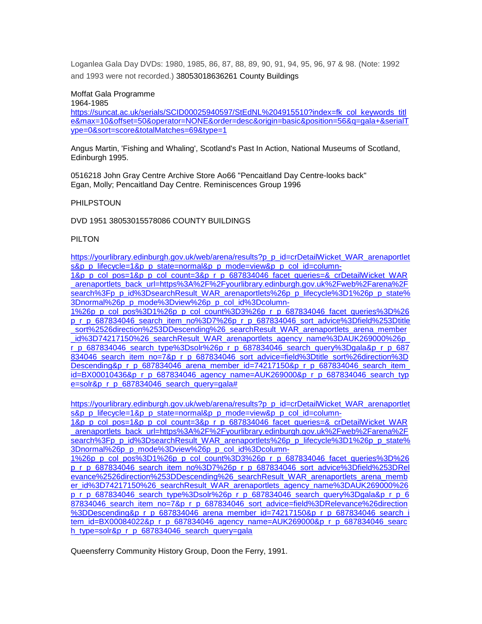Loganlea Gala Day DVDs: 1980, 1985, 86, 87, 88, 89, 90, 91, 94, 95, 96, 97 & 98. (Note: 1992 and 1993 were not recorded.) 38053018636261 County Buildings

#### Moffat Gala Programme

1964-1985

[https://suncat.ac.uk/serials/SCID00025940597/StEdNL%204915510?index=fk\\_col\\_keywords\\_titl](https://suncat.ac.uk/serials/SCID00025940597/StEdNL%204915510?index=fk_col_keywords_title&max=10&offset=50&operator=NONE&order=desc&origin=basic&position=56&q=gala+&serialType=0&sort=score&totalMatches=69&type=1) [e&max=10&offset=50&operator=NONE&order=desc&origin=basic&position=56&q=gala+&serialT](https://suncat.ac.uk/serials/SCID00025940597/StEdNL%204915510?index=fk_col_keywords_title&max=10&offset=50&operator=NONE&order=desc&origin=basic&position=56&q=gala+&serialType=0&sort=score&totalMatches=69&type=1) [ype=0&sort=score&totalMatches=69&type=1](https://suncat.ac.uk/serials/SCID00025940597/StEdNL%204915510?index=fk_col_keywords_title&max=10&offset=50&operator=NONE&order=desc&origin=basic&position=56&q=gala+&serialType=0&sort=score&totalMatches=69&type=1)

Angus Martin, 'Fishing and Whaling', Scotland's Past In Action, National Museums of Scotland, Edinburgh 1995.

0516218 John Gray Centre Archive Store Ao66 "Pencaitland Day Centre-looks back" Egan, Molly; Pencaitland Day Centre. Reminiscences Group 1996

#### PHILPSTOUN

DVD 1951 38053015578086 COUNTY BUILDINGS

#### PILTON

[https://yourlibrary.edinburgh.gov.uk/web/arena/results?p\\_p\\_id=crDetailWicket\\_WAR\\_arenaportlet](https://yourlibrary.edinburgh.gov.uk/web/arena/results?p_p_id=crDetailWicket_WAR_arenaportlets&p_p_lifecycle=1&p_p_state=normal&p_p_mode=view&p_p_col_id=column-1&p_p_col_pos=1&p_p_col_count=3&p_r_p_687834046_facet_queries=&_crDetailWicket_WAR_arenaportlets_back_url=https%3A%2F%2Fyourlibrary.edinburgh.gov.uk%2Fweb%2Farena%2Fsearch%3Fp_p_id%3DsearchResult_WAR_arenaportlets%26p_p_lifecycle%3D1%26p_p_state%3Dnormal%26p_p_mode%3Dview%26p_p_col_id%3Dcolumn-1%26p_p_col_pos%3D1%26p_p_col_count%3D3%26p_r_p_687834046_facet_queries%3D%26p_r_p_687834046_search_item_no%3D7%26p_r_p_687834046_sort_advice%3Dfield%253Dtitle_sort%2526direction%253DDescending%26_searchResult_WAR_arenaportlets_arena_member_id%3D74217150%26_searchResult_WAR_arenaportlets_agency_name%3DAUK269000%26p_r_p_687834046_search_type%3Dsolr%26p_r_p_687834046_search_query%3Dgala&p_r_p_687834046_search_item_no=7&p_r_p_687834046_sort_advice=field%3Dtitle_sort%26direction%3DDescending&p_r_p_687834046_arena_member_id=74217150&p_r_p_687834046_search_item_id=BX00010436&p_r_p_687834046_agency_name=AUK269000&p_r_p_687834046_search_type=solr&p_r_p_687834046_search_query=gala) [s&p\\_p\\_lifecycle=1&p\\_p\\_state=normal&p\\_p\\_mode=view&p\\_p\\_col\\_id=column-](https://yourlibrary.edinburgh.gov.uk/web/arena/results?p_p_id=crDetailWicket_WAR_arenaportlets&p_p_lifecycle=1&p_p_state=normal&p_p_mode=view&p_p_col_id=column-1&p_p_col_pos=1&p_p_col_count=3&p_r_p_687834046_facet_queries=&_crDetailWicket_WAR_arenaportlets_back_url=https%3A%2F%2Fyourlibrary.edinburgh.gov.uk%2Fweb%2Farena%2Fsearch%3Fp_p_id%3DsearchResult_WAR_arenaportlets%26p_p_lifecycle%3D1%26p_p_state%3Dnormal%26p_p_mode%3Dview%26p_p_col_id%3Dcolumn-1%26p_p_col_pos%3D1%26p_p_col_count%3D3%26p_r_p_687834046_facet_queries%3D%26p_r_p_687834046_search_item_no%3D7%26p_r_p_687834046_sort_advice%3Dfield%253Dtitle_sort%2526direction%253DDescending%26_searchResult_WAR_arenaportlets_arena_member_id%3D74217150%26_searchResult_WAR_arenaportlets_agency_name%3DAUK269000%26p_r_p_687834046_search_type%3Dsolr%26p_r_p_687834046_search_query%3Dgala&p_r_p_687834046_search_item_no=7&p_r_p_687834046_sort_advice=field%3Dtitle_sort%26direction%3DDescending&p_r_p_687834046_arena_member_id=74217150&p_r_p_687834046_search_item_id=BX00010436&p_r_p_687834046_agency_name=AUK269000&p_r_p_687834046_search_type=solr&p_r_p_687834046_search_query=gala)

[1&p\\_p\\_col\\_pos=1&p\\_p\\_col\\_count=3&p\\_r\\_p\\_687834046\\_facet\\_queries=&\\_crDetailWicket\\_WAR](https://yourlibrary.edinburgh.gov.uk/web/arena/results?p_p_id=crDetailWicket_WAR_arenaportlets&p_p_lifecycle=1&p_p_state=normal&p_p_mode=view&p_p_col_id=column-1&p_p_col_pos=1&p_p_col_count=3&p_r_p_687834046_facet_queries=&_crDetailWicket_WAR_arenaportlets_back_url=https%3A%2F%2Fyourlibrary.edinburgh.gov.uk%2Fweb%2Farena%2Fsearch%3Fp_p_id%3DsearchResult_WAR_arenaportlets%26p_p_lifecycle%3D1%26p_p_state%3Dnormal%26p_p_mode%3Dview%26p_p_col_id%3Dcolumn-1%26p_p_col_pos%3D1%26p_p_col_count%3D3%26p_r_p_687834046_facet_queries%3D%26p_r_p_687834046_search_item_no%3D7%26p_r_p_687834046_sort_advice%3Dfield%253Dtitle_sort%2526direction%253DDescending%26_searchResult_WAR_arenaportlets_arena_member_id%3D74217150%26_searchResult_WAR_arenaportlets_agency_name%3DAUK269000%26p_r_p_687834046_search_type%3Dsolr%26p_r_p_687834046_search_query%3Dgala&p_r_p_687834046_search_item_no=7&p_r_p_687834046_sort_advice=field%3Dtitle_sort%26direction%3DDescending&p_r_p_687834046_arena_member_id=74217150&p_r_p_687834046_search_item_id=BX00010436&p_r_p_687834046_agency_name=AUK269000&p_r_p_687834046_search_type=solr&p_r_p_687834046_search_query=gala) [\\_arenaportlets\\_back\\_url=https%3A%2F%2Fyourlibrary.edinburgh.gov.uk%2Fweb%2Farena%2F](https://yourlibrary.edinburgh.gov.uk/web/arena/results?p_p_id=crDetailWicket_WAR_arenaportlets&p_p_lifecycle=1&p_p_state=normal&p_p_mode=view&p_p_col_id=column-1&p_p_col_pos=1&p_p_col_count=3&p_r_p_687834046_facet_queries=&_crDetailWicket_WAR_arenaportlets_back_url=https%3A%2F%2Fyourlibrary.edinburgh.gov.uk%2Fweb%2Farena%2Fsearch%3Fp_p_id%3DsearchResult_WAR_arenaportlets%26p_p_lifecycle%3D1%26p_p_state%3Dnormal%26p_p_mode%3Dview%26p_p_col_id%3Dcolumn-1%26p_p_col_pos%3D1%26p_p_col_count%3D3%26p_r_p_687834046_facet_queries%3D%26p_r_p_687834046_search_item_no%3D7%26p_r_p_687834046_sort_advice%3Dfield%253Dtitle_sort%2526direction%253DDescending%26_searchResult_WAR_arenaportlets_arena_member_id%3D74217150%26_searchResult_WAR_arenaportlets_agency_name%3DAUK269000%26p_r_p_687834046_search_type%3Dsolr%26p_r_p_687834046_search_query%3Dgala&p_r_p_687834046_search_item_no=7&p_r_p_687834046_sort_advice=field%3Dtitle_sort%26direction%3DDescending&p_r_p_687834046_arena_member_id=74217150&p_r_p_687834046_search_item_id=BX00010436&p_r_p_687834046_agency_name=AUK269000&p_r_p_687834046_search_type=solr&p_r_p_687834046_search_query=gala) [search%3Fp\\_p\\_id%3DsearchResult\\_WAR\\_arenaportlets%26p\\_p\\_lifecycle%3D1%26p\\_p\\_state%](https://yourlibrary.edinburgh.gov.uk/web/arena/results?p_p_id=crDetailWicket_WAR_arenaportlets&p_p_lifecycle=1&p_p_state=normal&p_p_mode=view&p_p_col_id=column-1&p_p_col_pos=1&p_p_col_count=3&p_r_p_687834046_facet_queries=&_crDetailWicket_WAR_arenaportlets_back_url=https%3A%2F%2Fyourlibrary.edinburgh.gov.uk%2Fweb%2Farena%2Fsearch%3Fp_p_id%3DsearchResult_WAR_arenaportlets%26p_p_lifecycle%3D1%26p_p_state%3Dnormal%26p_p_mode%3Dview%26p_p_col_id%3Dcolumn-1%26p_p_col_pos%3D1%26p_p_col_count%3D3%26p_r_p_687834046_facet_queries%3D%26p_r_p_687834046_search_item_no%3D7%26p_r_p_687834046_sort_advice%3Dfield%253Dtitle_sort%2526direction%253DDescending%26_searchResult_WAR_arenaportlets_arena_member_id%3D74217150%26_searchResult_WAR_arenaportlets_agency_name%3DAUK269000%26p_r_p_687834046_search_type%3Dsolr%26p_r_p_687834046_search_query%3Dgala&p_r_p_687834046_search_item_no=7&p_r_p_687834046_sort_advice=field%3Dtitle_sort%26direction%3DDescending&p_r_p_687834046_arena_member_id=74217150&p_r_p_687834046_search_item_id=BX00010436&p_r_p_687834046_agency_name=AUK269000&p_r_p_687834046_search_type=solr&p_r_p_687834046_search_query=gala) [3Dnormal%26p\\_p\\_mode%3Dview%26p\\_p\\_col\\_id%3Dcolumn-](https://yourlibrary.edinburgh.gov.uk/web/arena/results?p_p_id=crDetailWicket_WAR_arenaportlets&p_p_lifecycle=1&p_p_state=normal&p_p_mode=view&p_p_col_id=column-1&p_p_col_pos=1&p_p_col_count=3&p_r_p_687834046_facet_queries=&_crDetailWicket_WAR_arenaportlets_back_url=https%3A%2F%2Fyourlibrary.edinburgh.gov.uk%2Fweb%2Farena%2Fsearch%3Fp_p_id%3DsearchResult_WAR_arenaportlets%26p_p_lifecycle%3D1%26p_p_state%3Dnormal%26p_p_mode%3Dview%26p_p_col_id%3Dcolumn-1%26p_p_col_pos%3D1%26p_p_col_count%3D3%26p_r_p_687834046_facet_queries%3D%26p_r_p_687834046_search_item_no%3D7%26p_r_p_687834046_sort_advice%3Dfield%253Dtitle_sort%2526direction%253DDescending%26_searchResult_WAR_arenaportlets_arena_member_id%3D74217150%26_searchResult_WAR_arenaportlets_agency_name%3DAUK269000%26p_r_p_687834046_search_type%3Dsolr%26p_r_p_687834046_search_query%3Dgala&p_r_p_687834046_search_item_no=7&p_r_p_687834046_sort_advice=field%3Dtitle_sort%26direction%3DDescending&p_r_p_687834046_arena_member_id=74217150&p_r_p_687834046_search_item_id=BX00010436&p_r_p_687834046_agency_name=AUK269000&p_r_p_687834046_search_type=solr&p_r_p_687834046_search_query=gala)

[1%26p\\_p\\_col\\_pos%3D1%26p\\_p\\_col\\_count%3D3%26p\\_r\\_p\\_687834046\\_facet\\_queries%3D%26](https://yourlibrary.edinburgh.gov.uk/web/arena/results?p_p_id=crDetailWicket_WAR_arenaportlets&p_p_lifecycle=1&p_p_state=normal&p_p_mode=view&p_p_col_id=column-1&p_p_col_pos=1&p_p_col_count=3&p_r_p_687834046_facet_queries=&_crDetailWicket_WAR_arenaportlets_back_url=https%3A%2F%2Fyourlibrary.edinburgh.gov.uk%2Fweb%2Farena%2Fsearch%3Fp_p_id%3DsearchResult_WAR_arenaportlets%26p_p_lifecycle%3D1%26p_p_state%3Dnormal%26p_p_mode%3Dview%26p_p_col_id%3Dcolumn-1%26p_p_col_pos%3D1%26p_p_col_count%3D3%26p_r_p_687834046_facet_queries%3D%26p_r_p_687834046_search_item_no%3D7%26p_r_p_687834046_sort_advice%3Dfield%253Dtitle_sort%2526direction%253DDescending%26_searchResult_WAR_arenaportlets_arena_member_id%3D74217150%26_searchResult_WAR_arenaportlets_agency_name%3DAUK269000%26p_r_p_687834046_search_type%3Dsolr%26p_r_p_687834046_search_query%3Dgala&p_r_p_687834046_search_item_no=7&p_r_p_687834046_sort_advice=field%3Dtitle_sort%26direction%3DDescending&p_r_p_687834046_arena_member_id=74217150&p_r_p_687834046_search_item_id=BX00010436&p_r_p_687834046_agency_name=AUK269000&p_r_p_687834046_search_type=solr&p_r_p_687834046_search_query=gala) [p\\_r\\_p\\_687834046\\_search\\_item\\_no%3D7%26p\\_r\\_p\\_687834046\\_sort\\_advice%3Dfield%253Dtitle](https://yourlibrary.edinburgh.gov.uk/web/arena/results?p_p_id=crDetailWicket_WAR_arenaportlets&p_p_lifecycle=1&p_p_state=normal&p_p_mode=view&p_p_col_id=column-1&p_p_col_pos=1&p_p_col_count=3&p_r_p_687834046_facet_queries=&_crDetailWicket_WAR_arenaportlets_back_url=https%3A%2F%2Fyourlibrary.edinburgh.gov.uk%2Fweb%2Farena%2Fsearch%3Fp_p_id%3DsearchResult_WAR_arenaportlets%26p_p_lifecycle%3D1%26p_p_state%3Dnormal%26p_p_mode%3Dview%26p_p_col_id%3Dcolumn-1%26p_p_col_pos%3D1%26p_p_col_count%3D3%26p_r_p_687834046_facet_queries%3D%26p_r_p_687834046_search_item_no%3D7%26p_r_p_687834046_sort_advice%3Dfield%253Dtitle_sort%2526direction%253DDescending%26_searchResult_WAR_arenaportlets_arena_member_id%3D74217150%26_searchResult_WAR_arenaportlets_agency_name%3DAUK269000%26p_r_p_687834046_search_type%3Dsolr%26p_r_p_687834046_search_query%3Dgala&p_r_p_687834046_search_item_no=7&p_r_p_687834046_sort_advice=field%3Dtitle_sort%26direction%3DDescending&p_r_p_687834046_arena_member_id=74217150&p_r_p_687834046_search_item_id=BX00010436&p_r_p_687834046_agency_name=AUK269000&p_r_p_687834046_search_type=solr&p_r_p_687834046_search_query=gala) [\\_sort%2526direction%253DDescending%26\\_searchResult\\_WAR\\_arenaportlets\\_arena\\_member](https://yourlibrary.edinburgh.gov.uk/web/arena/results?p_p_id=crDetailWicket_WAR_arenaportlets&p_p_lifecycle=1&p_p_state=normal&p_p_mode=view&p_p_col_id=column-1&p_p_col_pos=1&p_p_col_count=3&p_r_p_687834046_facet_queries=&_crDetailWicket_WAR_arenaportlets_back_url=https%3A%2F%2Fyourlibrary.edinburgh.gov.uk%2Fweb%2Farena%2Fsearch%3Fp_p_id%3DsearchResult_WAR_arenaportlets%26p_p_lifecycle%3D1%26p_p_state%3Dnormal%26p_p_mode%3Dview%26p_p_col_id%3Dcolumn-1%26p_p_col_pos%3D1%26p_p_col_count%3D3%26p_r_p_687834046_facet_queries%3D%26p_r_p_687834046_search_item_no%3D7%26p_r_p_687834046_sort_advice%3Dfield%253Dtitle_sort%2526direction%253DDescending%26_searchResult_WAR_arenaportlets_arena_member_id%3D74217150%26_searchResult_WAR_arenaportlets_agency_name%3DAUK269000%26p_r_p_687834046_search_type%3Dsolr%26p_r_p_687834046_search_query%3Dgala&p_r_p_687834046_search_item_no=7&p_r_p_687834046_sort_advice=field%3Dtitle_sort%26direction%3DDescending&p_r_p_687834046_arena_member_id=74217150&p_r_p_687834046_search_item_id=BX00010436&p_r_p_687834046_agency_name=AUK269000&p_r_p_687834046_search_type=solr&p_r_p_687834046_search_query=gala) id%3D74217150%26\_searchResult\_WAR\_arenaportlets\_agency\_name%3DAUK269000%26p [r\\_p\\_687834046\\_search\\_type%3Dsolr%26p\\_r\\_p\\_687834046\\_search\\_query%3Dgala&p\\_r\\_p\\_687](https://yourlibrary.edinburgh.gov.uk/web/arena/results?p_p_id=crDetailWicket_WAR_arenaportlets&p_p_lifecycle=1&p_p_state=normal&p_p_mode=view&p_p_col_id=column-1&p_p_col_pos=1&p_p_col_count=3&p_r_p_687834046_facet_queries=&_crDetailWicket_WAR_arenaportlets_back_url=https%3A%2F%2Fyourlibrary.edinburgh.gov.uk%2Fweb%2Farena%2Fsearch%3Fp_p_id%3DsearchResult_WAR_arenaportlets%26p_p_lifecycle%3D1%26p_p_state%3Dnormal%26p_p_mode%3Dview%26p_p_col_id%3Dcolumn-1%26p_p_col_pos%3D1%26p_p_col_count%3D3%26p_r_p_687834046_facet_queries%3D%26p_r_p_687834046_search_item_no%3D7%26p_r_p_687834046_sort_advice%3Dfield%253Dtitle_sort%2526direction%253DDescending%26_searchResult_WAR_arenaportlets_arena_member_id%3D74217150%26_searchResult_WAR_arenaportlets_agency_name%3DAUK269000%26p_r_p_687834046_search_type%3Dsolr%26p_r_p_687834046_search_query%3Dgala&p_r_p_687834046_search_item_no=7&p_r_p_687834046_sort_advice=field%3Dtitle_sort%26direction%3DDescending&p_r_p_687834046_arena_member_id=74217150&p_r_p_687834046_search_item_id=BX00010436&p_r_p_687834046_agency_name=AUK269000&p_r_p_687834046_search_type=solr&p_r_p_687834046_search_query=gala) [834046\\_search\\_item\\_no=7&p\\_r\\_p\\_687834046\\_sort\\_advice=field%3Dtitle\\_sort%26direction%3D](https://yourlibrary.edinburgh.gov.uk/web/arena/results?p_p_id=crDetailWicket_WAR_arenaportlets&p_p_lifecycle=1&p_p_state=normal&p_p_mode=view&p_p_col_id=column-1&p_p_col_pos=1&p_p_col_count=3&p_r_p_687834046_facet_queries=&_crDetailWicket_WAR_arenaportlets_back_url=https%3A%2F%2Fyourlibrary.edinburgh.gov.uk%2Fweb%2Farena%2Fsearch%3Fp_p_id%3DsearchResult_WAR_arenaportlets%26p_p_lifecycle%3D1%26p_p_state%3Dnormal%26p_p_mode%3Dview%26p_p_col_id%3Dcolumn-1%26p_p_col_pos%3D1%26p_p_col_count%3D3%26p_r_p_687834046_facet_queries%3D%26p_r_p_687834046_search_item_no%3D7%26p_r_p_687834046_sort_advice%3Dfield%253Dtitle_sort%2526direction%253DDescending%26_searchResult_WAR_arenaportlets_arena_member_id%3D74217150%26_searchResult_WAR_arenaportlets_agency_name%3DAUK269000%26p_r_p_687834046_search_type%3Dsolr%26p_r_p_687834046_search_query%3Dgala&p_r_p_687834046_search_item_no=7&p_r_p_687834046_sort_advice=field%3Dtitle_sort%26direction%3DDescending&p_r_p_687834046_arena_member_id=74217150&p_r_p_687834046_search_item_id=BX00010436&p_r_p_687834046_agency_name=AUK269000&p_r_p_687834046_search_type=solr&p_r_p_687834046_search_query=gala) [Descending&p\\_r\\_p\\_687834046\\_arena\\_member\\_id=74217150&p\\_r\\_p\\_687834046\\_search\\_item\\_](https://yourlibrary.edinburgh.gov.uk/web/arena/results?p_p_id=crDetailWicket_WAR_arenaportlets&p_p_lifecycle=1&p_p_state=normal&p_p_mode=view&p_p_col_id=column-1&p_p_col_pos=1&p_p_col_count=3&p_r_p_687834046_facet_queries=&_crDetailWicket_WAR_arenaportlets_back_url=https%3A%2F%2Fyourlibrary.edinburgh.gov.uk%2Fweb%2Farena%2Fsearch%3Fp_p_id%3DsearchResult_WAR_arenaportlets%26p_p_lifecycle%3D1%26p_p_state%3Dnormal%26p_p_mode%3Dview%26p_p_col_id%3Dcolumn-1%26p_p_col_pos%3D1%26p_p_col_count%3D3%26p_r_p_687834046_facet_queries%3D%26p_r_p_687834046_search_item_no%3D7%26p_r_p_687834046_sort_advice%3Dfield%253Dtitle_sort%2526direction%253DDescending%26_searchResult_WAR_arenaportlets_arena_member_id%3D74217150%26_searchResult_WAR_arenaportlets_agency_name%3DAUK269000%26p_r_p_687834046_search_type%3Dsolr%26p_r_p_687834046_search_query%3Dgala&p_r_p_687834046_search_item_no=7&p_r_p_687834046_sort_advice=field%3Dtitle_sort%26direction%3DDescending&p_r_p_687834046_arena_member_id=74217150&p_r_p_687834046_search_item_id=BX00010436&p_r_p_687834046_agency_name=AUK269000&p_r_p_687834046_search_type=solr&p_r_p_687834046_search_query=gala) [id=BX00010436&p\\_r\\_p\\_687834046\\_agency\\_name=AUK269000&p\\_r\\_p\\_687834046\\_search\\_typ](https://yourlibrary.edinburgh.gov.uk/web/arena/results?p_p_id=crDetailWicket_WAR_arenaportlets&p_p_lifecycle=1&p_p_state=normal&p_p_mode=view&p_p_col_id=column-1&p_p_col_pos=1&p_p_col_count=3&p_r_p_687834046_facet_queries=&_crDetailWicket_WAR_arenaportlets_back_url=https%3A%2F%2Fyourlibrary.edinburgh.gov.uk%2Fweb%2Farena%2Fsearch%3Fp_p_id%3DsearchResult_WAR_arenaportlets%26p_p_lifecycle%3D1%26p_p_state%3Dnormal%26p_p_mode%3Dview%26p_p_col_id%3Dcolumn-1%26p_p_col_pos%3D1%26p_p_col_count%3D3%26p_r_p_687834046_facet_queries%3D%26p_r_p_687834046_search_item_no%3D7%26p_r_p_687834046_sort_advice%3Dfield%253Dtitle_sort%2526direction%253DDescending%26_searchResult_WAR_arenaportlets_arena_member_id%3D74217150%26_searchResult_WAR_arenaportlets_agency_name%3DAUK269000%26p_r_p_687834046_search_type%3Dsolr%26p_r_p_687834046_search_query%3Dgala&p_r_p_687834046_search_item_no=7&p_r_p_687834046_sort_advice=field%3Dtitle_sort%26direction%3DDescending&p_r_p_687834046_arena_member_id=74217150&p_r_p_687834046_search_item_id=BX00010436&p_r_p_687834046_agency_name=AUK269000&p_r_p_687834046_search_type=solr&p_r_p_687834046_search_query=gala) [e=solr&p\\_r\\_p\\_687834046\\_search\\_query=gala#](https://yourlibrary.edinburgh.gov.uk/web/arena/results?p_p_id=crDetailWicket_WAR_arenaportlets&p_p_lifecycle=1&p_p_state=normal&p_p_mode=view&p_p_col_id=column-1&p_p_col_pos=1&p_p_col_count=3&p_r_p_687834046_facet_queries=&_crDetailWicket_WAR_arenaportlets_back_url=https%3A%2F%2Fyourlibrary.edinburgh.gov.uk%2Fweb%2Farena%2Fsearch%3Fp_p_id%3DsearchResult_WAR_arenaportlets%26p_p_lifecycle%3D1%26p_p_state%3Dnormal%26p_p_mode%3Dview%26p_p_col_id%3Dcolumn-1%26p_p_col_pos%3D1%26p_p_col_count%3D3%26p_r_p_687834046_facet_queries%3D%26p_r_p_687834046_search_item_no%3D7%26p_r_p_687834046_sort_advice%3Dfield%253Dtitle_sort%2526direction%253DDescending%26_searchResult_WAR_arenaportlets_arena_member_id%3D74217150%26_searchResult_WAR_arenaportlets_agency_name%3DAUK269000%26p_r_p_687834046_search_type%3Dsolr%26p_r_p_687834046_search_query%3Dgala&p_r_p_687834046_search_item_no=7&p_r_p_687834046_sort_advice=field%3Dtitle_sort%26direction%3DDescending&p_r_p_687834046_arena_member_id=74217150&p_r_p_687834046_search_item_id=BX00010436&p_r_p_687834046_agency_name=AUK269000&p_r_p_687834046_search_type=solr&p_r_p_687834046_search_query=gala)

[https://yourlibrary.edinburgh.gov.uk/web/arena/results?p\\_p\\_id=crDetailWicket\\_WAR\\_arenaportlet](https://yourlibrary.edinburgh.gov.uk/web/arena/results?p_p_id=crDetailWicket_WAR_arenaportlets&p_p_lifecycle=1&p_p_state=normal&p_p_mode=view&p_p_col_id=column-1&p_p_col_pos=1&p_p_col_count=3&p_r_p_687834046_facet_queries=&_crDetailWicket_WAR_arenaportlets_back_url=https%3A%2F%2Fyourlibrary.edinburgh.gov.uk%2Fweb%2Farena%2Fsearch%3Fp_p_id%3DsearchResult_WAR_arenaportlets%26p_p_lifecycle%3D1%26p_p_state%3Dnormal%26p_p_mode%3Dview%26p_p_col_id%3Dcolumn-1%26p_p_col_pos%3D1%26p_p_col_count%3D3%26p_r_p_687834046_facet_queries%3D%26p_r_p_687834046_search_item_no%3D7%26p_r_p_687834046_sort_advice%3Dfield%253DRelevance%2526direction%253DDescending%26_searchResult_WAR_arenaportlets_arena_member_id%3D74217150%26_searchResult_WAR_arenaportlets_agency_name%3DAUK269000%26p_r_p_687834046_search_type%3Dsolr%26p_r_p_687834046_search_query%3Dgala&p_r_p_687834046_search_item_no=7&p_r_p_687834046_sort_advice=field%3DRelevance%26direction%3DDescending&p_r_p_687834046_arena_member_id=74217150&p_r_p_687834046_search_item_id=BX00084022&p_r_p_687834046_agency_name=AUK269000&p_r_p_687834046_search_type=solr&p_r_p_687834046_search_query=gala) [s&p\\_p\\_lifecycle=1&p\\_p\\_state=normal&p\\_p\\_mode=view&p\\_p\\_col\\_id=column-](https://yourlibrary.edinburgh.gov.uk/web/arena/results?p_p_id=crDetailWicket_WAR_arenaportlets&p_p_lifecycle=1&p_p_state=normal&p_p_mode=view&p_p_col_id=column-1&p_p_col_pos=1&p_p_col_count=3&p_r_p_687834046_facet_queries=&_crDetailWicket_WAR_arenaportlets_back_url=https%3A%2F%2Fyourlibrary.edinburgh.gov.uk%2Fweb%2Farena%2Fsearch%3Fp_p_id%3DsearchResult_WAR_arenaportlets%26p_p_lifecycle%3D1%26p_p_state%3Dnormal%26p_p_mode%3Dview%26p_p_col_id%3Dcolumn-1%26p_p_col_pos%3D1%26p_p_col_count%3D3%26p_r_p_687834046_facet_queries%3D%26p_r_p_687834046_search_item_no%3D7%26p_r_p_687834046_sort_advice%3Dfield%253DRelevance%2526direction%253DDescending%26_searchResult_WAR_arenaportlets_arena_member_id%3D74217150%26_searchResult_WAR_arenaportlets_agency_name%3DAUK269000%26p_r_p_687834046_search_type%3Dsolr%26p_r_p_687834046_search_query%3Dgala&p_r_p_687834046_search_item_no=7&p_r_p_687834046_sort_advice=field%3DRelevance%26direction%3DDescending&p_r_p_687834046_arena_member_id=74217150&p_r_p_687834046_search_item_id=BX00084022&p_r_p_687834046_agency_name=AUK269000&p_r_p_687834046_search_type=solr&p_r_p_687834046_search_query=gala)

[1&p\\_p\\_col\\_pos=1&p\\_p\\_col\\_count=3&p\\_r\\_p\\_687834046\\_facet\\_queries=&\\_crDetailWicket\\_WAR](https://yourlibrary.edinburgh.gov.uk/web/arena/results?p_p_id=crDetailWicket_WAR_arenaportlets&p_p_lifecycle=1&p_p_state=normal&p_p_mode=view&p_p_col_id=column-1&p_p_col_pos=1&p_p_col_count=3&p_r_p_687834046_facet_queries=&_crDetailWicket_WAR_arenaportlets_back_url=https%3A%2F%2Fyourlibrary.edinburgh.gov.uk%2Fweb%2Farena%2Fsearch%3Fp_p_id%3DsearchResult_WAR_arenaportlets%26p_p_lifecycle%3D1%26p_p_state%3Dnormal%26p_p_mode%3Dview%26p_p_col_id%3Dcolumn-1%26p_p_col_pos%3D1%26p_p_col_count%3D3%26p_r_p_687834046_facet_queries%3D%26p_r_p_687834046_search_item_no%3D7%26p_r_p_687834046_sort_advice%3Dfield%253DRelevance%2526direction%253DDescending%26_searchResult_WAR_arenaportlets_arena_member_id%3D74217150%26_searchResult_WAR_arenaportlets_agency_name%3DAUK269000%26p_r_p_687834046_search_type%3Dsolr%26p_r_p_687834046_search_query%3Dgala&p_r_p_687834046_search_item_no=7&p_r_p_687834046_sort_advice=field%3DRelevance%26direction%3DDescending&p_r_p_687834046_arena_member_id=74217150&p_r_p_687834046_search_item_id=BX00084022&p_r_p_687834046_agency_name=AUK269000&p_r_p_687834046_search_type=solr&p_r_p_687834046_search_query=gala) [\\_arenaportlets\\_back\\_url=https%3A%2F%2Fyourlibrary.edinburgh.gov.uk%2Fweb%2Farena%2F](https://yourlibrary.edinburgh.gov.uk/web/arena/results?p_p_id=crDetailWicket_WAR_arenaportlets&p_p_lifecycle=1&p_p_state=normal&p_p_mode=view&p_p_col_id=column-1&p_p_col_pos=1&p_p_col_count=3&p_r_p_687834046_facet_queries=&_crDetailWicket_WAR_arenaportlets_back_url=https%3A%2F%2Fyourlibrary.edinburgh.gov.uk%2Fweb%2Farena%2Fsearch%3Fp_p_id%3DsearchResult_WAR_arenaportlets%26p_p_lifecycle%3D1%26p_p_state%3Dnormal%26p_p_mode%3Dview%26p_p_col_id%3Dcolumn-1%26p_p_col_pos%3D1%26p_p_col_count%3D3%26p_r_p_687834046_facet_queries%3D%26p_r_p_687834046_search_item_no%3D7%26p_r_p_687834046_sort_advice%3Dfield%253DRelevance%2526direction%253DDescending%26_searchResult_WAR_arenaportlets_arena_member_id%3D74217150%26_searchResult_WAR_arenaportlets_agency_name%3DAUK269000%26p_r_p_687834046_search_type%3Dsolr%26p_r_p_687834046_search_query%3Dgala&p_r_p_687834046_search_item_no=7&p_r_p_687834046_sort_advice=field%3DRelevance%26direction%3DDescending&p_r_p_687834046_arena_member_id=74217150&p_r_p_687834046_search_item_id=BX00084022&p_r_p_687834046_agency_name=AUK269000&p_r_p_687834046_search_type=solr&p_r_p_687834046_search_query=gala) [search%3Fp\\_p\\_id%3DsearchResult\\_WAR\\_arenaportlets%26p\\_p\\_lifecycle%3D1%26p\\_p\\_state%](https://yourlibrary.edinburgh.gov.uk/web/arena/results?p_p_id=crDetailWicket_WAR_arenaportlets&p_p_lifecycle=1&p_p_state=normal&p_p_mode=view&p_p_col_id=column-1&p_p_col_pos=1&p_p_col_count=3&p_r_p_687834046_facet_queries=&_crDetailWicket_WAR_arenaportlets_back_url=https%3A%2F%2Fyourlibrary.edinburgh.gov.uk%2Fweb%2Farena%2Fsearch%3Fp_p_id%3DsearchResult_WAR_arenaportlets%26p_p_lifecycle%3D1%26p_p_state%3Dnormal%26p_p_mode%3Dview%26p_p_col_id%3Dcolumn-1%26p_p_col_pos%3D1%26p_p_col_count%3D3%26p_r_p_687834046_facet_queries%3D%26p_r_p_687834046_search_item_no%3D7%26p_r_p_687834046_sort_advice%3Dfield%253DRelevance%2526direction%253DDescending%26_searchResult_WAR_arenaportlets_arena_member_id%3D74217150%26_searchResult_WAR_arenaportlets_agency_name%3DAUK269000%26p_r_p_687834046_search_type%3Dsolr%26p_r_p_687834046_search_query%3Dgala&p_r_p_687834046_search_item_no=7&p_r_p_687834046_sort_advice=field%3DRelevance%26direction%3DDescending&p_r_p_687834046_arena_member_id=74217150&p_r_p_687834046_search_item_id=BX00084022&p_r_p_687834046_agency_name=AUK269000&p_r_p_687834046_search_type=solr&p_r_p_687834046_search_query=gala) [3Dnormal%26p\\_p\\_mode%3Dview%26p\\_p\\_col\\_id%3Dcolumn-](https://yourlibrary.edinburgh.gov.uk/web/arena/results?p_p_id=crDetailWicket_WAR_arenaportlets&p_p_lifecycle=1&p_p_state=normal&p_p_mode=view&p_p_col_id=column-1&p_p_col_pos=1&p_p_col_count=3&p_r_p_687834046_facet_queries=&_crDetailWicket_WAR_arenaportlets_back_url=https%3A%2F%2Fyourlibrary.edinburgh.gov.uk%2Fweb%2Farena%2Fsearch%3Fp_p_id%3DsearchResult_WAR_arenaportlets%26p_p_lifecycle%3D1%26p_p_state%3Dnormal%26p_p_mode%3Dview%26p_p_col_id%3Dcolumn-1%26p_p_col_pos%3D1%26p_p_col_count%3D3%26p_r_p_687834046_facet_queries%3D%26p_r_p_687834046_search_item_no%3D7%26p_r_p_687834046_sort_advice%3Dfield%253DRelevance%2526direction%253DDescending%26_searchResult_WAR_arenaportlets_arena_member_id%3D74217150%26_searchResult_WAR_arenaportlets_agency_name%3DAUK269000%26p_r_p_687834046_search_type%3Dsolr%26p_r_p_687834046_search_query%3Dgala&p_r_p_687834046_search_item_no=7&p_r_p_687834046_sort_advice=field%3DRelevance%26direction%3DDescending&p_r_p_687834046_arena_member_id=74217150&p_r_p_687834046_search_item_id=BX00084022&p_r_p_687834046_agency_name=AUK269000&p_r_p_687834046_search_type=solr&p_r_p_687834046_search_query=gala)

[1%26p\\_p\\_col\\_pos%3D1%26p\\_p\\_col\\_count%3D3%26p\\_r\\_p\\_687834046\\_facet\\_queries%3D%26](https://yourlibrary.edinburgh.gov.uk/web/arena/results?p_p_id=crDetailWicket_WAR_arenaportlets&p_p_lifecycle=1&p_p_state=normal&p_p_mode=view&p_p_col_id=column-1&p_p_col_pos=1&p_p_col_count=3&p_r_p_687834046_facet_queries=&_crDetailWicket_WAR_arenaportlets_back_url=https%3A%2F%2Fyourlibrary.edinburgh.gov.uk%2Fweb%2Farena%2Fsearch%3Fp_p_id%3DsearchResult_WAR_arenaportlets%26p_p_lifecycle%3D1%26p_p_state%3Dnormal%26p_p_mode%3Dview%26p_p_col_id%3Dcolumn-1%26p_p_col_pos%3D1%26p_p_col_count%3D3%26p_r_p_687834046_facet_queries%3D%26p_r_p_687834046_search_item_no%3D7%26p_r_p_687834046_sort_advice%3Dfield%253DRelevance%2526direction%253DDescending%26_searchResult_WAR_arenaportlets_arena_member_id%3D74217150%26_searchResult_WAR_arenaportlets_agency_name%3DAUK269000%26p_r_p_687834046_search_type%3Dsolr%26p_r_p_687834046_search_query%3Dgala&p_r_p_687834046_search_item_no=7&p_r_p_687834046_sort_advice=field%3DRelevance%26direction%3DDescending&p_r_p_687834046_arena_member_id=74217150&p_r_p_687834046_search_item_id=BX00084022&p_r_p_687834046_agency_name=AUK269000&p_r_p_687834046_search_type=solr&p_r_p_687834046_search_query=gala) [p\\_r\\_p\\_687834046\\_search\\_item\\_no%3D7%26p\\_r\\_p\\_687834046\\_sort\\_advice%3Dfield%253DRel](https://yourlibrary.edinburgh.gov.uk/web/arena/results?p_p_id=crDetailWicket_WAR_arenaportlets&p_p_lifecycle=1&p_p_state=normal&p_p_mode=view&p_p_col_id=column-1&p_p_col_pos=1&p_p_col_count=3&p_r_p_687834046_facet_queries=&_crDetailWicket_WAR_arenaportlets_back_url=https%3A%2F%2Fyourlibrary.edinburgh.gov.uk%2Fweb%2Farena%2Fsearch%3Fp_p_id%3DsearchResult_WAR_arenaportlets%26p_p_lifecycle%3D1%26p_p_state%3Dnormal%26p_p_mode%3Dview%26p_p_col_id%3Dcolumn-1%26p_p_col_pos%3D1%26p_p_col_count%3D3%26p_r_p_687834046_facet_queries%3D%26p_r_p_687834046_search_item_no%3D7%26p_r_p_687834046_sort_advice%3Dfield%253DRelevance%2526direction%253DDescending%26_searchResult_WAR_arenaportlets_arena_member_id%3D74217150%26_searchResult_WAR_arenaportlets_agency_name%3DAUK269000%26p_r_p_687834046_search_type%3Dsolr%26p_r_p_687834046_search_query%3Dgala&p_r_p_687834046_search_item_no=7&p_r_p_687834046_sort_advice=field%3DRelevance%26direction%3DDescending&p_r_p_687834046_arena_member_id=74217150&p_r_p_687834046_search_item_id=BX00084022&p_r_p_687834046_agency_name=AUK269000&p_r_p_687834046_search_type=solr&p_r_p_687834046_search_query=gala) [evance%2526direction%253DDescending%26\\_searchResult\\_WAR\\_arenaportlets\\_arena\\_memb](https://yourlibrary.edinburgh.gov.uk/web/arena/results?p_p_id=crDetailWicket_WAR_arenaportlets&p_p_lifecycle=1&p_p_state=normal&p_p_mode=view&p_p_col_id=column-1&p_p_col_pos=1&p_p_col_count=3&p_r_p_687834046_facet_queries=&_crDetailWicket_WAR_arenaportlets_back_url=https%3A%2F%2Fyourlibrary.edinburgh.gov.uk%2Fweb%2Farena%2Fsearch%3Fp_p_id%3DsearchResult_WAR_arenaportlets%26p_p_lifecycle%3D1%26p_p_state%3Dnormal%26p_p_mode%3Dview%26p_p_col_id%3Dcolumn-1%26p_p_col_pos%3D1%26p_p_col_count%3D3%26p_r_p_687834046_facet_queries%3D%26p_r_p_687834046_search_item_no%3D7%26p_r_p_687834046_sort_advice%3Dfield%253DRelevance%2526direction%253DDescending%26_searchResult_WAR_arenaportlets_arena_member_id%3D74217150%26_searchResult_WAR_arenaportlets_agency_name%3DAUK269000%26p_r_p_687834046_search_type%3Dsolr%26p_r_p_687834046_search_query%3Dgala&p_r_p_687834046_search_item_no=7&p_r_p_687834046_sort_advice=field%3DRelevance%26direction%3DDescending&p_r_p_687834046_arena_member_id=74217150&p_r_p_687834046_search_item_id=BX00084022&p_r_p_687834046_agency_name=AUK269000&p_r_p_687834046_search_type=solr&p_r_p_687834046_search_query=gala) [er\\_id%3D74217150%26\\_searchResult\\_WAR\\_arenaportlets\\_agency\\_name%3DAUK269000%26](https://yourlibrary.edinburgh.gov.uk/web/arena/results?p_p_id=crDetailWicket_WAR_arenaportlets&p_p_lifecycle=1&p_p_state=normal&p_p_mode=view&p_p_col_id=column-1&p_p_col_pos=1&p_p_col_count=3&p_r_p_687834046_facet_queries=&_crDetailWicket_WAR_arenaportlets_back_url=https%3A%2F%2Fyourlibrary.edinburgh.gov.uk%2Fweb%2Farena%2Fsearch%3Fp_p_id%3DsearchResult_WAR_arenaportlets%26p_p_lifecycle%3D1%26p_p_state%3Dnormal%26p_p_mode%3Dview%26p_p_col_id%3Dcolumn-1%26p_p_col_pos%3D1%26p_p_col_count%3D3%26p_r_p_687834046_facet_queries%3D%26p_r_p_687834046_search_item_no%3D7%26p_r_p_687834046_sort_advice%3Dfield%253DRelevance%2526direction%253DDescending%26_searchResult_WAR_arenaportlets_arena_member_id%3D74217150%26_searchResult_WAR_arenaportlets_agency_name%3DAUK269000%26p_r_p_687834046_search_type%3Dsolr%26p_r_p_687834046_search_query%3Dgala&p_r_p_687834046_search_item_no=7&p_r_p_687834046_sort_advice=field%3DRelevance%26direction%3DDescending&p_r_p_687834046_arena_member_id=74217150&p_r_p_687834046_search_item_id=BX00084022&p_r_p_687834046_agency_name=AUK269000&p_r_p_687834046_search_type=solr&p_r_p_687834046_search_query=gala) prp 687834046 search\_type%3Dsolr%26p\_r\_p\_687834046\_search\_query%3Dgala&p\_r\_p\_6 [87834046\\_search\\_item\\_no=7&p\\_r\\_p\\_687834046\\_sort\\_advice=field%3DRelevance%26direction](https://yourlibrary.edinburgh.gov.uk/web/arena/results?p_p_id=crDetailWicket_WAR_arenaportlets&p_p_lifecycle=1&p_p_state=normal&p_p_mode=view&p_p_col_id=column-1&p_p_col_pos=1&p_p_col_count=3&p_r_p_687834046_facet_queries=&_crDetailWicket_WAR_arenaportlets_back_url=https%3A%2F%2Fyourlibrary.edinburgh.gov.uk%2Fweb%2Farena%2Fsearch%3Fp_p_id%3DsearchResult_WAR_arenaportlets%26p_p_lifecycle%3D1%26p_p_state%3Dnormal%26p_p_mode%3Dview%26p_p_col_id%3Dcolumn-1%26p_p_col_pos%3D1%26p_p_col_count%3D3%26p_r_p_687834046_facet_queries%3D%26p_r_p_687834046_search_item_no%3D7%26p_r_p_687834046_sort_advice%3Dfield%253DRelevance%2526direction%253DDescending%26_searchResult_WAR_arenaportlets_arena_member_id%3D74217150%26_searchResult_WAR_arenaportlets_agency_name%3DAUK269000%26p_r_p_687834046_search_type%3Dsolr%26p_r_p_687834046_search_query%3Dgala&p_r_p_687834046_search_item_no=7&p_r_p_687834046_sort_advice=field%3DRelevance%26direction%3DDescending&p_r_p_687834046_arena_member_id=74217150&p_r_p_687834046_search_item_id=BX00084022&p_r_p_687834046_agency_name=AUK269000&p_r_p_687834046_search_type=solr&p_r_p_687834046_search_query=gala) [%3DDescending&p\\_r\\_p\\_687834046\\_arena\\_member\\_id=74217150&p\\_r\\_p\\_687834046\\_search\\_i](https://yourlibrary.edinburgh.gov.uk/web/arena/results?p_p_id=crDetailWicket_WAR_arenaportlets&p_p_lifecycle=1&p_p_state=normal&p_p_mode=view&p_p_col_id=column-1&p_p_col_pos=1&p_p_col_count=3&p_r_p_687834046_facet_queries=&_crDetailWicket_WAR_arenaportlets_back_url=https%3A%2F%2Fyourlibrary.edinburgh.gov.uk%2Fweb%2Farena%2Fsearch%3Fp_p_id%3DsearchResult_WAR_arenaportlets%26p_p_lifecycle%3D1%26p_p_state%3Dnormal%26p_p_mode%3Dview%26p_p_col_id%3Dcolumn-1%26p_p_col_pos%3D1%26p_p_col_count%3D3%26p_r_p_687834046_facet_queries%3D%26p_r_p_687834046_search_item_no%3D7%26p_r_p_687834046_sort_advice%3Dfield%253DRelevance%2526direction%253DDescending%26_searchResult_WAR_arenaportlets_arena_member_id%3D74217150%26_searchResult_WAR_arenaportlets_agency_name%3DAUK269000%26p_r_p_687834046_search_type%3Dsolr%26p_r_p_687834046_search_query%3Dgala&p_r_p_687834046_search_item_no=7&p_r_p_687834046_sort_advice=field%3DRelevance%26direction%3DDescending&p_r_p_687834046_arena_member_id=74217150&p_r_p_687834046_search_item_id=BX00084022&p_r_p_687834046_agency_name=AUK269000&p_r_p_687834046_search_type=solr&p_r_p_687834046_search_query=gala) [tem\\_id=BX00084022&p\\_r\\_p\\_687834046\\_agency\\_name=AUK269000&p\\_r\\_p\\_687834046\\_searc](https://yourlibrary.edinburgh.gov.uk/web/arena/results?p_p_id=crDetailWicket_WAR_arenaportlets&p_p_lifecycle=1&p_p_state=normal&p_p_mode=view&p_p_col_id=column-1&p_p_col_pos=1&p_p_col_count=3&p_r_p_687834046_facet_queries=&_crDetailWicket_WAR_arenaportlets_back_url=https%3A%2F%2Fyourlibrary.edinburgh.gov.uk%2Fweb%2Farena%2Fsearch%3Fp_p_id%3DsearchResult_WAR_arenaportlets%26p_p_lifecycle%3D1%26p_p_state%3Dnormal%26p_p_mode%3Dview%26p_p_col_id%3Dcolumn-1%26p_p_col_pos%3D1%26p_p_col_count%3D3%26p_r_p_687834046_facet_queries%3D%26p_r_p_687834046_search_item_no%3D7%26p_r_p_687834046_sort_advice%3Dfield%253DRelevance%2526direction%253DDescending%26_searchResult_WAR_arenaportlets_arena_member_id%3D74217150%26_searchResult_WAR_arenaportlets_agency_name%3DAUK269000%26p_r_p_687834046_search_type%3Dsolr%26p_r_p_687834046_search_query%3Dgala&p_r_p_687834046_search_item_no=7&p_r_p_687834046_sort_advice=field%3DRelevance%26direction%3DDescending&p_r_p_687834046_arena_member_id=74217150&p_r_p_687834046_search_item_id=BX00084022&p_r_p_687834046_agency_name=AUK269000&p_r_p_687834046_search_type=solr&p_r_p_687834046_search_query=gala) [h\\_type=solr&p\\_r\\_p\\_687834046\\_search\\_query=gala](https://yourlibrary.edinburgh.gov.uk/web/arena/results?p_p_id=crDetailWicket_WAR_arenaportlets&p_p_lifecycle=1&p_p_state=normal&p_p_mode=view&p_p_col_id=column-1&p_p_col_pos=1&p_p_col_count=3&p_r_p_687834046_facet_queries=&_crDetailWicket_WAR_arenaportlets_back_url=https%3A%2F%2Fyourlibrary.edinburgh.gov.uk%2Fweb%2Farena%2Fsearch%3Fp_p_id%3DsearchResult_WAR_arenaportlets%26p_p_lifecycle%3D1%26p_p_state%3Dnormal%26p_p_mode%3Dview%26p_p_col_id%3Dcolumn-1%26p_p_col_pos%3D1%26p_p_col_count%3D3%26p_r_p_687834046_facet_queries%3D%26p_r_p_687834046_search_item_no%3D7%26p_r_p_687834046_sort_advice%3Dfield%253DRelevance%2526direction%253DDescending%26_searchResult_WAR_arenaportlets_arena_member_id%3D74217150%26_searchResult_WAR_arenaportlets_agency_name%3DAUK269000%26p_r_p_687834046_search_type%3Dsolr%26p_r_p_687834046_search_query%3Dgala&p_r_p_687834046_search_item_no=7&p_r_p_687834046_sort_advice=field%3DRelevance%26direction%3DDescending&p_r_p_687834046_arena_member_id=74217150&p_r_p_687834046_search_item_id=BX00084022&p_r_p_687834046_agency_name=AUK269000&p_r_p_687834046_search_type=solr&p_r_p_687834046_search_query=gala)

Queensferry Community History Group, Doon the Ferry, 1991.